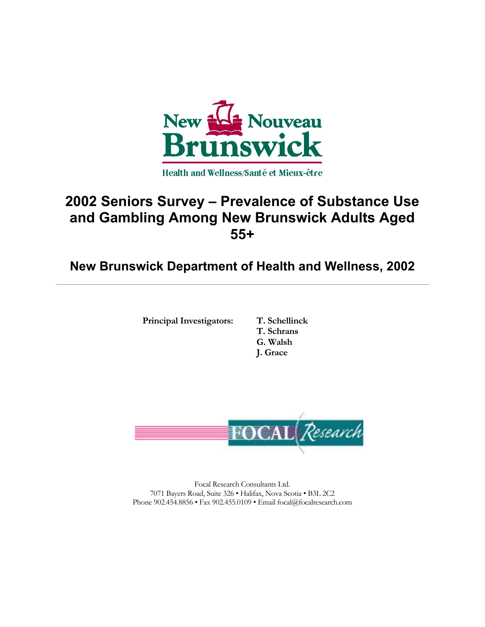

# **2002 Seniors Survey – Prevalence of Substance Use and Gambling Among New Brunswick Adults Aged 55+**

**New Brunswick Department of Health and Wellness, 2002**

**Principal Investigators: T. Schellinck**

**T. Schrans G. Walsh J. Grace**



Focal Research Consultants Ltd. 7071 Bayers Road, Suite 326 • Halifax, Nova Scotia • B3L 2C2 Phone 902.454.8856 • Fax 902.455.0109 • Email focal@focalresearch.com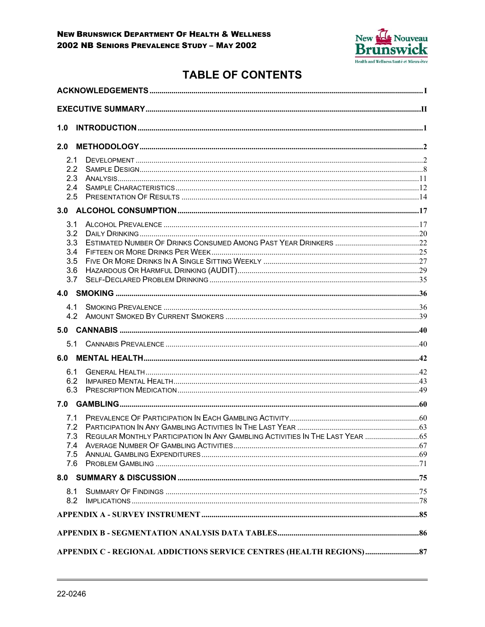

# **TABLE OF CONTENTS**

| 1.0                                                               |                                                                               |  |
|-------------------------------------------------------------------|-------------------------------------------------------------------------------|--|
| 2.0                                                               |                                                                               |  |
| 2.1<br>2.2<br>2.3<br>2.4<br>2.5                                   |                                                                               |  |
|                                                                   |                                                                               |  |
| 3.1<br>3.2<br>3.3<br>3.4<br>3.5<br>3.6<br>3.7                     |                                                                               |  |
|                                                                   |                                                                               |  |
| 4.1<br>4.2                                                        |                                                                               |  |
|                                                                   |                                                                               |  |
|                                                                   |                                                                               |  |
|                                                                   |                                                                               |  |
| 6.1<br>6.2<br>6.3                                                 |                                                                               |  |
|                                                                   |                                                                               |  |
| 7.1<br>7.2<br>7.3<br>7.4<br>7.5<br>7.6                            | REGULAR MONTHLY PARTICIPATION IN ANY GAMBLING ACTIVITIES IN THE LAST YEAR  65 |  |
|                                                                   |                                                                               |  |
| 8.1<br>8.2                                                        |                                                                               |  |
|                                                                   |                                                                               |  |
|                                                                   |                                                                               |  |
| APPENDIX C - REGIONAL ADDICTIONS SERVICE CENTRES (HEALTH REGIONS) |                                                                               |  |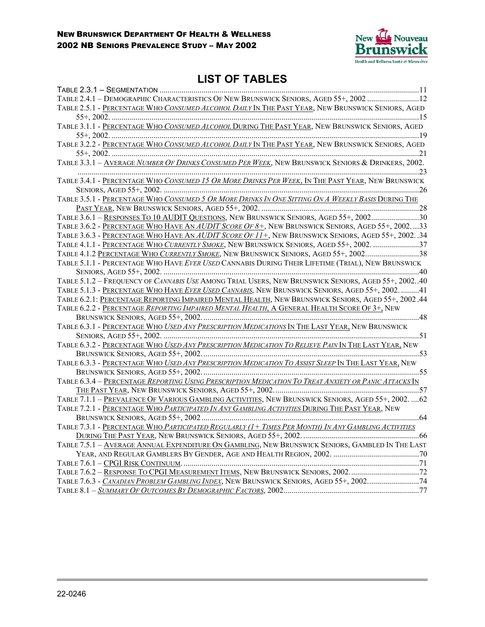

## **LIST OF TABLES**

| TABLE 2.4.1 - DEMOGRAPHIC CHARACTERISTICS OF NEW BRUNSWICK SENIORS, AGED 55+, 2002 12                 |  |
|-------------------------------------------------------------------------------------------------------|--|
| TABLE 2.5.1 - PERCENTAGE WHO CONSUMED ALCOHOL DAILY IN THE PAST YEAR, NEW BRUNSWICK SENIORS, AGED     |  |
|                                                                                                       |  |
| TABLE 3.1.1 - PERCENTAGE WHO CONSUMED ALCOHOL DURING THE PAST YEAR, NEW BRUNSWICK SENIORS, AGED       |  |
|                                                                                                       |  |
| TABLE 3.2.2 - PERCENTAGE WHO CONSUMED ALCOHOL DAILY IN THE PAST YEAR, NEW BRUNSWICK SENIORS, AGED     |  |
|                                                                                                       |  |
| TABLE 3.3.1 - AVERAGE NUMBER OF DRINKS CONSUMED PER WEEK, NEW BRUNSWICK SENIORS & DRINKERS, 2002.     |  |
|                                                                                                       |  |
| TABLE 3.4.1 - PERCENTAGE WHO CONSUMED 15 OR MORE DRINKS PER WEEK, IN THE PAST YEAR, NEW BRUNSWICK     |  |
|                                                                                                       |  |
| TABLE 3.5.1 - PERCENTAGE WHO CONSUMED 5 OR MORE DRINKS IN ONE SITTING ON A WEEKLY BASIS DURING THE    |  |
|                                                                                                       |  |
| TABLE 3.6.1 - RESPONSES TO 10 AUDIT QUESTIONS, NEW BRUNSWICK SENIORS, AGED 55+, 200230                |  |
| TABLE 3.6.2 - PERCENTAGE WHO HAVE AN AUDIT SCORE OF 8+, NEW BRUNSWICK SENIORS, AGED 55+, 200233       |  |
| TABLE 3.6.3 - PERCENTAGE WHO HAVE AN AUDIT SCORE OF 11+, NEW BRUNSWICK SENIORS, AGED 55+, 2002. .34   |  |
| TABLE 4.1.1 - PERCENTAGE WHO CURRENTLY SMOKE, NEW BRUNSWICK SENIORS, AGED 55+, 2002. 37               |  |
| TABLE 4.1.2 PERCENTAGE WHO CURRENTLY SMOKE, NEW BRUNSWICK SENIORS, AGED 55+, 200238                   |  |
| TABLE 5.1.1 - PERCENTAGE WHO HAVE EVER USED CANNABIS DURING THEIR LIFETIME (TRIAL), NEW BRUNSWICK     |  |
|                                                                                                       |  |
| TABLE 5.1.2 - FREQUENCY OF CANNABIS USE AMONG TRIAL USERS, NEW BRUNSWICK SENIORS, AGED 55+, 200240    |  |
| TABLE 5.1.3 - PERCENTAGE WHO HAVE EVER USED CANNABIS, NEW BRUNSWICK SENIORS, AGED 55+, 2002. 41       |  |
| TABLE 6.2.1: PERCENTAGE REPORTING IMPAIRED MENTAL HEALTH, NEW BRUNSWICK SENIORS, AGED 55+, 2002.44    |  |
| TABLE 6.2.2 - PERCENTAGE REPORTING IMPAIRED MENTAL HEALTH, A GENERAL HEALTH SCORE OF 3+, NEW          |  |
|                                                                                                       |  |
| TABLE 6.3.1 - PERCENTAGE WHO USED ANY PRESCRIPTION MEDICATIONS IN THE LAST YEAR, NEW BRUNSWICK        |  |
|                                                                                                       |  |
| TABLE 6.3.2 - PERCENTAGE WHO USED ANY PRESCRIPTION MEDICATION TO RELIEVE PAIN IN THE LAST YEAR, NEW   |  |
|                                                                                                       |  |
| TABLE 6.3.3 - PERCENTAGE WHO USED ANY PRESCRIPTION MEDICATION TO ASSIST SLEEP IN THE LAST YEAR, NEW   |  |
|                                                                                                       |  |
| TABLE 6.3.4 - PERCENTAGE REPORTING USING PRESCRIPTION MEDICATION TO TREAT ANXIETY OR PANIC ATTACKS IN |  |
|                                                                                                       |  |
| TABLE 7.1.1 - PREVALENCE OF VARIOUS GAMBLING ACTIVITIES, NEW BRUNSWICK SENIORS, AGED 55+, 2002.  62   |  |
| TABLE 7.2.1 - PERCENTAGE WHO PARTICIPATED IN ANY GAMBLING ACTIVITIES DURING THE PAST YEAR, NEW        |  |
|                                                                                                       |  |
| TABLE 7.3.1 - PERCENTAGE WHO PARTICIPATED REGULARLY (1+ TIMES PER MONTH) IN ANY GAMBLING ACTIVITIES   |  |
|                                                                                                       |  |
| TABLE 7.5.1 - AVERAGE ANNUAL EXPENDITURE ON GAMBLING, NEW BRUNSWICK SENIORS, GAMBLED IN THE LAST      |  |
|                                                                                                       |  |
|                                                                                                       |  |
| TABLE 7.6.2 - RESPONSE TO CPGI MEASUREMENT ITEMS, NEW BRUNSWICK SENIORS, 200272                       |  |
| TABLE 7.6.3 - CANADIAN PROBLEM GAMBLING INDEX, NEW BRUNSWICK SENIORS, AGED 55+, 200274                |  |
|                                                                                                       |  |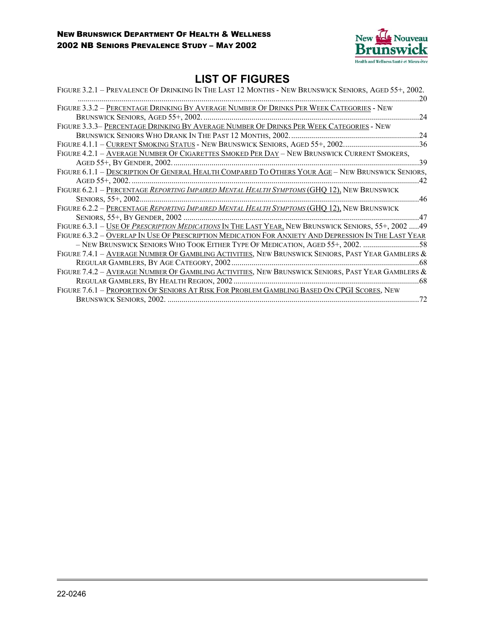

## **LIST OF FIGURES**

| FIGURE 3.2.1 - PREVALENCE OF DRINKING IN THE LAST 12 MONTHS - NEW BRUNSWICK SENIORS, AGED 55+, 2002.<br>20 |
|------------------------------------------------------------------------------------------------------------|
| FIGURE 3.3.2 - PERCENTAGE DRINKING BY AVERAGE NUMBER OF DRINKS PER WEEK CATEGORIES - NEW                   |
| 24                                                                                                         |
| FIGURE 3.3.3- PERCENTAGE DRINKING BY AVERAGE NUMBER OF DRINKS PER WEEK CATEGORIES - NEW                    |
| BRUNSWICK SENIORS WHO DRANK IN THE PAST 12 MONTHS, 2002.<br>.24                                            |
| FIGURE 4.1.1 - CURRENT SMOKING STATUS - NEW BRUNSWICK SENIORS, AGED 55+, 2002.<br>36                       |
| FIGURE 4.2.1 - AVERAGE NUMBER OF CIGARETTES SMOKED PER DAY - NEW BRUNSWICK CURRENT SMOKERS,                |
| 39                                                                                                         |
| FIGURE 6.1.1 - DESCRIPTION OF GENERAL HEALTH COMPARED TO OTHERS YOUR AGE - NEW BRUNSWICK SENIORS,          |
| AGED $55+$ , 2002.<br>42                                                                                   |
| FIGURE 6.2.1 - PERCENTAGE REPORTING IMPAIRED MENTAL HEALTH SYMPTOMS (GHQ 12), NEW BRUNSWICK                |
| 46                                                                                                         |
| FIGURE 6.2.2 - PERCENTAGE REPORTING IMPAIRED MENTAL HEALTH SYMPTOMS (GHQ 12), NEW BRUNSWICK                |
| 47                                                                                                         |
| FIGURE 6.3.1 - USE OF PRESCRIPTION MEDICATIONS IN THE LAST YEAR, NEW BRUNSWICK SENIORS, 55+, 2002  49      |
| FIGURE 6.3.2 - OVERLAP IN USE OF PRESCRIPTION MEDICATION FOR ANXIETY AND DEPRESSION IN THE LAST YEAR       |
| .58                                                                                                        |
| FIGURE 7.4.1 - AVERAGE NUMBER OF GAMBLING ACTIVITIES, NEW BRUNSWICK SENIORS, PAST YEAR GAMBLERS &          |
| REGULAR GAMBLERS, BY AGE CATEGORY, 2002<br>.68                                                             |
| FIGURE 7.4.2 - AVERAGE NUMBER OF GAMBLING ACTIVITIES, NEW BRUNSWICK SENIORS, PAST YEAR GAMBLERS &          |
| REGULAR GAMBLERS, BY HEALTH REGION, 2002<br>-68                                                            |
| FIGURE 7.6.1 - PROPORTION OF SENIORS AT RISK FOR PROBLEM GAMBLING BASED ON CPGI SCORES, NEW                |
| <b>BRUNSWICK SENIORS, 2002.</b><br>72                                                                      |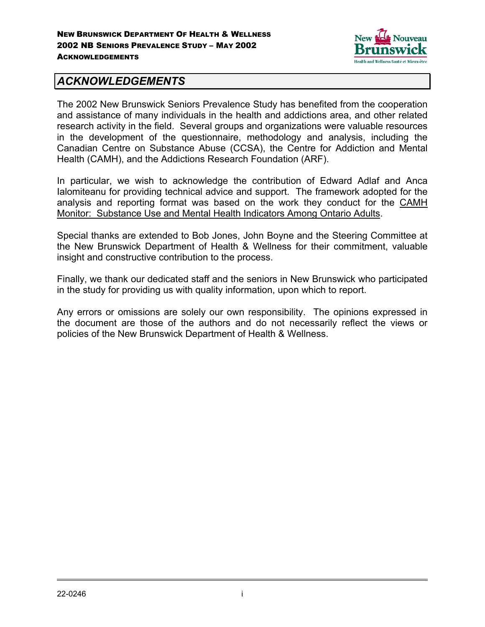

### *ACKNOWLEDGEMENTS*

The 2002 New Brunswick Seniors Prevalence Study has benefited from the cooperation and assistance of many individuals in the health and addictions area, and other related research activity in the field. Several groups and organizations were valuable resources in the development of the questionnaire, methodology and analysis, including the Canadian Centre on Substance Abuse (CCSA), the Centre for Addiction and Mental Health (CAMH), and the Addictions Research Foundation (ARF).

In particular, we wish to acknowledge the contribution of Edward Adlaf and Anca Ialomiteanu for providing technical advice and support. The framework adopted for the analysis and reporting format was based on the work they conduct for the CAMH Monitor: Substance Use and Mental Health Indicators Among Ontario Adults.

Special thanks are extended to Bob Jones, John Boyne and the Steering Committee at the New Brunswick Department of Health & Wellness for their commitment, valuable insight and constructive contribution to the process.

Finally, we thank our dedicated staff and the seniors in New Brunswick who participated in the study for providing us with quality information, upon which to report.

Any errors or omissions are solely our own responsibility. The opinions expressed in the document are those of the authors and do not necessarily reflect the views or policies of the New Brunswick Department of Health & Wellness.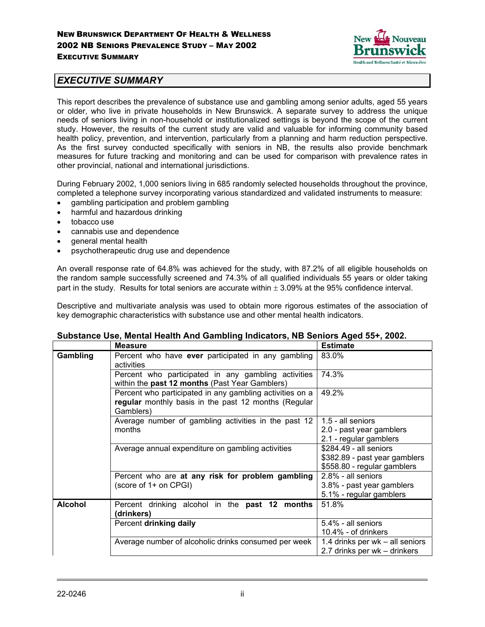

#### *EXECUTIVE SUMMARY*

This report describes the prevalence of substance use and gambling among senior adults, aged 55 years or older, who live in private households in New Brunswick. A separate survey to address the unique needs of seniors living in non-household or institutionalized settings is beyond the scope of the current study. However, the results of the current study are valid and valuable for informing community based health policy, prevention, and intervention, particularly from a planning and harm reduction perspective. As the first survey conducted specifically with seniors in NB, the results also provide benchmark measures for future tracking and monitoring and can be used for comparison with prevalence rates in other provincial, national and international jurisdictions.

During February 2002, 1,000 seniors living in 685 randomly selected households throughout the province, completed a telephone survey incorporating various standardized and validated instruments to measure:

- gambling participation and problem gambling
- harmful and hazardous drinking
- tobacco use
- cannabis use and dependence
- general mental health
- psychotherapeutic drug use and dependence

An overall response rate of 64.8% was achieved for the study, with 87.2% of all eligible households on the random sample successfully screened and 74.3% of all qualified individuals 55 years or older taking part in the study. Results for total seniors are accurate within  $\pm$  3.09% at the 95% confidence interval.

Descriptive and multivariate analysis was used to obtain more rigorous estimates of the association of key demographic characteristics with substance use and other mental health indicators.

|                | <b>Measure</b>                                                                                                                | <b>Estimate</b>                                                                        |
|----------------|-------------------------------------------------------------------------------------------------------------------------------|----------------------------------------------------------------------------------------|
| Gambling       | Percent who have ever participated in any gambling<br>activities                                                              | 83.0%                                                                                  |
|                | Percent who participated in any gambling activities<br>within the past 12 months (Past Year Gamblers)                         | 74.3%                                                                                  |
|                | Percent who participated in any gambling activities on a<br>regular monthly basis in the past 12 months (Regular<br>Gamblers) | 49.2%                                                                                  |
|                | Average number of gambling activities in the past 12<br>months                                                                | 1.5 - all seniors<br>2.0 - past year gamblers<br>2.1 - regular gamblers                |
|                | Average annual expenditure on gambling activities                                                                             | \$284.49 - all seniors<br>\$382.89 - past year gamblers<br>\$558.80 - regular gamblers |
|                | Percent who are at any risk for problem gambling<br>(score of 1+ on CPGI)                                                     | 2.8% - all seniors<br>3.8% - past year gamblers<br>5.1% - regular gamblers             |
| <b>Alcohol</b> | Percent drinking alcohol in the past 12 months<br>(drinkers)                                                                  | 51.8%                                                                                  |
|                | Percent drinking daily                                                                                                        | 5.4% - all seniors<br>$10.4\%$ - of drinkers                                           |
|                | Average number of alcoholic drinks consumed per week                                                                          | 1.4 drinks per wk – all seniors<br>2.7 drinks per wk - drinkers                        |

#### **Substance Use, Mental Health And Gambling Indicators, NB Seniors Aged 55+, 2002.**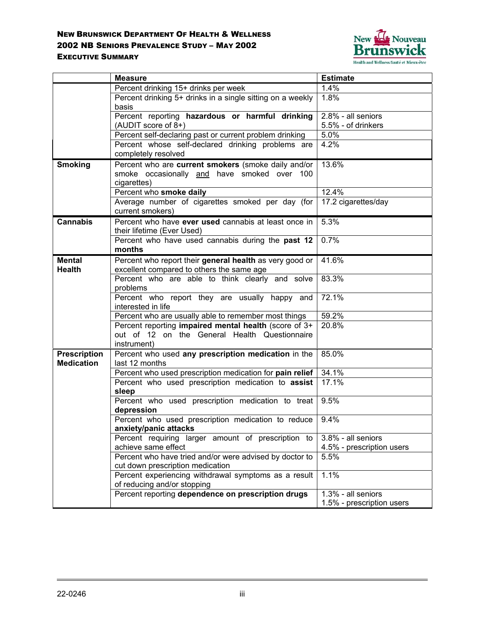

|                                          | <b>Measure</b>                                                                                         | <b>Estimate</b>           |
|------------------------------------------|--------------------------------------------------------------------------------------------------------|---------------------------|
|                                          | Percent drinking 15+ drinks per week                                                                   | 1.4%                      |
|                                          | Percent drinking 5+ drinks in a single sitting on a weekly                                             | 1.8%                      |
|                                          | basis                                                                                                  |                           |
|                                          | Percent reporting hazardous or harmful drinking                                                        | $2.8\%$ - all seniors     |
|                                          | (AUDIT score of 8+)                                                                                    | 5.5% - of drinkers        |
|                                          | Percent self-declaring past or current problem drinking                                                | 5.0%                      |
|                                          | Percent whose self-declared drinking problems are                                                      | 4.2%                      |
|                                          | completely resolved                                                                                    |                           |
| <b>Smoking</b>                           | Percent who are current smokers (smoke daily and/or                                                    | 13.6%                     |
|                                          | smoke occasionally and have smoked over<br>- 100                                                       |                           |
|                                          | cigarettes)                                                                                            |                           |
|                                          | Percent who smoke daily                                                                                | 12.4%                     |
|                                          | Average number of cigarettes smoked per day (for                                                       | 17.2 cigarettes/day       |
|                                          | current smokers)                                                                                       |                           |
| <b>Cannabis</b>                          | Percent who have ever used cannabis at least once in                                                   | 5.3%                      |
|                                          | their lifetime (Ever Used)                                                                             |                           |
|                                          | Percent who have used cannabis during the past 12                                                      | 0.7%                      |
|                                          | months                                                                                                 |                           |
| <b>Mental</b>                            | Percent who report their general health as very good or                                                | 41.6%                     |
| Health                                   | excellent compared to others the same age                                                              |                           |
|                                          | Percent who are able to think clearly and solve                                                        | 83.3%                     |
|                                          | problems                                                                                               |                           |
|                                          | Percent who report they are usually happy and                                                          | 72.1%                     |
|                                          | interested in life                                                                                     |                           |
|                                          | Percent who are usually able to remember most things                                                   | 59.2%                     |
|                                          | Percent reporting impaired mental health (score of 3+<br>out of 12 on the General Health Questionnaire | 20.8%                     |
|                                          | instrument)                                                                                            |                           |
|                                          | Percent who used any prescription medication in the                                                    | 85.0%                     |
| <b>Prescription</b><br><b>Medication</b> | last 12 months                                                                                         |                           |
|                                          | Percent who used prescription medication for pain relief                                               | 34.1%                     |
|                                          | Percent who used prescription medication to assist                                                     | 17.1%                     |
|                                          | sleep                                                                                                  |                           |
|                                          | Percent who used prescription medication to treat                                                      | 9.5%                      |
|                                          | depression                                                                                             |                           |
|                                          | Percent who used prescription medication to reduce                                                     | 9.4%                      |
|                                          | anxiety/panic attacks                                                                                  |                           |
|                                          | Percent requiring larger amount of prescription to                                                     | 3.8% - all seniors        |
|                                          | achieve same effect                                                                                    | 4.5% - prescription users |
|                                          | Percent who have tried and/or were advised by doctor to                                                | 5.5%                      |
|                                          | cut down prescription medication                                                                       |                           |
|                                          | Percent experiencing withdrawal symptoms as a result                                                   | 1.1%                      |
|                                          | of reducing and/or stopping                                                                            |                           |
|                                          | Percent reporting dependence on prescription drugs                                                     | 1.3% - all seniors        |
|                                          |                                                                                                        | 1.5% - prescription users |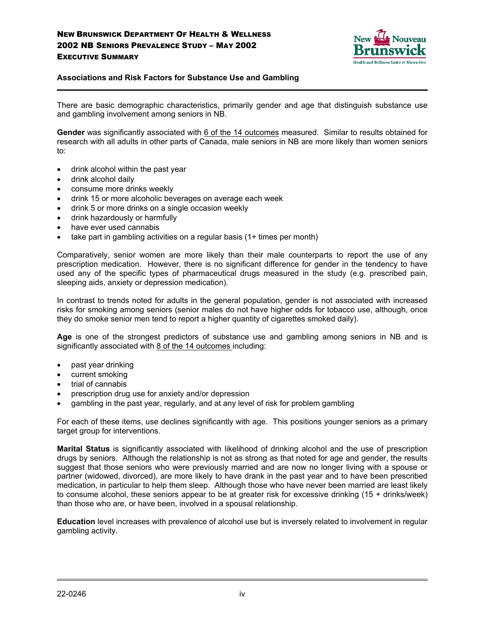

#### **Associations and Risk Factors for Substance Use and Gambling**

There are basic demographic characteristics, primarily gender and age that distinguish substance use and gambling involvement among seniors in NB.

**Gender** was significantly associated with 6 of the 14 outcomes measured. Similar to results obtained for research with all adults in other parts of Canada, male seniors in NB are more likely than women seniors to:

- drink alcohol within the past year
- drink alcohol daily

- consume more drinks weekly
- drink 15 or more alcoholic beverages on average each week
- drink 5 or more drinks on a single occasion weekly
- drink hazardously or harmfully
- have ever used cannabis
- take part in gambling activities on a regular basis (1+ times per month)

Comparatively, senior women are more likely than their male counterparts to report the use of any prescription medication. However, there is no significant difference for gender in the tendency to have used any of the specific types of pharmaceutical drugs measured in the study (e.g. prescribed pain, sleeping aids, anxiety or depression medication).

In contrast to trends noted for adults in the general population, gender is not associated with increased risks for smoking among seniors (senior males do not have higher odds for tobacco use, although, once they do smoke senior men tend to report a higher quantity of cigarettes smoked daily).

**Age** is one of the strongest predictors of substance use and gambling among seniors in NB and is significantly associated with 8 of the 14 outcomes including:

- past year drinking
- current smoking
- trial of cannabis
- prescription drug use for anxiety and/or depression
- gambling in the past year, regularly, and at any level of risk for problem gambling

For each of these items, use declines significantly with age. This positions younger seniors as a primary target group for interventions.

**Marital Status** is significantly associated with likelihood of drinking alcohol and the use of prescription drugs by seniors. Although the relationship is not as strong as that noted for age and gender, the results suggest that those seniors who were previously married and are now no longer living with a spouse or partner (widowed, divorced), are more likely to have drank in the past year and to have been prescribed medication, in particular to help them sleep. Although those who have never been married are least likely to consume alcohol, these seniors appear to be at greater risk for excessive drinking (15 + drinks/week) than those who are, or have been, involved in a spousal relationship.

**Education** level increases with prevalence of alcohol use but is inversely related to involvement in regular gambling activity.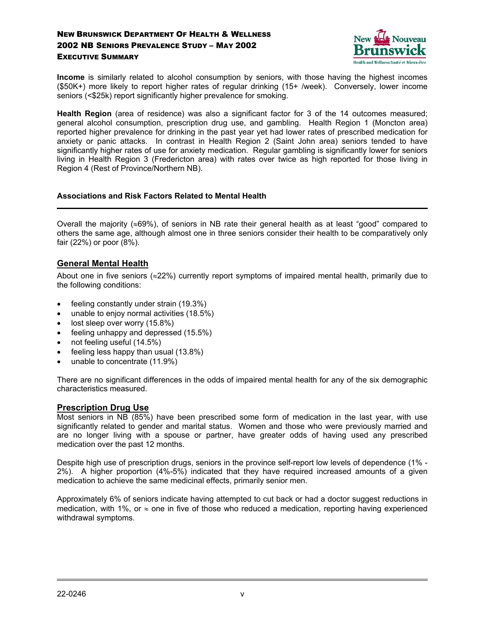

**Income** is similarly related to alcohol consumption by seniors, with those having the highest incomes (\$50K+) more likely to report higher rates of regular drinking (15+ /week). Conversely, lower income seniors (<\$25k) report significantly higher prevalence for smoking.

**Health Region** (area of residence) was also a significant factor for 3 of the 14 outcomes measured; general alcohol consumption, prescription drug use, and gambling. Health Region 1 (Moncton area) reported higher prevalence for drinking in the past year yet had lower rates of prescribed medication for anxiety or panic attacks. In contrast in Health Region 2 (Saint John area) seniors tended to have significantly higher rates of use for anxiety medication. Regular gambling is significantly lower for seniors living in Health Region 3 (Fredericton area) with rates over twice as high reported for those living in Region 4 (Rest of Province/Northern NB).

#### **Associations and Risk Factors Related to Mental Health**

Overall the majority (≈69%), of seniors in NB rate their general health as at least "good" compared to others the same age, although almost one in three seniors consider their health to be comparatively only fair (22%) or poor (8%).

#### **General Mental Health**

About one in five seniors (≈22%) currently report symptoms of impaired mental health, primarily due to the following conditions:

- feeling constantly under strain (19.3%)
- unable to enjoy normal activities (18.5%)
- lost sleep over worry (15.8%)
- feeling unhappy and depressed (15.5%)
- not feeling useful (14.5%)
- feeling less happy than usual (13.8%)
- unable to concentrate (11.9%)

There are no significant differences in the odds of impaired mental health for any of the six demographic characteristics measured.

#### **Prescription Drug Use**

Most seniors in NB (85%) have been prescribed some form of medication in the last year, with use significantly related to gender and marital status. Women and those who were previously married and are no longer living with a spouse or partner, have greater odds of having used any prescribed medication over the past 12 months.

Despite high use of prescription drugs, seniors in the province self-report low levels of dependence (1% - 2%). A higher proportion (4%-5%) indicated that they have required increased amounts of a given medication to achieve the same medicinal effects, primarily senior men.

Approximately 6% of seniors indicate having attempted to cut back or had a doctor suggest reductions in medication, with 1%, or  $\approx$  one in five of those who reduced a medication, reporting having experienced withdrawal symptoms.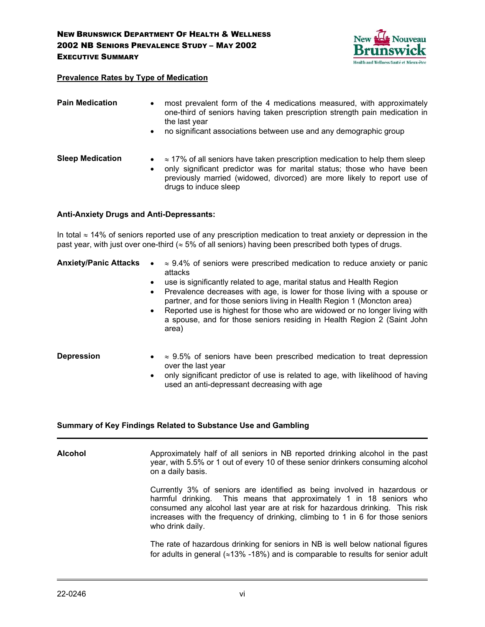

#### **Prevalence Rates by Type of Medication**

| <b>Pain Medication</b>  | $\bullet$<br>$\bullet$ | most prevalent form of the 4 medications measured, with approximately<br>one-third of seniors having taken prescription strength pain medication in<br>the last year<br>no significant associations between use and any demographic group                        |
|-------------------------|------------------------|------------------------------------------------------------------------------------------------------------------------------------------------------------------------------------------------------------------------------------------------------------------|
| <b>Sleep Medication</b> | $\bullet$              | $\approx$ 17% of all seniors have taken prescription medication to help them sleep<br>only significant predictor was for marital status; those who have been<br>previously married (widowed, divorced) are more likely to report use of<br>drugs to induce sleep |

#### **Anti-Anxiety Drugs and Anti-Depressants:**

In total ≈ 14% of seniors reported use of any prescription medication to treat anxiety or depression in the past year, with just over one-third ( $\approx$  5% of all seniors) having been prescribed both types of drugs.

| <b>Anxiety/Panic Attacks</b> | $\approx$ 9.4% of seniors were prescribed medication to reduce anxiety or panic         |
|------------------------------|-----------------------------------------------------------------------------------------|
|                              | attacks                                                                                 |
|                              | and a transformation of the sixteen and state in the constitution of the time ■ control |

- use is significantly related to age, marital status and Health Region
- Prevalence decreases with age, is lower for those living with a spouse or partner, and for those seniors living in Health Region 1 (Moncton area)
- Reported use is highest for those who are widowed or no longer living with a spouse, and for those seniors residing in Health Region 2 (Saint John area)
- **Depression**  $\approx$  9.5% of seniors have been prescribed medication to treat depression over the last year
	- only significant predictor of use is related to age, with likelihood of having used an anti-depressant decreasing with age

#### **Summary of Key Findings Related to Substance Use and Gambling**

**Alcohol** Approximately half of all seniors in NB reported drinking alcohol in the past year, with 5.5% or 1 out of every 10 of these senior drinkers consuming alcohol on a daily basis. Currently 3% of seniors are identified as being involved in hazardous or harmful drinking. This means that approximately 1 in 18 seniors who consumed any alcohol last year are at risk for hazardous drinking. This risk increases with the frequency of drinking, climbing to 1 in 6 for those seniors who drink daily.

> The rate of hazardous drinking for seniors in NB is well below national figures for adults in general (≈13% -18%) and is comparable to results for senior adult

 $\overline{a}$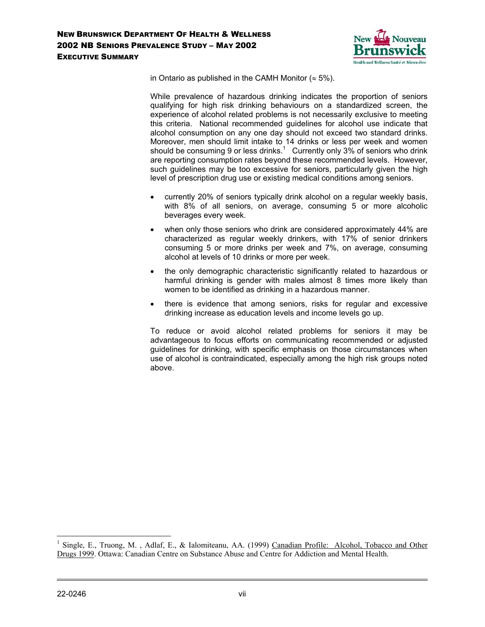

in Ontario as published in the CAMH Monitor ( $\approx$  5%).

While prevalence of hazardous drinking indicates the proportion of seniors qualifying for high risk drinking behaviours on a standardized screen, the experience of alcohol related problems is not necessarily exclusive to meeting this criteria. National recommended guidelines for alcohol use indicate that alcohol consumption on any one day should not exceed two standard drinks. Moreover, men should limit intake to 14 drinks or less per week and women should be consuming 9 or less drinks.<sup>1</sup> Currently only 3% of seniors who drink are reporting consumption rates beyond these recommended levels. However, such guidelines may be too excessive for seniors, particularly given the high level of prescription drug use or existing medical conditions among seniors.

- currently 20% of seniors typically drink alcohol on a regular weekly basis, with 8% of all seniors, on average, consuming 5 or more alcoholic beverages every week.
- when only those seniors who drink are considered approximately 44% are characterized as regular weekly drinkers, with 17% of senior drinkers consuming 5 or more drinks per week and 7%, on average, consuming alcohol at levels of 10 drinks or more per week.
- the only demographic characteristic significantly related to hazardous or harmful drinking is gender with males almost 8 times more likely than women to be identified as drinking in a hazardous manner.
- there is evidence that among seniors, risks for regular and excessive drinking increase as education levels and income levels go up.

To reduce or avoid alcohol related problems for seniors it may be advantageous to focus efforts on communicating recommended or adjusted guidelines for drinking, with specific emphasis on those circumstances when use of alcohol is contraindicated, especially among the high risk groups noted above.

 $\overline{a}$ 

<sup>1</sup> Single, E., Truong, M. , Adlaf, E., & Ialomiteanu, AA. (1999) Canadian Profile: Alcohol, Tobacco and Other Drugs 1999. Ottawa: Canadian Centre on Substance Abuse and Centre for Addiction and Mental Health.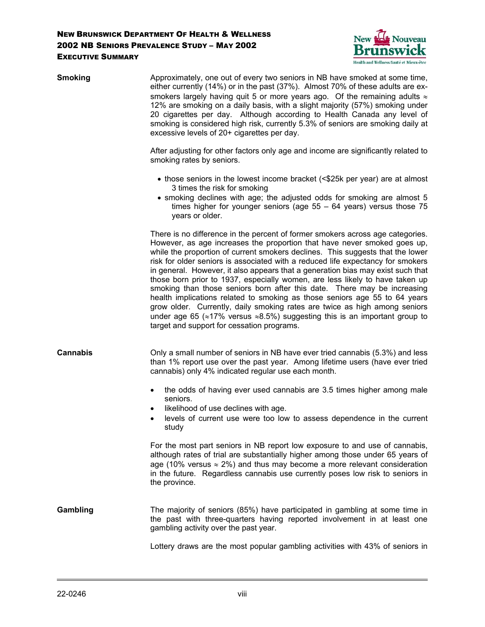

| <b>Smoking</b>  | Approximately, one out of every two seniors in NB have smoked at some time,<br>either currently (14%) or in the past (37%). Almost 70% of these adults are ex-<br>smokers largely having quit 5 or more years ago. Of the remaining adults $\approx$<br>12% are smoking on a daily basis, with a slight majority (57%) smoking under<br>20 cigarettes per day. Although according to Health Canada any level of<br>smoking is considered high risk, currently 5.3% of seniors are smoking daily at<br>excessive levels of 20+ cigarettes per day.                                                                                                                                                                                                                                                                                                                                        |
|-----------------|------------------------------------------------------------------------------------------------------------------------------------------------------------------------------------------------------------------------------------------------------------------------------------------------------------------------------------------------------------------------------------------------------------------------------------------------------------------------------------------------------------------------------------------------------------------------------------------------------------------------------------------------------------------------------------------------------------------------------------------------------------------------------------------------------------------------------------------------------------------------------------------|
|                 | After adjusting for other factors only age and income are significantly related to<br>smoking rates by seniors.                                                                                                                                                                                                                                                                                                                                                                                                                                                                                                                                                                                                                                                                                                                                                                          |
|                 | • those seniors in the lowest income bracket (<\$25k per year) are at almost<br>3 times the risk for smoking<br>• smoking declines with age; the adjusted odds for smoking are almost 5<br>times higher for younger seniors (age $55 - 64$ years) versus those 75<br>years or older.                                                                                                                                                                                                                                                                                                                                                                                                                                                                                                                                                                                                     |
|                 | There is no difference in the percent of former smokers across age categories.<br>However, as age increases the proportion that have never smoked goes up,<br>while the proportion of current smokers declines. This suggests that the lower<br>risk for older seniors is associated with a reduced life expectancy for smokers<br>in general. However, it also appears that a generation bias may exist such that<br>those born prior to 1937, especially women, are less likely to have taken up<br>smoking than those seniors born after this date. There may be increasing<br>health implications related to smoking as those seniors age 55 to 64 years<br>grow older. Currently, daily smoking rates are twice as high among seniors<br>under age 65 ( $\approx$ 17% versus $\approx$ 8.5%) suggesting this is an important group to<br>target and support for cessation programs. |
| <b>Cannabis</b> | Only a small number of seniors in NB have ever tried cannabis (5.3%) and less<br>than 1% report use over the past year. Among lifetime users (have ever tried<br>cannabis) only 4% indicated regular use each month.                                                                                                                                                                                                                                                                                                                                                                                                                                                                                                                                                                                                                                                                     |
|                 | the odds of having ever used cannabis are 3.5 times higher among male<br>$\bullet$<br>seniors.<br>likelihood of use declines with age.<br>٠<br>levels of current use were too low to assess dependence in the current<br>study                                                                                                                                                                                                                                                                                                                                                                                                                                                                                                                                                                                                                                                           |
|                 | For the most part seniors in NB report low exposure to and use of cannabis,<br>although rates of trial are substantially higher among those under 65 years of<br>age (10% versus $\approx$ 2%) and thus may become a more relevant consideration<br>in the future. Regardless cannabis use currently poses low risk to seniors in<br>the province.                                                                                                                                                                                                                                                                                                                                                                                                                                                                                                                                       |
| Gambling        | The majority of seniors (85%) have participated in gambling at some time in<br>the past with three-quarters having reported involvement in at least one<br>gambling activity over the past year.                                                                                                                                                                                                                                                                                                                                                                                                                                                                                                                                                                                                                                                                                         |
|                 | Lottery draws are the most popular gambling activities with 43% of seniors in                                                                                                                                                                                                                                                                                                                                                                                                                                                                                                                                                                                                                                                                                                                                                                                                            |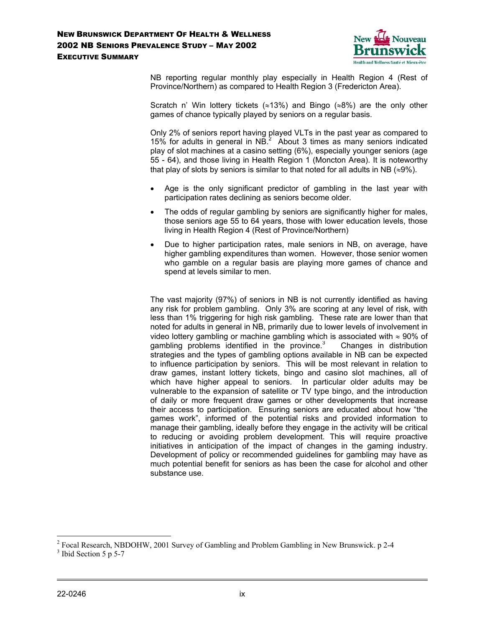

NB reporting regular monthly play especially in Health Region 4 (Rest of Province/Northern) as compared to Health Region 3 (Fredericton Area).

Scratch n' Win lottery tickets (≈13%) and Bingo (≈8%) are the only other games of chance typically played by seniors on a regular basis.

Only 2% of seniors report having played VLTs in the past year as compared to 15% for adults in general in  $NB<sup>2</sup>$  About 3 times as many seniors indicated play of slot machines at a casino setting (6%), especially younger seniors (age 55 - 64), and those living in Health Region 1 (Moncton Area). It is noteworthy that play of slots by seniors is similar to that noted for all adults in NB ( $\approx$ 9%).

- Age is the only significant predictor of gambling in the last year with participation rates declining as seniors become older.
- The odds of regular gambling by seniors are significantly higher for males, those seniors age 55 to 64 years, those with lower education levels, those living in Health Region 4 (Rest of Province/Northern)
- Due to higher participation rates, male seniors in NB, on average, have higher gambling expenditures than women. However, those senior women who gamble on a regular basis are playing more games of chance and spend at levels similar to men.

The vast majority (97%) of seniors in NB is not currently identified as having any risk for problem gambling. Only 3% are scoring at any level of risk, with less than 1% triggering for high risk gambling. These rate are lower than that noted for adults in general in NB, primarily due to lower levels of involvement in video lottery gambling or machine gambling which is associated with  $\approx$  90% of gambling problems identified in the province. $3$  Changes in distribution strategies and the types of gambling options available in NB can be expected to influence participation by seniors. This will be most relevant in relation to draw games, instant lottery tickets, bingo and casino slot machines, all of which have higher appeal to seniors. In particular older adults may be vulnerable to the expansion of satellite or TV type bingo, and the introduction of daily or more frequent draw games or other developments that increase their access to participation. Ensuring seniors are educated about how "the games work", informed of the potential risks and provided information to manage their gambling, ideally before they engage in the activity will be critical to reducing or avoiding problem development. This will require proactive initiatives in anticipation of the impact of changes in the gaming industry. Development of policy or recommended guidelines for gambling may have as much potential benefit for seniors as has been the case for alcohol and other substance use.

 $\overline{a}$ <sup>2</sup> Focal Research, NBDOHW, 2001 Survey of Gambling and Problem Gambling in New Brunswick. p 2-4

<sup>&</sup>lt;sup>3</sup> Ibid Section 5 p 5-7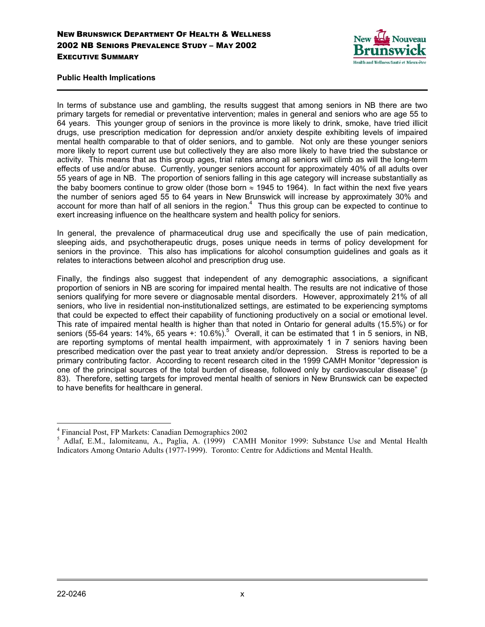

#### **Public Health Implications**

In terms of substance use and gambling, the results suggest that among seniors in NB there are two primary targets for remedial or preventative intervention; males in general and seniors who are age 55 to 64 years. This younger group of seniors in the province is more likely to drink, smoke, have tried illicit drugs, use prescription medication for depression and/or anxiety despite exhibiting levels of impaired mental health comparable to that of older seniors, and to gamble. Not only are these younger seniors more likely to report current use but collectively they are also more likely to have tried the substance or activity. This means that as this group ages, trial rates among all seniors will climb as will the long-term effects of use and/or abuse. Currently, younger seniors account for approximately 40% of all adults over 55 years of age in NB. The proportion of seniors falling in this age category will increase substantially as the baby boomers continue to grow older (those born  $\approx$  1945 to 1964). In fact within the next five years the number of seniors aged 55 to 64 years in New Brunswick will increase by approximately 30% and account for more than half of all seniors in the region.<sup>4</sup> Thus this group can be expected to continue to exert increasing influence on the healthcare system and health policy for seniors.

In general, the prevalence of pharmaceutical drug use and specifically the use of pain medication, sleeping aids, and psychotherapeutic drugs, poses unique needs in terms of policy development for seniors in the province. This also has implications for alcohol consumption guidelines and goals as it relates to interactions between alcohol and prescription drug use.

Finally, the findings also suggest that independent of any demographic associations, a significant proportion of seniors in NB are scoring for impaired mental health. The results are not indicative of those seniors qualifying for more severe or diagnosable mental disorders. However, approximately 21% of all seniors, who live in residential non-institutionalized settings, are estimated to be experiencing symptoms that could be expected to effect their capability of functioning productively on a social or emotional level. This rate of impaired mental health is higher than that noted in Ontario for general adults (15.5%) or for seniors (55-64 years: 14%, 65 years +: 10.6%).<sup>5</sup> Overall, it can be estimated that 1 in 5 seniors, in NB, are reporting symptoms of mental health impairment, with approximately 1 in 7 seniors having been prescribed medication over the past year to treat anxiety and/or depression. Stress is reported to be a primary contributing factor. According to recent research cited in the 1999 CAMH Monitor "depression is one of the principal sources of the total burden of disease, followed only by cardiovascular disease" (p 83). Therefore, setting targets for improved mental health of seniors in New Brunswick can be expected to have benefits for healthcare in general.

 $\overline{a}$ 4 Financial Post, FP Markets: Canadian Demographics 2002

<sup>&</sup>lt;sup>5</sup> Adlaf, E.M., Ialomiteanu, A., Paglia, A. (1999) CAMH Monitor 1999: Substance Use and Mental Health Indicators Among Ontario Adults (1977-1999). Toronto: Centre for Addictions and Mental Health.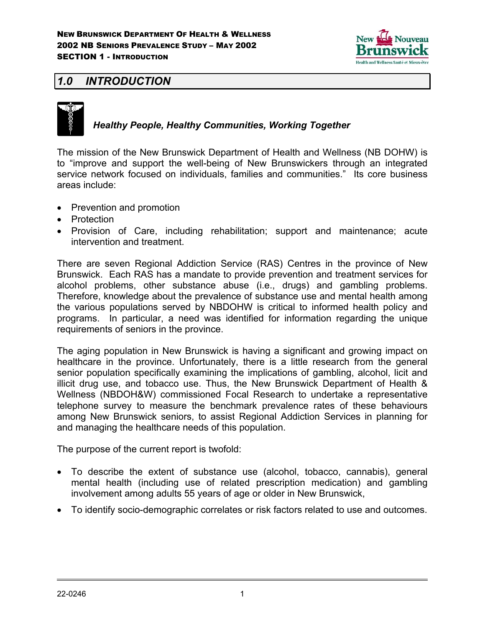

## *1.0 INTRODUCTION*



### *Healthy People, Healthy Communities, Working Together*

The mission of the New Brunswick Department of Health and Wellness (NB DOHW) is to "improve and support the well-being of New Brunswickers through an integrated service network focused on individuals, families and communities." Its core business areas include:

- Prevention and promotion
- Protection
- Provision of Care, including rehabilitation; support and maintenance; acute intervention and treatment.

There are seven Regional Addiction Service (RAS) Centres in the province of New Brunswick. Each RAS has a mandate to provide prevention and treatment services for alcohol problems, other substance abuse (i.e., drugs) and gambling problems. Therefore, knowledge about the prevalence of substance use and mental health among the various populations served by NBDOHW is critical to informed health policy and programs. In particular, a need was identified for information regarding the unique requirements of seniors in the province.

The aging population in New Brunswick is having a significant and growing impact on healthcare in the province. Unfortunately, there is a little research from the general senior population specifically examining the implications of gambling, alcohol, licit and illicit drug use, and tobacco use. Thus, the New Brunswick Department of Health & Wellness (NBDOH&W) commissioned Focal Research to undertake a representative telephone survey to measure the benchmark prevalence rates of these behaviours among New Brunswick seniors, to assist Regional Addiction Services in planning for and managing the healthcare needs of this population.

The purpose of the current report is twofold:

- To describe the extent of substance use (alcohol, tobacco, cannabis), general mental health (including use of related prescription medication) and gambling involvement among adults 55 years of age or older in New Brunswick,
- To identify socio-demographic correlates or risk factors related to use and outcomes.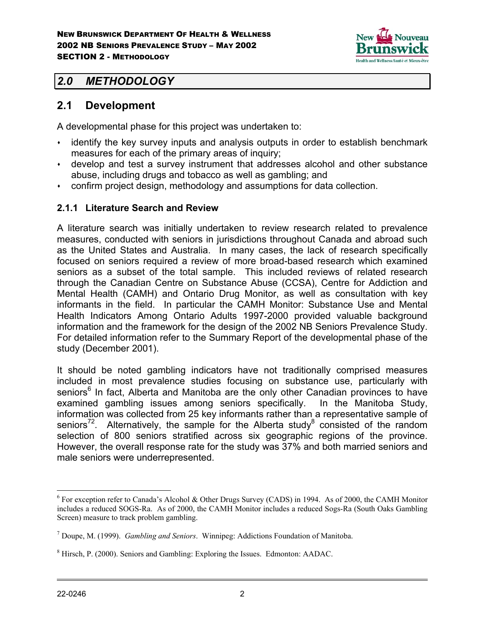

## *2.0 METHODOLOGY*

### **2.1 Development**

A developmental phase for this project was undertaken to:

- identify the key survey inputs and analysis outputs in order to establish benchmark measures for each of the primary areas of inquiry;
- develop and test a survey instrument that addresses alcohol and other substance abuse, including drugs and tobacco as well as gambling; and
- confirm project design, methodology and assumptions for data collection.

### **2.1.1 Literature Search and Review**

A literature search was initially undertaken to review research related to prevalence measures, conducted with seniors in jurisdictions throughout Canada and abroad such as the United States and Australia. In many cases, the lack of research specifically focused on seniors required a review of more broad-based research which examined seniors as a subset of the total sample. This included reviews of related research through the Canadian Centre on Substance Abuse (CCSA), Centre for Addiction and Mental Health (CAMH) and Ontario Drug Monitor, as well as consultation with key informants in the field. In particular the CAMH Monitor: Substance Use and Mental Health Indicators Among Ontario Adults 1997-2000 provided valuable background information and the framework for the design of the 2002 NB Seniors Prevalence Study. For detailed information refer to the Summary Report of the developmental phase of the study (December 2001).

It should be noted gambling indicators have not traditionally comprised measures included in most prevalence studies focusing on substance use, particularly with seniors<sup>6</sup> In fact, Alberta and Manitoba are the only other Canadian provinces to have examined gambling issues among seniors specifically. In the Manitoba Study, information was collected from 25 key informants rather than a representative sample of seniors<sup>72</sup>. Alternatively, the sample for the Alberta study<sup>8</sup> consisted of the random selection of 800 seniors stratified across six geographic regions of the province. However, the overall response rate for the study was 37% and both married seniors and male seniors were underrepresented.

 $\overline{a}$ 

<sup>&</sup>lt;sup>6</sup> For exception refer to Canada's Alcohol & Other Drugs Survey (CADS) in 1994. As of 2000, the CAMH Monitor includes a reduced SOGS-Ra. As of 2000, the CAMH Monitor includes a reduced Sogs-Ra (South Oaks Gambling Screen) measure to track problem gambling.

<sup>7</sup> Doupe, M. (1999). *Gambling and Seniors*. Winnipeg: Addictions Foundation of Manitoba.

<sup>&</sup>lt;sup>8</sup> Hirsch, P. (2000). Seniors and Gambling: Exploring the Issues. Edmonton: AADAC.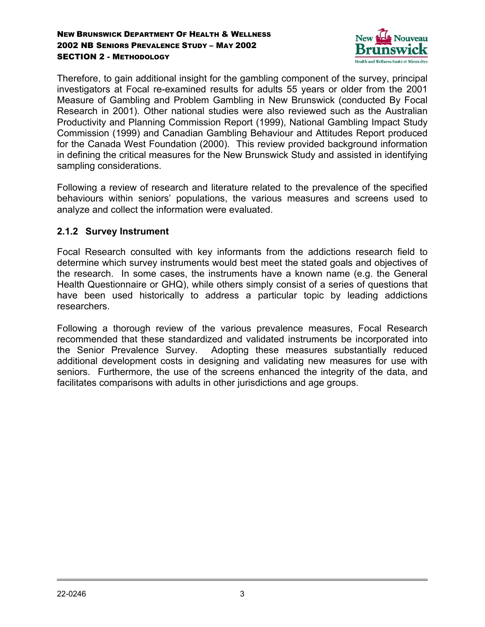

Therefore, to gain additional insight for the gambling component of the survey, principal investigators at Focal re-examined results for adults 55 years or older from the 2001 Measure of Gambling and Problem Gambling in New Brunswick (conducted By Focal Research in 2001). Other national studies were also reviewed such as the Australian Productivity and Planning Commission Report (1999), National Gambling Impact Study Commission (1999) and Canadian Gambling Behaviour and Attitudes Report produced for the Canada West Foundation (2000). This review provided background information in defining the critical measures for the New Brunswick Study and assisted in identifying sampling considerations.

Following a review of research and literature related to the prevalence of the specified behaviours within seniors' populations, the various measures and screens used to analyze and collect the information were evaluated.

### **2.1.2 Survey Instrument**

Focal Research consulted with key informants from the addictions research field to determine which survey instruments would best meet the stated goals and objectives of the research. In some cases, the instruments have a known name (e.g. the General Health Questionnaire or GHQ), while others simply consist of a series of questions that have been used historically to address a particular topic by leading addictions researchers.

Following a thorough review of the various prevalence measures, Focal Research recommended that these standardized and validated instruments be incorporated into the Senior Prevalence Survey. Adopting these measures substantially reduced additional development costs in designing and validating new measures for use with seniors. Furthermore, the use of the screens enhanced the integrity of the data, and facilitates comparisons with adults in other jurisdictions and age groups.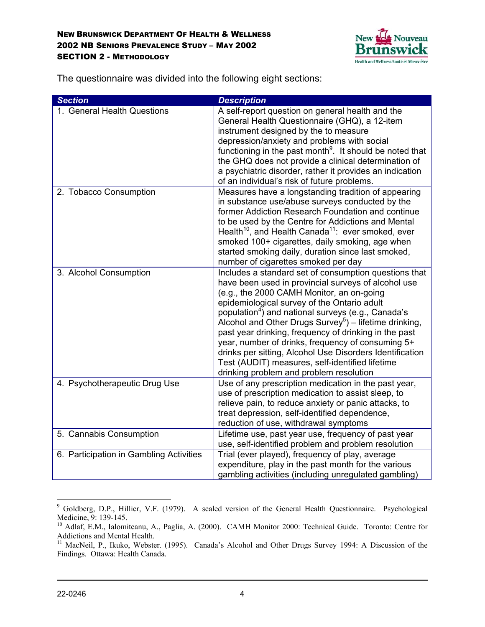

The questionnaire was divided into the following eight sections:

| <b>Section</b>                          | <b>Description</b>                                                                                                                                                                                                                                                                                                                                                                                                                                                                                                                                                                                                       |
|-----------------------------------------|--------------------------------------------------------------------------------------------------------------------------------------------------------------------------------------------------------------------------------------------------------------------------------------------------------------------------------------------------------------------------------------------------------------------------------------------------------------------------------------------------------------------------------------------------------------------------------------------------------------------------|
| 1. General Health Questions             | A self-report question on general health and the<br>General Health Questionnaire (GHQ), a 12-item<br>instrument designed by the to measure<br>depression/anxiety and problems with social<br>functioning in the past month <sup>9</sup> . It should be noted that<br>the GHQ does not provide a clinical determination of<br>a psychiatric disorder, rather it provides an indication<br>of an individual's risk of future problems.                                                                                                                                                                                     |
| 2. Tobacco Consumption                  | Measures have a longstanding tradition of appearing<br>in substance use/abuse surveys conducted by the<br>former Addiction Research Foundation and continue<br>to be used by the Centre for Addictions and Mental<br>Health <sup>10</sup> , and Health Canada <sup>11</sup> : ever smoked, ever<br>smoked 100+ cigarettes, daily smoking, age when<br>started smoking daily, duration since last smoked,<br>number of cigarettes smoked per day                                                                                                                                                                          |
| 3. Alcohol Consumption                  | Includes a standard set of consumption questions that<br>have been used in provincial surveys of alcohol use<br>(e.g., the 2000 CAMH Monitor, an on-going<br>epidemiological survey of the Ontario adult<br>population <sup>4</sup> ) and national surveys (e.g., Canada's<br>Alcohol and Other Drugs Survey <sup>5</sup> ) – lifetime drinking,<br>past year drinking, frequency of drinking in the past<br>year, number of drinks, frequency of consuming 5+<br>drinks per sitting, Alcohol Use Disorders Identification<br>Test (AUDIT) measures, self-identified lifetime<br>drinking problem and problem resolution |
| 4. Psychotherapeutic Drug Use           | Use of any prescription medication in the past year,<br>use of prescription medication to assist sleep, to<br>relieve pain, to reduce anxiety or panic attacks, to<br>treat depression, self-identified dependence,<br>reduction of use, withdrawal symptoms                                                                                                                                                                                                                                                                                                                                                             |
| 5. Cannabis Consumption                 | Lifetime use, past year use, frequency of past year<br>use, self-identified problem and problem resolution                                                                                                                                                                                                                                                                                                                                                                                                                                                                                                               |
| 6. Participation in Gambling Activities | Trial (ever played), frequency of play, average<br>expenditure, play in the past month for the various<br>gambling activities (including unregulated gambling)                                                                                                                                                                                                                                                                                                                                                                                                                                                           |

 9 Goldberg, D.P., Hillier, V.F. (1979). A scaled version of the General Health Questionnaire. Psychological Medicine, 9: 139-145.

<sup>10</sup> Adlaf, E.M., Ialomiteanu, A., Paglia, A. (2000). CAMH Monitor 2000: Technical Guide. Toronto: Centre for Addictions and Mental Health.

<sup>&</sup>lt;sup>11</sup> MacNeil, P., Ikuko, Webster. (1995). Canada's Alcohol and Other Drugs Survey 1994: A Discussion of the Findings. Ottawa: Health Canada.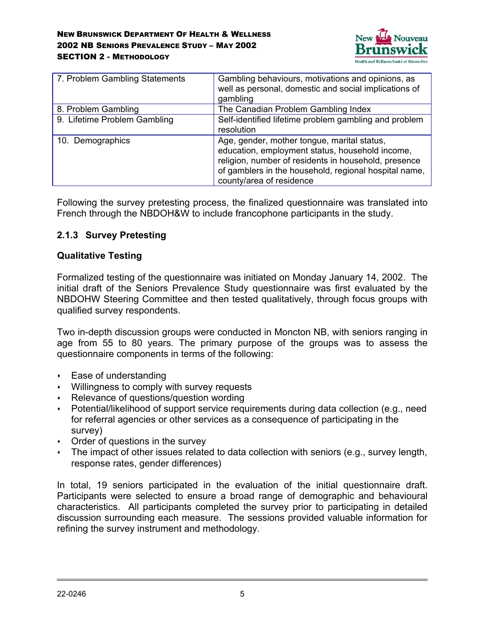

| 7. Problem Gambling Statements | Gambling behaviours, motivations and opinions, as<br>well as personal, domestic and social implications of<br>gambling                                                                                                                      |
|--------------------------------|---------------------------------------------------------------------------------------------------------------------------------------------------------------------------------------------------------------------------------------------|
| 8. Problem Gambling            | The Canadian Problem Gambling Index                                                                                                                                                                                                         |
| 9. Lifetime Problem Gambling   | Self-identified lifetime problem gambling and problem<br>resolution                                                                                                                                                                         |
| 10. Demographics               | Age, gender, mother tongue, marital status,<br>education, employment status, household income,<br>religion, number of residents in household, presence<br>of gamblers in the household, regional hospital name,<br>county/area of residence |

Following the survey pretesting process, the finalized questionnaire was translated into French through the NBDOH&W to include francophone participants in the study.

### **2.1.3 Survey Pretesting**

### **Qualitative Testing**

Formalized testing of the questionnaire was initiated on Monday January 14, 2002. The initial draft of the Seniors Prevalence Study questionnaire was first evaluated by the NBDOHW Steering Committee and then tested qualitatively, through focus groups with qualified survey respondents.

Two in-depth discussion groups were conducted in Moncton NB, with seniors ranging in age from 55 to 80 years. The primary purpose of the groups was to assess the questionnaire components in terms of the following:

- Ease of understanding
- Willingness to comply with survey requests
- Relevance of questions/question wording
- Potential/likelihood of support service requirements during data collection (e.g., need for referral agencies or other services as a consequence of participating in the survey)
- Order of questions in the survey
- The impact of other issues related to data collection with seniors (e.g., survey length, response rates, gender differences)

In total, 19 seniors participated in the evaluation of the initial questionnaire draft. Participants were selected to ensure a broad range of demographic and behavioural characteristics. All participants completed the survey prior to participating in detailed discussion surrounding each measure. The sessions provided valuable information for refining the survey instrument and methodology.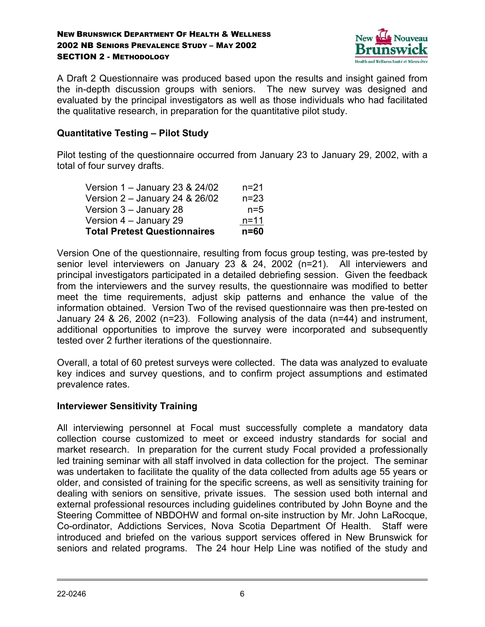

A Draft 2 Questionnaire was produced based upon the results and insight gained from the in-depth discussion groups with seniors. The new survey was designed and evaluated by the principal investigators as well as those individuals who had facilitated the qualitative research, in preparation for the quantitative pilot study.

### **Quantitative Testing – Pilot Study**

Pilot testing of the questionnaire occurred from January 23 to January 29, 2002, with a total of four survey drafts.

| <b>Total Pretest Questionnaires</b> | $n = 60$ |
|-------------------------------------|----------|
| Version 4 – January 29              | $n = 11$ |
| Version 3 – January 28              | $n=5$    |
| Version 2 – January 24 & 26/02      | $n = 23$ |
| Version 1 - January 23 & 24/02      | $n = 21$ |

Version One of the questionnaire, resulting from focus group testing, was pre-tested by senior level interviewers on January 23 & 24, 2002 (n=21). All interviewers and principal investigators participated in a detailed debriefing session. Given the feedback from the interviewers and the survey results, the questionnaire was modified to better meet the time requirements, adjust skip patterns and enhance the value of the information obtained. Version Two of the revised questionnaire was then pre-tested on January 24 & 26, 2002 (n=23). Following analysis of the data (n=44) and instrument, additional opportunities to improve the survey were incorporated and subsequently tested over 2 further iterations of the questionnaire.

Overall, a total of 60 pretest surveys were collected. The data was analyzed to evaluate key indices and survey questions, and to confirm project assumptions and estimated prevalence rates.

### **Interviewer Sensitivity Training**

All interviewing personnel at Focal must successfully complete a mandatory data collection course customized to meet or exceed industry standards for social and market research. In preparation for the current study Focal provided a professionally led training seminar with all staff involved in data collection for the project. The seminar was undertaken to facilitate the quality of the data collected from adults age 55 years or older, and consisted of training for the specific screens, as well as sensitivity training for dealing with seniors on sensitive, private issues. The session used both internal and external professional resources including guidelines contributed by John Boyne and the Steering Committee of NBDOHW and formal on-site instruction by Mr. John LaRocque, Co-ordinator, Addictions Services, Nova Scotia Department Of Health. Staff were introduced and briefed on the various support services offered in New Brunswick for seniors and related programs. The 24 hour Help Line was notified of the study and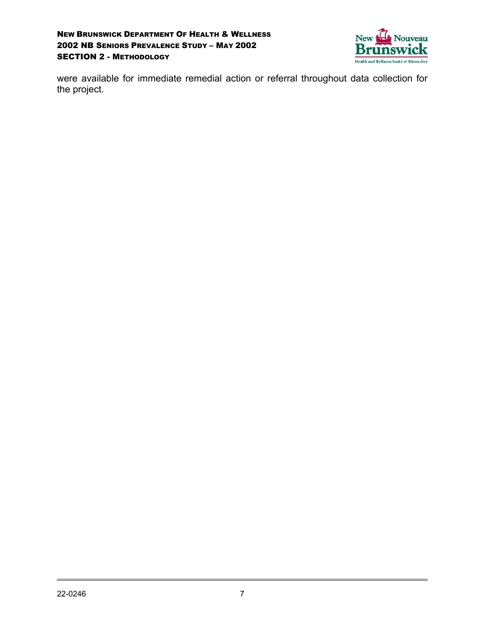

were available for immediate remedial action or referral throughout data collection for the project.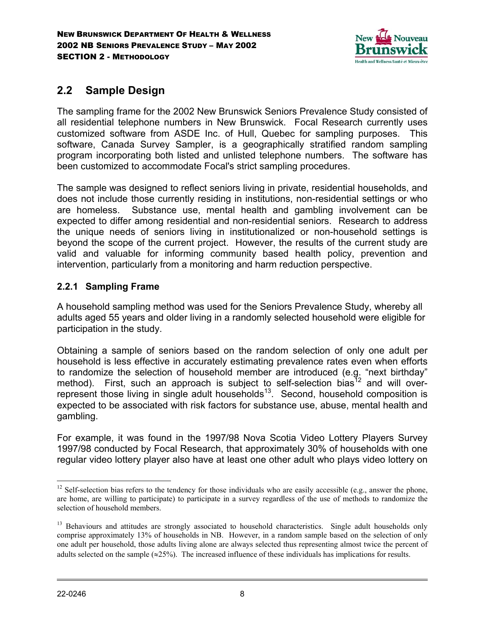

# **2.2 Sample Design**

The sampling frame for the 2002 New Brunswick Seniors Prevalence Study consisted of all residential telephone numbers in New Brunswick. Focal Research currently uses customized software from ASDE Inc. of Hull, Quebec for sampling purposes. This software, Canada Survey Sampler, is a geographically stratified random sampling program incorporating both listed and unlisted telephone numbers. The software has been customized to accommodate Focal's strict sampling procedures.

The sample was designed to reflect seniors living in private, residential households, and does not include those currently residing in institutions, non-residential settings or who are homeless. Substance use, mental health and gambling involvement can be expected to differ among residential and non-residential seniors. Research to address the unique needs of seniors living in institutionalized or non-household settings is beyond the scope of the current project. However, the results of the current study are valid and valuable for informing community based health policy, prevention and intervention, particularly from a monitoring and harm reduction perspective.

### **2.2.1 Sampling Frame**

A household sampling method was used for the Seniors Prevalence Study, whereby all adults aged 55 years and older living in a randomly selected household were eligible for participation in the study.

Obtaining a sample of seniors based on the random selection of only one adult per household is less effective in accurately estimating prevalence rates even when efforts to randomize the selection of household member are introduced (e.g. "next birthday" method). First, such an approach is subject to self-selection bias<sup>12</sup> and will overrepresent those living in single adult households<sup>13</sup>. Second, household composition is expected to be associated with risk factors for substance use, abuse, mental health and gambling.

For example, it was found in the 1997/98 Nova Scotia Video Lottery Players Survey 1997/98 conducted by Focal Research, that approximately 30% of households with one regular video lottery player also have at least one other adult who plays video lottery on

 $\overline{a}$ 

 $12$  Self-selection bias refers to the tendency for those individuals who are easily accessible (e.g., answer the phone, are home, are willing to participate) to participate in a survey regardless of the use of methods to randomize the selection of household members.

<sup>&</sup>lt;sup>13</sup> Behaviours and attitudes are strongly associated to household characteristics. Single adult households only comprise approximately 13% of households in NB. However, in a random sample based on the selection of only one adult per household, those adults living alone are always selected thus representing almost twice the percent of adults selected on the sample ( $\approx$ 25%). The increased influence of these individuals has implications for results.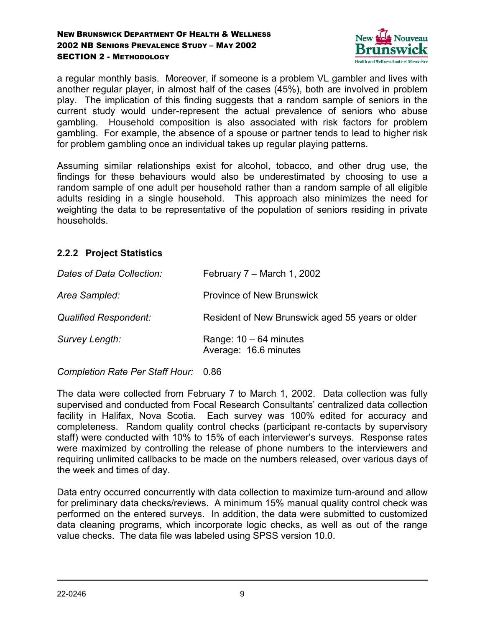

a regular monthly basis. Moreover, if someone is a problem VL gambler and lives with another regular player, in almost half of the cases (45%), both are involved in problem play. The implication of this finding suggests that a random sample of seniors in the current study would under-represent the actual prevalence of seniors who abuse gambling. Household composition is also associated with risk factors for problem gambling. For example, the absence of a spouse or partner tends to lead to higher risk for problem gambling once an individual takes up regular playing patterns.

Assuming similar relationships exist for alcohol, tobacco, and other drug use, the findings for these behaviours would also be underestimated by choosing to use a random sample of one adult per household rather than a random sample of all eligible adults residing in a single household. This approach also minimizes the need for weighting the data to be representative of the population of seniors residing in private households.

### **2.2.2 Project Statistics**

| Dates of Data Collection:    | February $7 -$ March 1, 2002                      |
|------------------------------|---------------------------------------------------|
| Area Sampled:                | <b>Province of New Brunswick</b>                  |
| <b>Qualified Respondent:</b> | Resident of New Brunswick aged 55 years or older  |
| Survey Length:               | Range: $10 - 64$ minutes<br>Average: 16.6 minutes |

*Completion Rate Per Staff Hour:* 0.86

The data were collected from February 7 to March 1, 2002. Data collection was fully supervised and conducted from Focal Research Consultants' centralized data collection facility in Halifax, Nova Scotia. Each survey was 100% edited for accuracy and completeness. Random quality control checks (participant re-contacts by supervisory staff) were conducted with 10% to 15% of each interviewer's surveys. Response rates were maximized by controlling the release of phone numbers to the interviewers and requiring unlimited callbacks to be made on the numbers released, over various days of the week and times of day.

Data entry occurred concurrently with data collection to maximize turn-around and allow for preliminary data checks/reviews. A minimum 15% manual quality control check was performed on the entered surveys. In addition, the data were submitted to customized data cleaning programs, which incorporate logic checks, as well as out of the range value checks. The data file was labeled using SPSS version 10.0.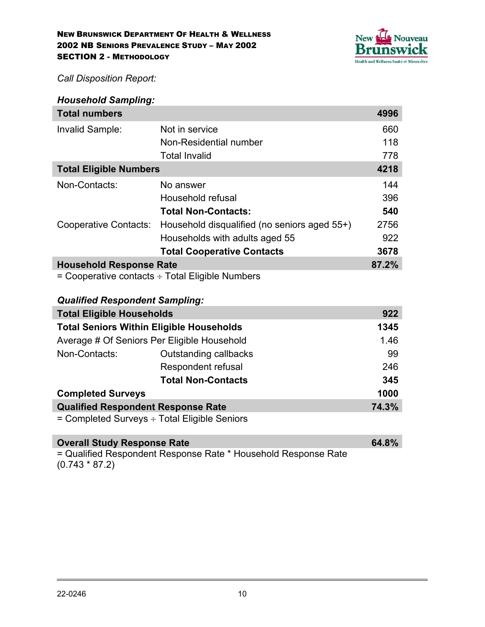

*Call Disposition Report:*

| <b>Household Sampling:</b>                       |                                              |      |  |  |  |
|--------------------------------------------------|----------------------------------------------|------|--|--|--|
| <b>Total numbers</b>                             |                                              | 4996 |  |  |  |
| Invalid Sample:                                  | Not in service                               | 660  |  |  |  |
|                                                  | Non-Residential number                       | 118  |  |  |  |
|                                                  | <b>Total Invalid</b>                         | 778  |  |  |  |
| <b>Total Eligible Numbers</b>                    |                                              |      |  |  |  |
| Non-Contacts:                                    | No answer                                    | 144  |  |  |  |
|                                                  | Household refusal                            | 396  |  |  |  |
|                                                  | <b>Total Non-Contacts:</b>                   | 540  |  |  |  |
| Cooperative Contacts:                            | Household disqualified (no seniors aged 55+) | 2756 |  |  |  |
|                                                  | Households with adults aged 55               | 922  |  |  |  |
|                                                  | <b>Total Cooperative Contacts</b>            | 3678 |  |  |  |
| <b>Household Response Rate</b>                   |                                              |      |  |  |  |
| - Cooperative contacts  . Total Eligible Numbers |                                              |      |  |  |  |

 $=$  Cooperative contacts  $\div$  Total Eligible Numbers

### *Qualified Respondent Sampling:*

| <b>Total Eligible Households</b>                    | 922                |     |  |  |
|-----------------------------------------------------|--------------------|-----|--|--|
| <b>Total Seniors Within Eligible Households</b>     |                    |     |  |  |
| Average # Of Seniors Per Eligible Household         |                    |     |  |  |
| Non-Contacts:                                       | 99                 |     |  |  |
|                                                     | Respondent refusal | 246 |  |  |
|                                                     | 345                |     |  |  |
| <b>Completed Surveys</b>                            | 1000               |     |  |  |
| <b>Qualified Respondent Response Rate</b>           |                    |     |  |  |
| $=$ Completed Surveys $\div$ Total Eligible Seniors |                    |     |  |  |

## **Overall Study Response Rate 64.8%** = Qualified Respondent Response Rate \* Household Response Rate

(0.743 \* 87.2)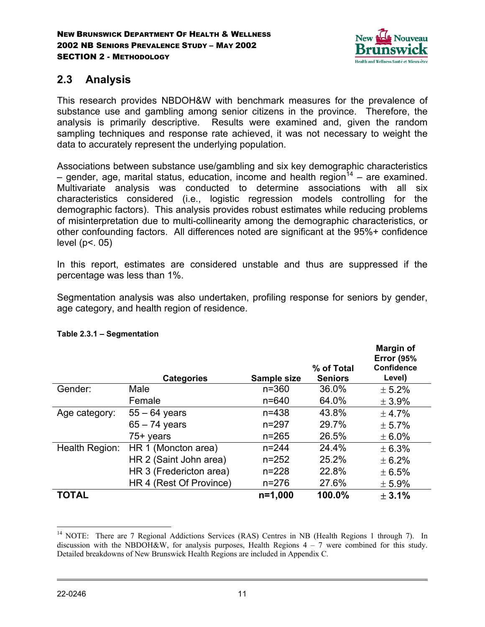

## **2.3 Analysis**

This research provides NBDOH&W with benchmark measures for the prevalence of substance use and gambling among senior citizens in the province. Therefore, the analysis is primarily descriptive. Results were examined and, given the random sampling techniques and response rate achieved, it was not necessary to weight the data to accurately represent the underlying population.

Associations between substance use/gambling and six key demographic characteristics – gender, age, marital status, education, income and health region<sup>14</sup> – are examined. Multivariate analysis was conducted to determine associations with all six characteristics considered (i.e., logistic regression models controlling for the demographic factors). This analysis provides robust estimates while reducing problems of misinterpretation due to multi-collinearity among the demographic characteristics, or other confounding factors. All differences noted are significant at the 95%+ confidence level ( $p$ <. 05)

In this report, estimates are considered unstable and thus are suppressed if the percentage was less than 1%.

Segmentation analysis was also undertaken, profiling response for seniors by gender, age category, and health region of residence.

|                |                         |             |                | <b>Margin of</b><br><b>Error (95%</b> |
|----------------|-------------------------|-------------|----------------|---------------------------------------|
|                |                         |             | % of Total     | Confidence                            |
|                | <b>Categories</b>       | Sample size | <b>Seniors</b> | Level)                                |
| Gender:        | Male                    | $n = 360$   | 36.0%          | ± 5.2%                                |
|                | Female                  | $n = 640$   | 64.0%          | $\pm$ 3.9%                            |
| Age category:  | $55 - 64$ years         | $n = 438$   | 43.8%          | ± 4.7%                                |
|                | $65 - 74$ years         | $n = 297$   | 29.7%          | ± 5.7%                                |
|                | $75+$ years             | $n = 265$   | 26.5%          | $\pm 6.0\%$                           |
| Health Region: | HR 1 (Moncton area)     | $n = 244$   | 24.4%          | ± 6.3%                                |
|                | HR 2 (Saint John area)  | $n = 252$   | 25.2%          | $\pm 6.2%$                            |
|                | HR 3 (Fredericton area) | $n = 228$   | 22.8%          | ± 6.5%                                |
|                | HR 4 (Rest Of Province) | $n = 276$   | 27.6%          | $± 5.9\%$                             |
| <b>TOTAL</b>   |                         | $n=1,000$   | 100.0%         | ± 3.1%                                |

### **Table 2.3.1 – Segmentation**

 $\overline{a}$ <sup>14</sup> NOTE: There are 7 Regional Addictions Services (RAS) Centres in NB (Health Regions 1 through 7). In discussion with the NBDOH&W, for analysis purposes, Health Regions  $4 - 7$  were combined for this study. Detailed breakdowns of New Brunswick Health Regions are included in Appendix C.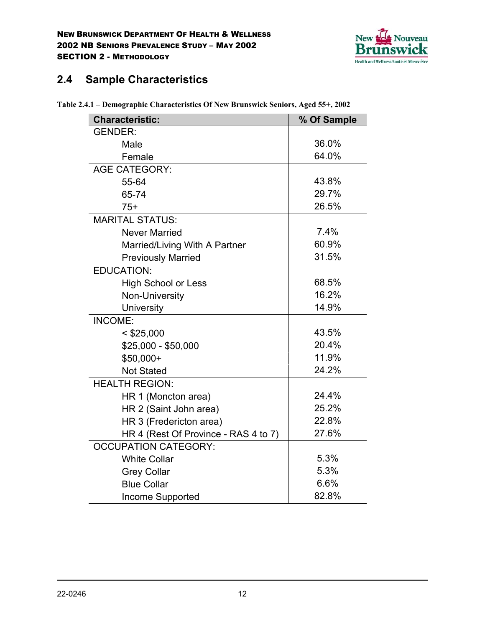

# **2.4 Sample Characteristics**

| <b>Characteristic:</b>               | % Of Sample |
|--------------------------------------|-------------|
| <b>GENDER:</b>                       |             |
| Male                                 | 36.0%       |
| Female                               | 64.0%       |
| <b>AGE CATEGORY:</b>                 |             |
| 55-64                                | 43.8%       |
| 65-74                                | 29.7%       |
| $75+$                                | 26.5%       |
| <b>MARITAL STATUS:</b>               |             |
| <b>Never Married</b>                 | 7.4%        |
| Married/Living With A Partner        | 60.9%       |
| <b>Previously Married</b>            | 31.5%       |
| <b>EDUCATION:</b>                    |             |
| <b>High School or Less</b>           | 68.5%       |
| Non-University                       | 16.2%       |
| University                           | 14.9%       |
| <b>INCOME:</b>                       |             |
| $<$ \$25,000                         | 43.5%       |
| \$25,000 - \$50,000                  | 20.4%       |
| \$50,000+                            | 11.9%       |
| <b>Not Stated</b>                    | 24.2%       |
| <b>HEALTH REGION:</b>                |             |
| HR 1 (Moncton area)                  | 24.4%       |
| HR 2 (Saint John area)               | 25.2%       |
| HR 3 (Fredericton area)              | 22.8%       |
| HR 4 (Rest Of Province - RAS 4 to 7) | 27.6%       |
| <b>OCCUPATION CATEGORY:</b>          |             |
| <b>White Collar</b>                  | 5.3%        |
| <b>Grey Collar</b>                   | 5.3%        |
| <b>Blue Collar</b>                   | 6.6%        |
| Income Supported                     | 82.8%       |

**Table 2.4.1 – Demographic Characteristics Of New Brunswick Seniors, Aged 55+, 2002**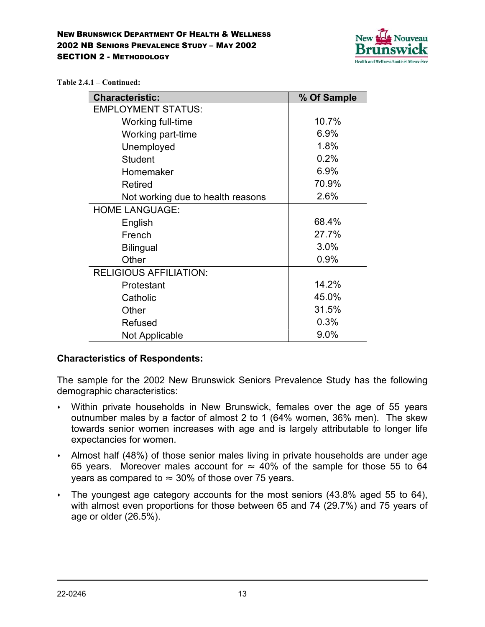

**Table 2.4.1 – Continued:**

| <b>Characteristic:</b>            | % Of Sample |
|-----------------------------------|-------------|
| <b>EMPLOYMENT STATUS:</b>         |             |
| Working full-time                 | 10.7%       |
| Working part-time                 | 6.9%        |
| Unemployed                        | 1.8%        |
| <b>Student</b>                    | 0.2%        |
| Homemaker                         | 6.9%        |
| <b>Retired</b>                    | 70.9%       |
| Not working due to health reasons | 2.6%        |
| <b>HOME LANGUAGE:</b>             |             |
| English                           | 68.4%       |
| French                            | 27.7%       |
| <b>Bilingual</b>                  | 3.0%        |
| Other                             | 0.9%        |
| <b>RELIGIOUS AFFILIATION:</b>     |             |
| Protestant                        | 14.2%       |
| Catholic                          | 45.0%       |
| Other                             | 31.5%       |
| Refused                           | 0.3%        |
| Not Applicable                    | 9.0%        |

### **Characteristics of Respondents:**

The sample for the 2002 New Brunswick Seniors Prevalence Study has the following demographic characteristics:

- Within private households in New Brunswick, females over the age of 55 years outnumber males by a factor of almost 2 to 1 (64% women, 36% men). The skew towards senior women increases with age and is largely attributable to longer life expectancies for women.
- Almost half (48%) of those senior males living in private households are under age 65 years. Moreover males account for  $\approx$  40% of the sample for those 55 to 64 years as compared to  $\approx$  30% of those over 75 years.
- The youngest age category accounts for the most seniors (43.8% aged 55 to 64), with almost even proportions for those between 65 and 74 (29.7%) and 75 years of age or older (26.5%).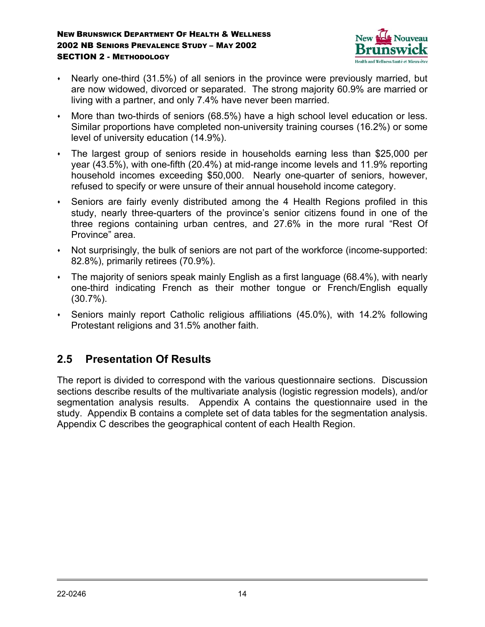

- Nearly one-third (31.5%) of all seniors in the province were previously married, but are now widowed, divorced or separated. The strong majority 60.9% are married or living with a partner, and only 7.4% have never been married.
- More than two-thirds of seniors (68.5%) have a high school level education or less. Similar proportions have completed non-university training courses (16.2%) or some level of university education (14.9%).
- The largest group of seniors reside in households earning less than \$25,000 per year (43.5%), with one-fifth (20.4%) at mid-range income levels and 11.9% reporting household incomes exceeding \$50,000. Nearly one-quarter of seniors, however, refused to specify or were unsure of their annual household income category.
- Seniors are fairly evenly distributed among the 4 Health Regions profiled in this study, nearly three-quarters of the province's senior citizens found in one of the three regions containing urban centres, and 27.6% in the more rural "Rest Of Province" area.
- Not surprisingly, the bulk of seniors are not part of the workforce (income-supported: 82.8%), primarily retirees (70.9%).
- The majority of seniors speak mainly English as a first language (68.4%), with nearly one-third indicating French as their mother tongue or French/English equally (30.7%).
- Seniors mainly report Catholic religious affiliations (45.0%), with 14.2% following Protestant religions and 31.5% another faith.

## **2.5 Presentation Of Results**

The report is divided to correspond with the various questionnaire sections. Discussion sections describe results of the multivariate analysis (logistic regression models), and/or segmentation analysis results. Appendix A contains the questionnaire used in the study. Appendix B contains a complete set of data tables for the segmentation analysis. Appendix C describes the geographical content of each Health Region.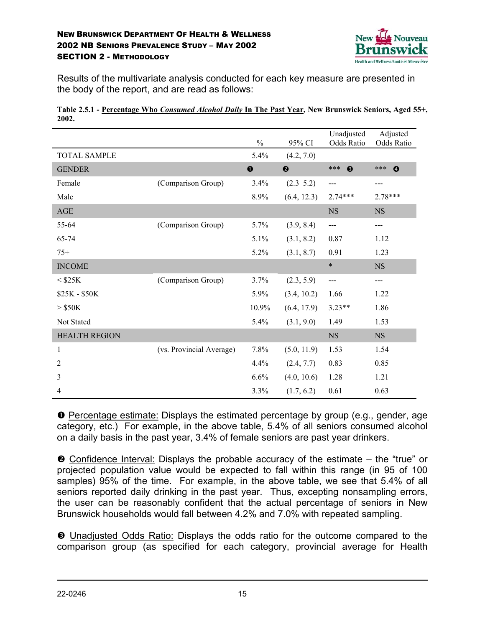

Results of the multivariate analysis conducted for each key measure are presented in the body of the report, and are read as follows:

| Table 2.5.1 - Percentage Who Consumed Alcohol Daily In The Past Year, New Brunswick Seniors, Aged 55+, |  |  |  |
|--------------------------------------------------------------------------------------------------------|--|--|--|
| 2002                                                                                                   |  |  |  |

|                      |                          | $\frac{0}{0}$ | 95% CI                | Unadjusted<br>Odds Ratio | Adjusted<br>Odds Ratio    |
|----------------------|--------------------------|---------------|-----------------------|--------------------------|---------------------------|
| <b>TOTAL SAMPLE</b>  |                          | 5.4%          | (4.2, 7.0)            |                          |                           |
| <b>GENDER</b>        |                          | $\bf{0}$      | $\boldsymbol{\Theta}$ | ***<br>$\bullet$         | $***$<br>$\boldsymbol{Q}$ |
| Female               | (Comparison Group)       | 3.4%          | $(2.3 \t5.2)$         | ---                      | ---                       |
| Male                 |                          | 8.9%          | (6.4, 12.3)           | $2.74***$                | 2.78***                   |
| AGE                  |                          |               |                       | <b>NS</b>                | <b>NS</b>                 |
| 55-64                | (Comparison Group)       | 5.7%          | (3.9, 8.4)            | ---                      | ---                       |
| 65-74                |                          | 5.1%          | (3.1, 8.2)            | 0.87                     | 1.12                      |
| $75+$                |                          | 5.2%          | (3.1, 8.7)            | 0.91                     | 1.23                      |
| <b>INCOME</b>        |                          |               |                       | $\ast$                   | $_{\rm NS}$               |
| $<$ \$25K            | (Comparison Group)       | 3.7%          | (2.3, 5.9)            | $---$                    | ---                       |
| \$25K - \$50K        |                          | 5.9%          | (3.4, 10.2)           | 1.66                     | 1.22                      |
| $>$ \$50K            |                          | 10.9%         | (6.4, 17.9)           | $3.23**$                 | 1.86                      |
| Not Stated           |                          | 5.4%          | (3.1, 9.0)            | 1.49                     | 1.53                      |
| <b>HEALTH REGION</b> |                          |               |                       | $_{\rm NS}$              | $_{\rm NS}$               |
| 1                    | (vs. Provincial Average) | 7.8%          | (5.0, 11.9)           | 1.53                     | 1.54                      |
| $\overline{2}$       |                          | 4.4%          | (2.4, 7.7)            | 0.83                     | 0.85                      |
| 3                    |                          | 6.6%          | (4.0, 10.6)           | 1.28                     | 1.21                      |
| 4                    |                          | 3.3%          | (1.7, 6.2)            | 0.61                     | 0.63                      |

n Percentage estimate: Displays the estimated percentage by group (e.g., gender, age category, etc.) For example, in the above table, 5.4% of all seniors consumed alcohol on a daily basis in the past year, 3.4% of female seniors are past year drinkers.

 $\odot$  Confidence Interval: Displays the probable accuracy of the estimate – the "true" or projected population value would be expected to fall within this range (in 95 of 100 samples) 95% of the time. For example, in the above table, we see that 5.4% of all seniors reported daily drinking in the past year. Thus, excepting nonsampling errors, the user can be reasonably confident that the actual percentage of seniors in New Brunswick households would fall between 4.2% and 7.0% with repeated sampling.

 $\Theta$  Unadjusted Odds Ratio: Displays the odds ratio for the outcome compared to the comparison group (as specified for each category, provincial average for Health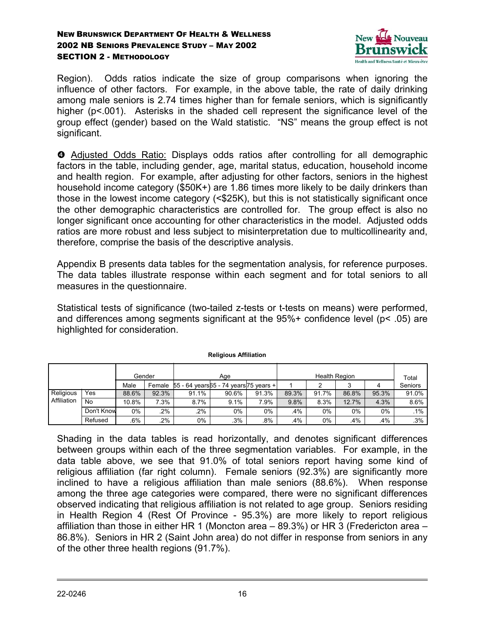

Region). Odds ratios indicate the size of group comparisons when ignoring the influence of other factors. For example, in the above table, the rate of daily drinking among male seniors is 2.74 times higher than for female seniors, which is significantly higher (p<.001). Asterisks in the shaded cell represent the significance level of the group effect (gender) based on the Wald statistic. "NS" means the group effect is not significant.

q Adjusted Odds Ratio: Displays odds ratios after controlling for all demographic factors in the table, including gender, age, marital status, education, household income and health region. For example, after adjusting for other factors, seniors in the highest household income category (\$50K+) are 1.86 times more likely to be daily drinkers than those in the lowest income category (<\$25K), but this is not statistically significant once the other demographic characteristics are controlled for. The group effect is also no longer significant once accounting for other characteristics in the model. Adjusted odds ratios are more robust and less subject to misinterpretation due to multicollinearity and, therefore, comprise the basis of the descriptive analysis.

Appendix B presents data tables for the segmentation analysis, for reference purposes. The data tables illustrate response within each segment and for total seniors to all measures in the questionnaire.

Statistical tests of significance (two-tailed z-tests or t-tests on means) were performed, and differences among segments significant at the 95%+ confidence level (p< .05) are highlighted for consideration.

| Gender                   |            | Age   |        |                                        | <b>Health Region</b> |        |       |       | Total |       |         |
|--------------------------|------------|-------|--------|----------------------------------------|----------------------|--------|-------|-------|-------|-------|---------|
|                          |            | Male  | Female | 55 - 64 years 55 - 74 years 75 years + |                      |        |       |       |       |       | Seniors |
| Religious<br>Affiliation | Yes        | 88.6% | 92.3%  | 91.1%                                  | 90.6%                | 91.3%  | 89.3% | 91.7% | 86.8% | 95.3% | 91.0%   |
|                          | No         | 10.8% | 7.3%   | 8.7%                                   | 9.1%                 | $.9\%$ | 9.8%  | 8.3%  | 12.7% | 4.3%  | 8.6%    |
|                          | Don't Know | 0%    | 2%     | .2%                                    | 0%                   | 0%     | .4%   | 0%    | 0%    | 0%    | $.1\%$  |
|                          | Refused    | .6%   | 2%     | 0%                                     | .3%                  | .8%    | .4%   | 0%    | .4%   | .4%   | $.3\%$  |

#### **Religious Affiliation**

Shading in the data tables is read horizontally, and denotes significant differences between groups within each of the three segmentation variables. For example, in the data table above, we see that 91.0% of total seniors report having some kind of religious affiliation (far right column). Female seniors (92.3%) are significantly more inclined to have a religious affiliation than male seniors (88.6%). When response among the three age categories were compared, there were no significant differences observed indicating that religious affiliation is not related to age group. Seniors residing in Health Region 4 (Rest Of Province - 95.3%) are more likely to report religious affiliation than those in either HR 1 (Moncton area – 89.3%) or HR 3 (Fredericton area – 86.8%). Seniors in HR 2 (Saint John area) do not differ in response from seniors in any of the other three health regions (91.7%).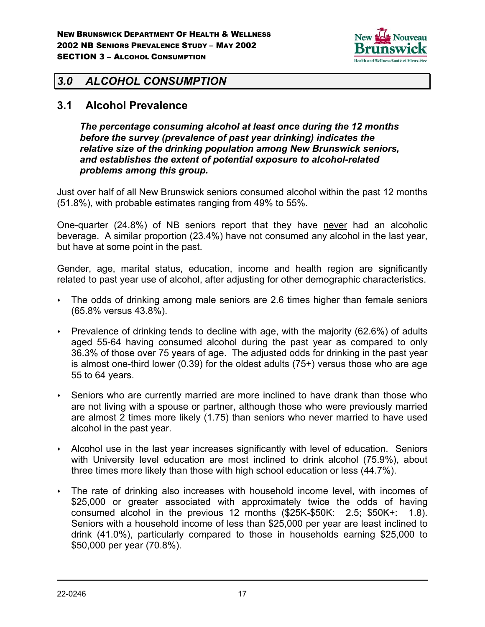

## *3.0 ALCOHOL CONSUMPTION*

### **3.1 Alcohol Prevalence**

*The percentage consuming alcohol at least once during the 12 months before the survey (prevalence of past year drinking) indicates the relative size of the drinking population among New Brunswick seniors, and establishes the extent of potential exposure to alcohol-related problems among this group.*

Just over half of all New Brunswick seniors consumed alcohol within the past 12 months (51.8%), with probable estimates ranging from 49% to 55%.

One-quarter (24.8%) of NB seniors report that they have never had an alcoholic beverage. A similar proportion (23.4%) have not consumed any alcohol in the last year, but have at some point in the past.

Gender, age, marital status, education, income and health region are significantly related to past year use of alcohol, after adjusting for other demographic characteristics.

- The odds of drinking among male seniors are 2.6 times higher than female seniors (65.8% versus 43.8%).
- $\cdot$  Prevalence of drinking tends to decline with age, with the majority (62.6%) of adults aged 55-64 having consumed alcohol during the past year as compared to only 36.3% of those over 75 years of age. The adjusted odds for drinking in the past year is almost one-third lower (0.39) for the oldest adults (75+) versus those who are age 55 to 64 years.
- Seniors who are currently married are more inclined to have drank than those who are not living with a spouse or partner, although those who were previously married are almost 2 times more likely (1.75) than seniors who never married to have used alcohol in the past year.
- Alcohol use in the last year increases significantly with level of education. Seniors with University level education are most inclined to drink alcohol (75.9%), about three times more likely than those with high school education or less (44.7%).
- The rate of drinking also increases with household income level, with incomes of \$25,000 or greater associated with approximately twice the odds of having consumed alcohol in the previous 12 months (\$25K-\$50K: 2.5; \$50K+: 1.8). Seniors with a household income of less than \$25,000 per year are least inclined to drink (41.0%), particularly compared to those in households earning \$25,000 to \$50,000 per year (70.8%).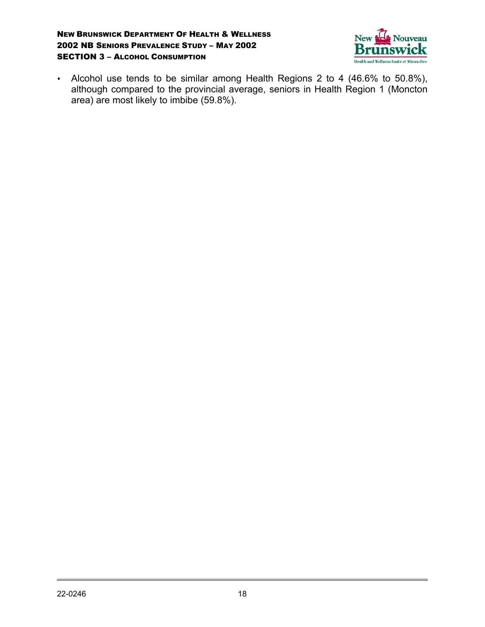#### NEW BRUNSWICK DEPARTMENT OF HEALTH & WELLNESS 2002 NB SENIORS PREVALENCE STUDY – MAY 2002 **SECTION 3 - ALCOHOL CONSUMPTION**



 Alcohol use tends to be similar among Health Regions 2 to 4 (46.6% to 50.8%), although compared to the provincial average, seniors in Health Region 1 (Moncton area) are most likely to imbibe (59.8%).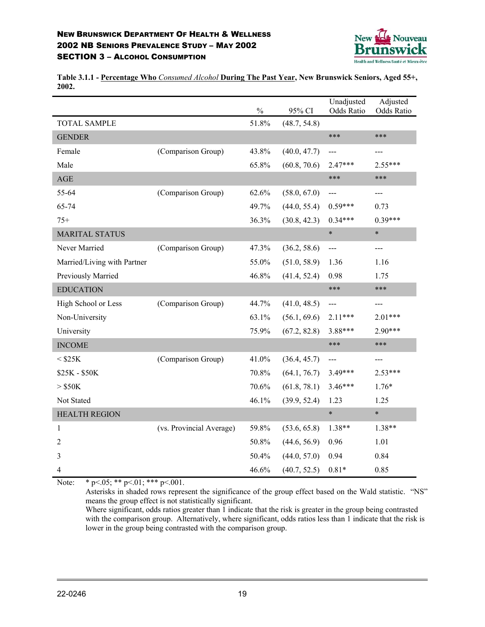#### NEW BRUNSWICK DEPARTMENT OF HEALTH & WELLNESS 2002 NB SENIORS PREVALENCE STUDY – MAY 2002 **SECTION 3 - ALCOHOL CONSUMPTION**



**Table 3.1.1 - Percentage Who** *Consumed Alcohol* **During The Past Year, New Brunswick Seniors, Aged 55+, 2002.**

|                             |                          | $\frac{0}{0}$ | 95% CI       | Unadjusted<br>Odds Ratio | Adjusted<br>Odds Ratio |
|-----------------------------|--------------------------|---------------|--------------|--------------------------|------------------------|
| <b>TOTAL SAMPLE</b>         |                          | 51.8%         | (48.7, 54.8) |                          |                        |
| <b>GENDER</b>               |                          |               |              | ***                      | ***                    |
| Female                      | (Comparison Group)       | 43.8%         | (40.0, 47.7) | ---                      | ---                    |
| Male                        |                          | 65.8%         | (60.8, 70.6) | $2.47***$                | $2.55***$              |
| $\mathbf{AGE}$              |                          |               |              | ***                      | ***                    |
| 55-64                       | (Comparison Group)       | 62.6%         | (58.0, 67.0) | ---                      | ---                    |
| 65-74                       |                          | 49.7%         | (44.0, 55.4) | $0.59***$                | 0.73                   |
| $75+$                       |                          | 36.3%         | (30.8, 42.3) | $0.34***$                | $0.39***$              |
| <b>MARITAL STATUS</b>       |                          |               |              | $\ast$                   | $\ast$                 |
| Never Married               | (Comparison Group)       | 47.3%         | (36.2, 58.6) | $---$                    | ---                    |
| Married/Living with Partner |                          | 55.0%         | (51.0, 58.9) | 1.36                     | 1.16                   |
| Previously Married          |                          | 46.8%         | (41.4, 52.4) | 0.98                     | 1.75                   |
| <b>EDUCATION</b>            |                          |               |              | ***                      | ***                    |
| High School or Less         | (Comparison Group)       | 44.7%         | (41.0, 48.5) | ---                      | ---                    |
| Non-University              |                          | 63.1%         | (56.1, 69.6) | $2.11***$                | $2.01***$              |
| University                  |                          | 75.9%         | (67.2, 82.8) | 3.88***                  | $2.90***$              |
| <b>INCOME</b>               |                          |               |              | ***                      | ***                    |
| $<$ \$25K                   | (Comparison Group)       | 41.0%         | (36.4, 45.7) | ---                      | ---                    |
| \$25K - \$50K               |                          | 70.8%         | (64.1, 76.7) | 3.49***                  | $2.53***$              |
| $>$ \$50K                   |                          | 70.6%         | (61.8, 78.1) | $3.46***$                | $1.76*$                |
| Not Stated                  |                          | 46.1%         | (39.9, 52.4) | 1.23                     | 1.25                   |
| <b>HEALTH REGION</b>        |                          |               |              | $\ast$                   | $\ast$                 |
| 1                           | (vs. Provincial Average) | 59.8%         | (53.6, 65.8) | 1.38**                   | $1.38**$               |
| 2                           |                          | 50.8%         | (44.6, 56.9) | 0.96                     | 1.01                   |
| 3                           |                          | 50.4%         | (44.0, 57.0) | 0.94                     | 0.84                   |
| 4                           |                          | 46.6%         | (40.7, 52.5) | $0.81*$                  | 0.85                   |

Note: \*  $p<.05;$  \*\*  $p<.01;$  \*\*\*  $p<.001.$ 

Asterisks in shaded rows represent the significance of the group effect based on the Wald statistic. "NS" means the group effect is not statistically significant.

Where significant, odds ratios greater than 1 indicate that the risk is greater in the group being contrasted with the comparison group. Alternatively, where significant, odds ratios less than 1 indicate that the risk is lower in the group being contrasted with the comparison group.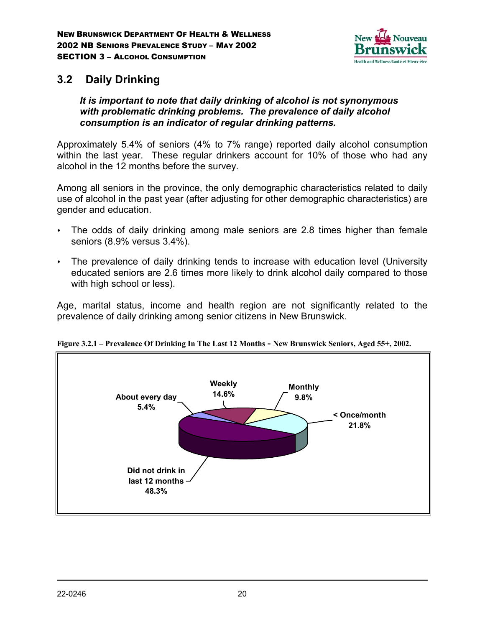

## **3.2 Daily Drinking**

### *It is important to note that daily drinking of alcohol is not synonymous with problematic drinking problems. The prevalence of daily alcohol consumption is an indicator of regular drinking patterns.*

Approximately 5.4% of seniors (4% to 7% range) reported daily alcohol consumption within the last year. These regular drinkers account for 10% of those who had any alcohol in the 12 months before the survey.

Among all seniors in the province, the only demographic characteristics related to daily use of alcohol in the past year (after adjusting for other demographic characteristics) are gender and education.

- The odds of daily drinking among male seniors are 2.8 times higher than female seniors (8.9% versus 3.4%).
- The prevalence of daily drinking tends to increase with education level (University educated seniors are 2.6 times more likely to drink alcohol daily compared to those with high school or less).

Age, marital status, income and health region are not significantly related to the prevalence of daily drinking among senior citizens in New Brunswick.



**Figure 3.2.1 – Prevalence Of Drinking In The Last 12 Months - New Brunswick Seniors, Aged 55+, 2002.**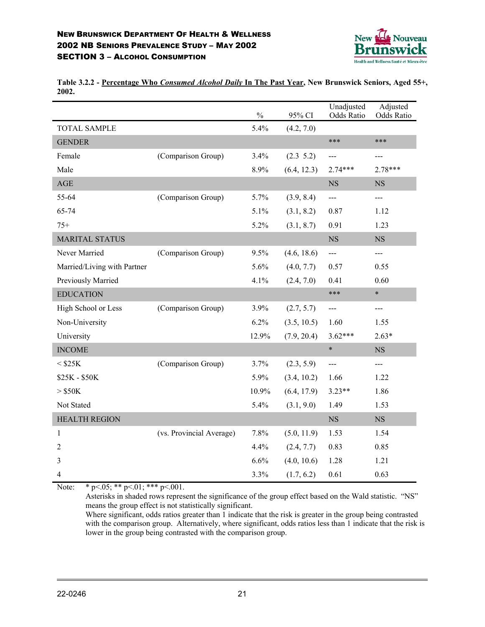

**Table 3.2.2 - Percentage Who** *Consumed Alcohol Daily* **In The Past Year, New Brunswick Seniors, Aged 55+, 2002.**

|                             |                          | $\%$  | 95% CI        | Unadjusted<br>Odds Ratio | Adjusted<br>Odds Ratio |
|-----------------------------|--------------------------|-------|---------------|--------------------------|------------------------|
| <b>TOTAL SAMPLE</b>         |                          | 5.4%  | (4.2, 7.0)    |                          |                        |
| <b>GENDER</b>               |                          |       |               | ***                      | ***                    |
| Female                      | (Comparison Group)       | 3.4%  | $(2.3 \t5.2)$ | ---                      | $---$                  |
| Male                        |                          | 8.9%  | (6.4, 12.3)   | $2.74***$                | 2.78***                |
| AGE                         |                          |       |               | <b>NS</b>                | <b>NS</b>              |
| 55-64                       | (Comparison Group)       | 5.7%  | (3.9, 8.4)    | $---$                    | $---$                  |
| 65-74                       |                          | 5.1%  | (3.1, 8.2)    | 0.87                     | 1.12                   |
| $75+$                       |                          | 5.2%  | (3.1, 8.7)    | 0.91                     | 1.23                   |
| <b>MARITAL STATUS</b>       |                          |       |               | $_{\rm NS}$              | $_{\rm NS}$            |
| Never Married               | (Comparison Group)       | 9.5%  | (4.6, 18.6)   | ---                      | ---                    |
| Married/Living with Partner |                          | 5.6%  | (4.0, 7.7)    | 0.57                     | 0.55                   |
| Previously Married          |                          | 4.1%  | (2.4, 7.0)    | 0.41                     | 0.60                   |
| <b>EDUCATION</b>            |                          |       |               | ***                      | $\ast$                 |
| High School or Less         | (Comparison Group)       | 3.9%  | (2.7, 5.7)    | $\qquad \qquad -$        | $---$                  |
| Non-University              |                          | 6.2%  | (3.5, 10.5)   | 1.60                     | 1.55                   |
| University                  |                          | 12.9% | (7.9, 20.4)   | $3.62***$                | $2.63*$                |
| <b>INCOME</b>               |                          |       |               | $\ast$                   | <b>NS</b>              |
| $<$ \$25K                   | (Comparison Group)       | 3.7%  | (2.3, 5.9)    | $---$                    | ---                    |
| \$25K - \$50K               |                          | 5.9%  | (3.4, 10.2)   | 1.66                     | 1.22                   |
| $>$ \$50K                   |                          | 10.9% | (6.4, 17.9)   | $3.23**$                 | 1.86                   |
| Not Stated                  |                          | 5.4%  | (3.1, 9.0)    | 1.49                     | 1.53                   |
| <b>HEALTH REGION</b>        |                          |       |               | NS                       | NS                     |
| 1                           | (vs. Provincial Average) | 7.8%  | (5.0, 11.9)   | 1.53                     | 1.54                   |
| $\overline{2}$              |                          | 4.4%  | (2.4, 7.7)    | 0.83                     | 0.85                   |
| 3                           |                          | 6.6%  | (4.0, 10.6)   | 1.28                     | 1.21                   |
| 4                           |                          | 3.3%  | (1.7, 6.2)    | 0.61                     | 0.63                   |

Note: \*  $p<05;$  \*\*  $p<01;$  \*\*\*  $p<001$ .

Asterisks in shaded rows represent the significance of the group effect based on the Wald statistic. "NS" means the group effect is not statistically significant.

Where significant, odds ratios greater than 1 indicate that the risk is greater in the group being contrasted with the comparison group. Alternatively, where significant, odds ratios less than 1 indicate that the risk is lower in the group being contrasted with the comparison group.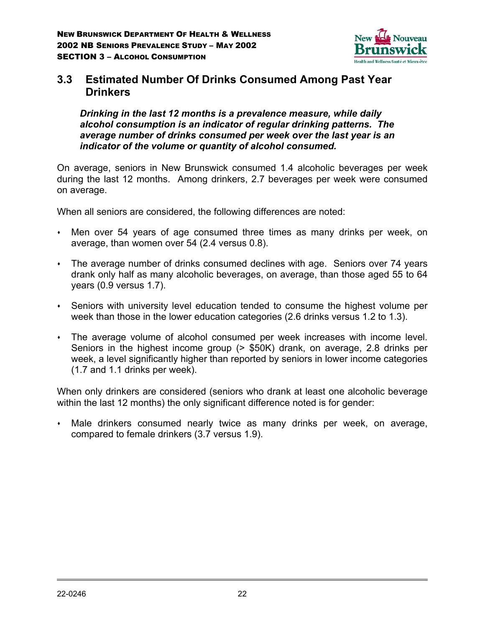

## **3.3 Estimated Number Of Drinks Consumed Among Past Year Drinkers**

*Drinking in the last 12 months is a prevalence measure, while daily alcohol consumption is an indicator of regular drinking patterns. The average number of drinks consumed per week over the last year is an indicator of the volume or quantity of alcohol consumed.*

On average, seniors in New Brunswick consumed 1.4 alcoholic beverages per week during the last 12 months. Among drinkers, 2.7 beverages per week were consumed on average.

When all seniors are considered, the following differences are noted:

- Men over 54 years of age consumed three times as many drinks per week, on average, than women over 54 (2.4 versus 0.8).
- The average number of drinks consumed declines with age. Seniors over 74 years drank only half as many alcoholic beverages, on average, than those aged 55 to 64 years (0.9 versus 1.7).
- Seniors with university level education tended to consume the highest volume per week than those in the lower education categories (2.6 drinks versus 1.2 to 1.3).
- The average volume of alcohol consumed per week increases with income level. Seniors in the highest income group (> \$50K) drank, on average, 2.8 drinks per week, a level significantly higher than reported by seniors in lower income categories (1.7 and 1.1 drinks per week).

When only drinkers are considered (seniors who drank at least one alcoholic beverage within the last 12 months) the only significant difference noted is for gender:

 Male drinkers consumed nearly twice as many drinks per week, on average, compared to female drinkers (3.7 versus 1.9).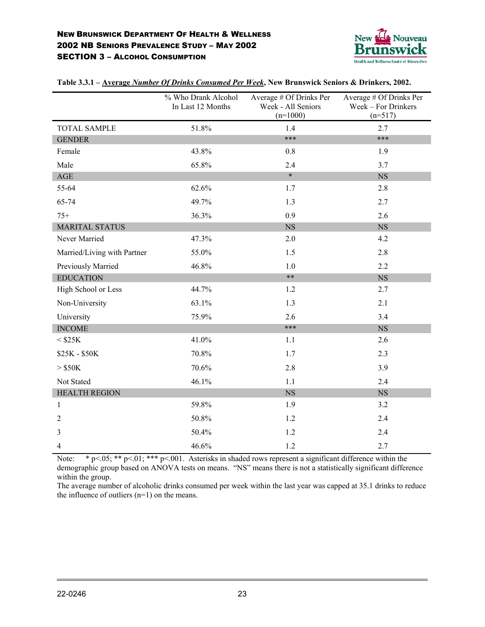

|                             | % Who Drank Alcohol<br>In Last 12 Months | Average # Of Drinks Per<br>Week - All Seniors<br>$(n=1000)$ | Average # Of Drinks Per<br>Week - For Drinkers<br>$(n=517)$ |
|-----------------------------|------------------------------------------|-------------------------------------------------------------|-------------------------------------------------------------|
| <b>TOTAL SAMPLE</b>         | 51.8%                                    | 1.4                                                         | 2.7                                                         |
| <b>GENDER</b>               |                                          | ***                                                         | $***$                                                       |
| Female                      | 43.8%                                    | 0.8                                                         | 1.9                                                         |
| Male                        | 65.8%                                    | 2.4                                                         | 3.7                                                         |
| AGE                         |                                          | $\ast$                                                      | <b>NS</b>                                                   |
| 55-64                       | 62.6%                                    | 1.7                                                         | 2.8                                                         |
| 65-74                       | 49.7%                                    | 1.3                                                         | 2.7                                                         |
| $75+$                       | 36.3%                                    | 0.9                                                         | 2.6                                                         |
| <b>MARITAL STATUS</b>       |                                          | <b>NS</b>                                                   | <b>NS</b>                                                   |
| Never Married               | 47.3%                                    | 2.0                                                         | 4.2                                                         |
| Married/Living with Partner | 55.0%                                    | 1.5                                                         | 2.8                                                         |
| Previously Married          | 46.8%                                    | 1.0                                                         | 2.2                                                         |
| <b>EDUCATION</b>            |                                          | $***$                                                       | <b>NS</b>                                                   |
| High School or Less         | 44.7%                                    | 1.2                                                         | 2.7                                                         |
| Non-University              | 63.1%                                    | 1.3                                                         | 2.1                                                         |
| University                  | 75.9%                                    | 2.6                                                         | 3.4                                                         |
| <b>INCOME</b>               |                                          | ***                                                         | <b>NS</b>                                                   |
| $<$ $$25K$                  | 41.0%                                    | 1.1                                                         | 2.6                                                         |
| \$25K - \$50K               | 70.8%                                    | 1.7                                                         | 2.3                                                         |
| $>$ \$50K                   | 70.6%                                    | 2.8                                                         | 3.9                                                         |
| Not Stated                  | 46.1%                                    | 1.1                                                         | 2.4                                                         |
| <b>HEALTH REGION</b>        |                                          | NS                                                          | <b>NS</b>                                                   |
| $\mathbf{1}$                | 59.8%                                    | 1.9                                                         | 3.2                                                         |
| $\overline{2}$              | 50.8%                                    | 1.2                                                         | 2.4                                                         |
| 3                           | 50.4%                                    | 1.2                                                         | 2.4                                                         |
| 4                           | 46.6%                                    | 1.2                                                         | 2.7                                                         |

**Table 3.3.1 – Average** *Number Of Drinks Consumed Per Week***, New Brunswick Seniors & Drinkers, 2002.**

Note: \* p <.05; \*\* p <.01; \*\*\* p <.001. Asterisks in shaded rows represent a significant difference within the demographic group based on ANOVA tests on means. "NS" means there is not a statistically significant difference within the group.

The average number of alcoholic drinks consumed per week within the last year was capped at 35.1 drinks to reduce the influence of outliers (n=1) on the means.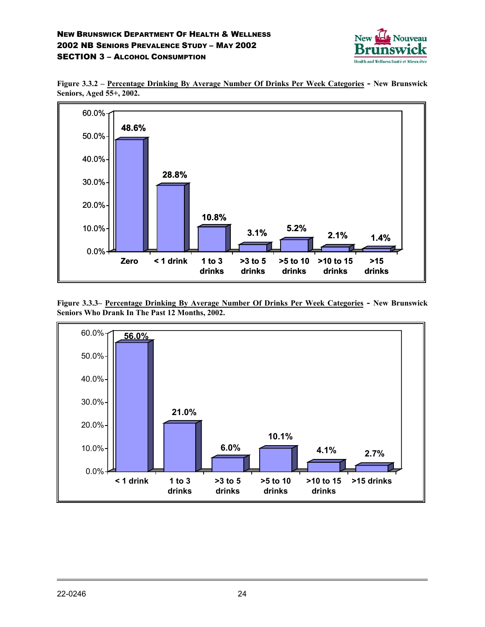





**Figure 3.3.3– Percentage Drinking By Average Number Of Drinks Per Week Categories - New Brunswick Seniors Who Drank In The Past 12 Months, 2002.**

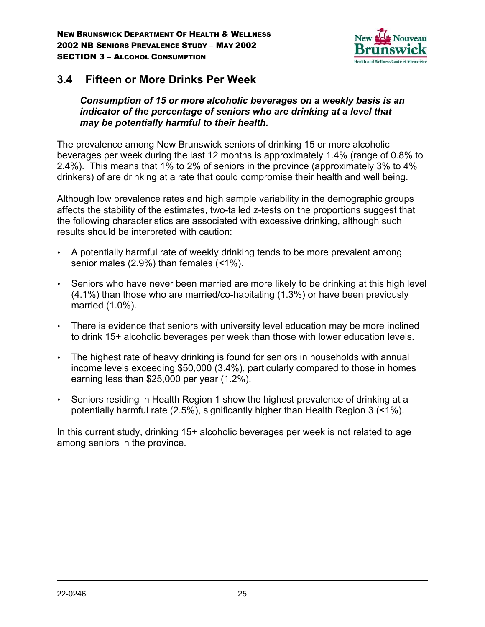

## **3.4 Fifteen or More Drinks Per Week**

*Consumption of 15 or more alcoholic beverages on a weekly basis is an indicator of the percentage of seniors who are drinking at a level that may be potentially harmful to their health.*

The prevalence among New Brunswick seniors of drinking 15 or more alcoholic beverages per week during the last 12 months is approximately 1.4% (range of 0.8% to 2.4%). This means that 1% to 2% of seniors in the province (approximately 3% to 4% drinkers) of are drinking at a rate that could compromise their health and well being.

Although low prevalence rates and high sample variability in the demographic groups affects the stability of the estimates, two-tailed z-tests on the proportions suggest that the following characteristics are associated with excessive drinking, although such results should be interpreted with caution:

- A potentially harmful rate of weekly drinking tends to be more prevalent among senior males (2.9%) than females (<1%).
- Seniors who have never been married are more likely to be drinking at this high level (4.1%) than those who are married/co-habitating (1.3%) or have been previously married (1.0%).
- There is evidence that seniors with university level education may be more inclined to drink 15+ alcoholic beverages per week than those with lower education levels.
- The highest rate of heavy drinking is found for seniors in households with annual income levels exceeding \$50,000 (3.4%), particularly compared to those in homes earning less than \$25,000 per year (1.2%).
- Seniors residing in Health Region 1 show the highest prevalence of drinking at a potentially harmful rate (2.5%), significantly higher than Health Region 3 (<1%).

In this current study, drinking 15+ alcoholic beverages per week is not related to age among seniors in the province.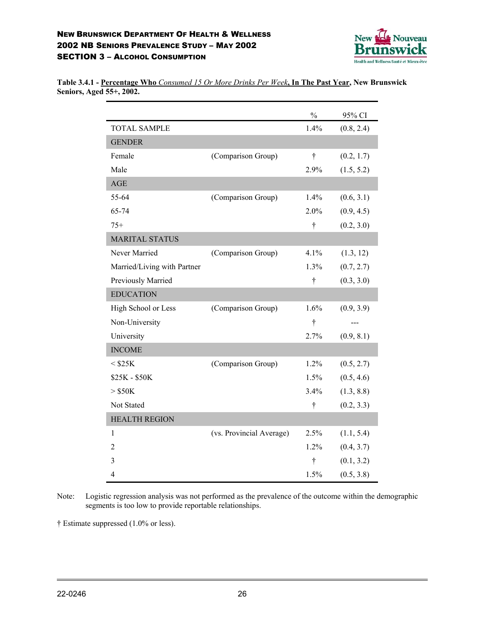

|                             |                          | $\frac{0}{0}$ | 95% CI     |
|-----------------------------|--------------------------|---------------|------------|
| <b>TOTAL SAMPLE</b>         |                          | 1.4%          | (0.8, 2.4) |
| <b>GENDER</b>               |                          |               |            |
| Female                      | (Comparison Group)       | $\dagger$     | (0.2, 1.7) |
| Male                        |                          | 2.9%          | (1.5, 5.2) |
| AGE                         |                          |               |            |
| 55-64                       | (Comparison Group)       | 1.4%          | (0.6, 3.1) |
| 65-74                       |                          | 2.0%          | (0.9, 4.5) |
| $75+$                       |                          | $\dagger$     | (0.2, 3.0) |
| <b>MARITAL STATUS</b>       |                          |               |            |
| Never Married               | (Comparison Group)       | 4.1%          | (1.3, 12)  |
| Married/Living with Partner |                          | 1.3%          | (0.7, 2.7) |
| Previously Married          |                          | $\dagger$     | (0.3, 3.0) |
| <b>EDUCATION</b>            |                          |               |            |
| High School or Less         | (Comparison Group)       | 1.6%          | (0.9, 3.9) |
| Non-University              |                          | $\dagger$     |            |
| University                  |                          | 2.7%          | (0.9, 8.1) |
| <b>INCOME</b>               |                          |               |            |
| $<$ \$25K                   | (Comparison Group)       | 1.2%          | (0.5, 2.7) |
| \$25K - \$50K               |                          | 1.5%          | (0.5, 4.6) |
| $>$ \$50K                   |                          | 3.4%          | (1.3, 8.8) |
| Not Stated                  |                          | $\dagger$     | (0.2, 3.3) |
| <b>HEALTH REGION</b>        |                          |               |            |
| $\mathbf{1}$                | (vs. Provincial Average) | 2.5%          | (1.1, 5.4) |
| 2                           |                          | 1.2%          | (0.4, 3.7) |
| 3                           |                          | $\dagger$     | (0.1, 3.2) |
| 4                           |                          | 1.5%          | (0.5, 3.8) |

**Table 3.4.1 - Percentage Who** *Consumed 15 Or More Drinks Per Week***, In The Past Year, New Brunswick Seniors, Aged 55+, 2002.**

Note: Logistic regression analysis was not performed as the prevalence of the outcome within the demographic segments is too low to provide reportable relationships.

† Estimate suppressed (1.0% or less).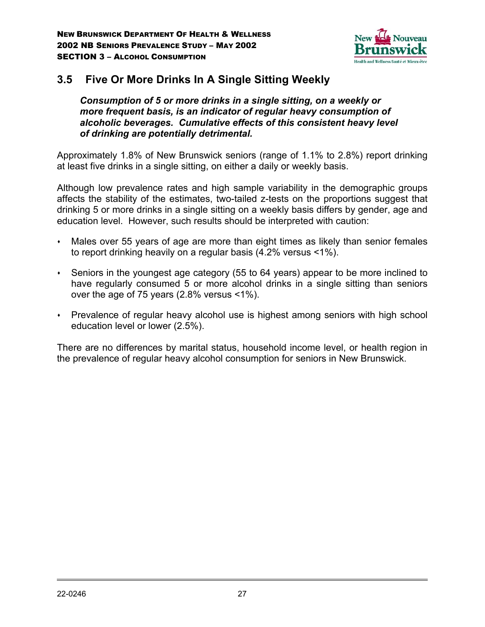

# **3.5 Five Or More Drinks In A Single Sitting Weekly**

*Consumption of 5 or more drinks in a single sitting, on a weekly or more frequent basis, is an indicator of regular heavy consumption of alcoholic beverages. Cumulative effects of this consistent heavy level of drinking are potentially detrimental.*

Approximately 1.8% of New Brunswick seniors (range of 1.1% to 2.8%) report drinking at least five drinks in a single sitting, on either a daily or weekly basis.

Although low prevalence rates and high sample variability in the demographic groups affects the stability of the estimates, two-tailed z-tests on the proportions suggest that drinking 5 or more drinks in a single sitting on a weekly basis differs by gender, age and education level. However, such results should be interpreted with caution:

- Males over 55 years of age are more than eight times as likely than senior females to report drinking heavily on a regular basis (4.2% versus <1%).
- Seniors in the youngest age category (55 to 64 years) appear to be more inclined to have regularly consumed 5 or more alcohol drinks in a single sitting than seniors over the age of 75 years (2.8% versus <1%).
- Prevalence of regular heavy alcohol use is highest among seniors with high school education level or lower (2.5%).

There are no differences by marital status, household income level, or health region in the prevalence of regular heavy alcohol consumption for seniors in New Brunswick.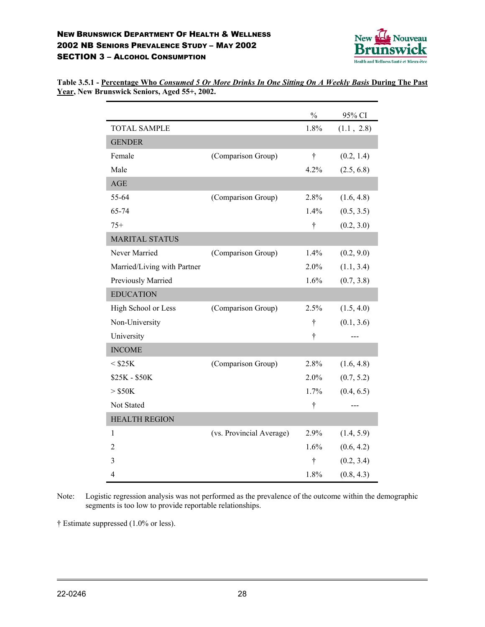

| Table 3.5.1 - Percentage Who Consumed 5 Or More Drinks In One Sitting On A Weekly Basis During The Past |  |  |  |
|---------------------------------------------------------------------------------------------------------|--|--|--|
| Year, New Brunswick Seniors, Aged 55+, 2002.                                                            |  |  |  |

|                             |                          | $\frac{0}{0}$ | 95% CI     |
|-----------------------------|--------------------------|---------------|------------|
| <b>TOTAL SAMPLE</b>         |                          | 1.8%          | (1.1, 2.8) |
| <b>GENDER</b>               |                          |               |            |
| Female                      | (Comparison Group)       | $\dagger$     | (0.2, 1.4) |
| Male                        |                          | 4.2%          | (2.5, 6.8) |
| <b>AGE</b>                  |                          |               |            |
| 55-64                       | (Comparison Group)       | 2.8%          | (1.6, 4.8) |
| 65-74                       |                          | 1.4%          | (0.5, 3.5) |
| $75+$                       |                          | $\dagger$     | (0.2, 3.0) |
| <b>MARITAL STATUS</b>       |                          |               |            |
| Never Married               | (Comparison Group)       | 1.4%          | (0.2, 9.0) |
| Married/Living with Partner |                          | 2.0%          | (1.1, 3.4) |
| Previously Married          |                          | 1.6%          | (0.7, 3.8) |
| <b>EDUCATION</b>            |                          |               |            |
| High School or Less         | (Comparison Group)       | 2.5%          | (1.5, 4.0) |
| Non-University              |                          | $\dagger$     | (0.1, 3.6) |
| University                  |                          | $\dagger$     |            |
| <b>INCOME</b>               |                          |               |            |
| $<$ \$25K                   | (Comparison Group)       | 2.8%          | (1.6, 4.8) |
| \$25K - \$50K               |                          | 2.0%          | (0.7, 5.2) |
| $>$ \$50K                   |                          | 1.7%          | (0.4, 6.5) |
| Not Stated                  |                          | $\dagger$     |            |
| <b>HEALTH REGION</b>        |                          |               |            |
| $\mathbf{1}$                | (vs. Provincial Average) | 2.9%          | (1.4, 5.9) |
| $\overline{c}$              |                          | 1.6%          | (0.6, 4.2) |
| 3                           |                          | $\dagger$     | (0.2, 3.4) |
| 4                           |                          | 1.8%          | (0.8, 4.3) |

Note: Logistic regression analysis was not performed as the prevalence of the outcome within the demographic segments is too low to provide reportable relationships.

† Estimate suppressed (1.0% or less).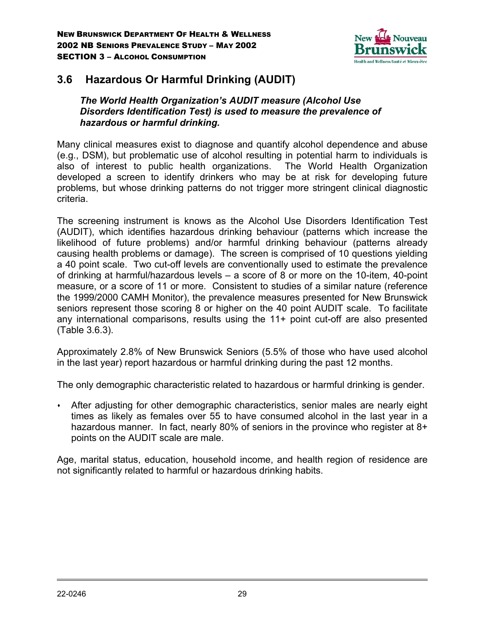

# **3.6 Hazardous Or Harmful Drinking (AUDIT)**

*The World Health Organization's AUDIT measure (Alcohol Use Disorders Identification Test) is used to measure the prevalence of hazardous or harmful drinking.*

Many clinical measures exist to diagnose and quantify alcohol dependence and abuse (e.g., DSM), but problematic use of alcohol resulting in potential harm to individuals is also of interest to public health organizations. The World Health Organization developed a screen to identify drinkers who may be at risk for developing future problems, but whose drinking patterns do not trigger more stringent clinical diagnostic criteria.

The screening instrument is knows as the Alcohol Use Disorders Identification Test (AUDIT), which identifies hazardous drinking behaviour (patterns which increase the likelihood of future problems) and/or harmful drinking behaviour (patterns already causing health problems or damage). The screen is comprised of 10 questions yielding a 40 point scale. Two cut-off levels are conventionally used to estimate the prevalence of drinking at harmful/hazardous levels – a score of 8 or more on the 10-item, 40-point measure, or a score of 11 or more. Consistent to studies of a similar nature (reference the 1999/2000 CAMH Monitor), the prevalence measures presented for New Brunswick seniors represent those scoring 8 or higher on the 40 point AUDIT scale. To facilitate any international comparisons, results using the 11+ point cut-off are also presented (Table 3.6.3).

Approximately 2.8% of New Brunswick Seniors (5.5% of those who have used alcohol in the last year) report hazardous or harmful drinking during the past 12 months.

The only demographic characteristic related to hazardous or harmful drinking is gender.

 After adjusting for other demographic characteristics, senior males are nearly eight times as likely as females over 55 to have consumed alcohol in the last year in a hazardous manner. In fact, nearly 80% of seniors in the province who register at 8+ points on the AUDIT scale are male.

Age, marital status, education, household income, and health region of residence are not significantly related to harmful or hazardous drinking habits.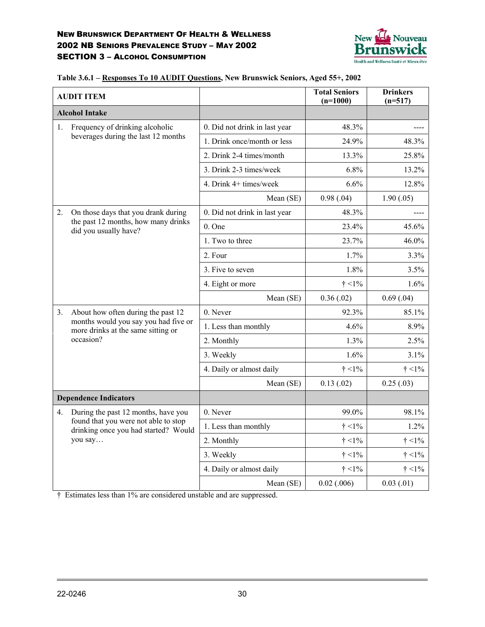

|    | <b>AUDIT ITEM</b>                                                            |                               | <b>Total Seniors</b><br>$(n=1000)$ | <b>Drinkers</b><br>$(n=517)$ |
|----|------------------------------------------------------------------------------|-------------------------------|------------------------------------|------------------------------|
|    | <b>Alcohol Intake</b>                                                        |                               |                                    |                              |
| 1. | Frequency of drinking alcoholic                                              | 0. Did not drink in last year | 48.3%                              |                              |
|    | beverages during the last 12 months                                          | 1. Drink once/month or less   | 24.9%                              | 48.3%                        |
|    |                                                                              | 2. Drink 2-4 times/month      | 13.3%                              | 25.8%                        |
|    |                                                                              | 3. Drink 2-3 times/week       | 6.8%                               | 13.2%                        |
|    |                                                                              | 4. Drink 4+ times/week        | 6.6%                               | 12.8%                        |
|    |                                                                              | Mean (SE)                     | 0.98(.04)                          | 1.90(.05)                    |
| 2. | On those days that you drank during                                          | 0. Did not drink in last year | 48.3%                              |                              |
|    | the past 12 months, how many drinks<br>did you usually have?                 | $0.$ One                      | 23.4%                              | 45.6%                        |
|    |                                                                              | 1. Two to three               | 23.7%                              | 46.0%                        |
|    |                                                                              | 2. Four                       | 1.7%                               | 3.3%                         |
|    |                                                                              | 3. Five to seven              | 1.8%                               | 3.5%                         |
|    |                                                                              | 4. Eight or more              | $\dagger$ <1%                      | 1.6%                         |
|    |                                                                              | Mean (SE)                     | 0.36(.02)                          | 0.69(0.04)                   |
| 3. | About how often during the past 12                                           | 0. Never                      | 92.3%                              | 85.1%                        |
|    | months would you say you had five or<br>more drinks at the same sitting or   | 1. Less than monthly          | 4.6%                               | 8.9%                         |
|    | occasion?                                                                    | 2. Monthly                    | 1.3%                               | 2.5%                         |
|    |                                                                              | 3. Weekly                     | 1.6%                               | 3.1%                         |
|    |                                                                              | 4. Daily or almost daily      | $\dagger$ <1%                      | $\dagger$ <1%                |
|    |                                                                              | Mean (SE)                     | 0.13(0.02)                         | 0.25(.03)                    |
|    | <b>Dependence Indicators</b>                                                 |                               |                                    |                              |
| 4. | During the past 12 months, have you                                          | 0. Never                      | 99.0%                              | 98.1%                        |
|    | found that you were not able to stop<br>drinking once you had started? Would | 1. Less than monthly          | $\dagger$ <1%                      | 1.2%                         |
|    | you say                                                                      | 2. Monthly                    | $\dagger$ <1%                      | $\dagger$ <1%                |
|    |                                                                              | 3. Weekly                     | $\dagger$ <1%                      | $\dagger$ <1%                |
|    |                                                                              | 4. Daily or almost daily      | $\dagger$ <1%                      | $\dagger$ <1%                |
|    |                                                                              | Mean (SE)                     | $0.02$ $(.006)$                    | 0.03(0.01)                   |

**Table 3.6.1 – Responses To 10 AUDIT Questions, New Brunswick Seniors, Aged 55+, 2002**

† Estimates less than 1% are considered unstable and are suppressed.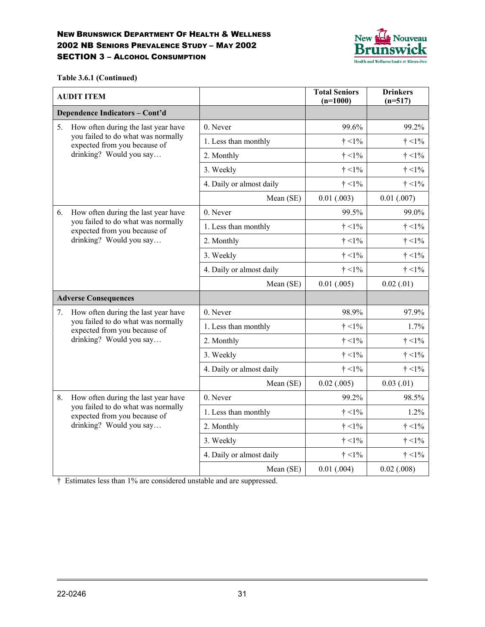

**Table 3.6.1 (Continued)**

|    | <b>AUDIT ITEM</b>                                                  |                          | <b>Total Seniors</b><br>$(n=1000)$ | <b>Drinkers</b><br>$(n=517)$ |
|----|--------------------------------------------------------------------|--------------------------|------------------------------------|------------------------------|
|    | Dependence Indicators - Cont'd                                     |                          |                                    |                              |
| 5. | How often during the last year have                                | 0. Never                 | 99.6%                              | 99.2%                        |
|    | you failed to do what was normally<br>expected from you because of | 1. Less than monthly     | $\dagger$ <1%                      | $\dagger$ <1%                |
|    | drinking? Would you say                                            | 2. Monthly               | $\dagger$ <1%                      | $\dagger$ <1%                |
|    |                                                                    | 3. Weekly                | $\dagger$ <1%                      | $\dagger$ <1%                |
|    |                                                                    | 4. Daily or almost daily | $\dagger$ <1%                      | $\dagger$ <1%                |
|    |                                                                    | Mean (SE)                | 0.01(0.003)                        | $0.01$ $(.007)$              |
| 6. | How often during the last year have                                | 0. Never                 | 99.5%                              | 99.0%                        |
|    | you failed to do what was normally<br>expected from you because of | 1. Less than monthly     | $\dagger$ <1%                      | $\dagger$ <1%                |
|    | drinking? Would you say                                            | 2. Monthly               | $\dagger$ <1%                      | $\dagger$ <1%                |
|    |                                                                    | 3. Weekly                | $\dagger$ <1%                      | $\dagger$ <1%                |
|    |                                                                    | 4. Daily or almost daily | $\dagger$ <1%                      | $\dagger$ <1%                |
|    |                                                                    | Mean (SE)                | 0.01(.005)                         | 0.02(0.01)                   |
|    | <b>Adverse Consequences</b>                                        |                          |                                    |                              |
| 7. | How often during the last year have                                | 0. Never                 | 98.9%                              | 97.9%                        |
|    | you failed to do what was normally<br>expected from you because of | 1. Less than monthly     | $\dagger$ <1%                      | 1.7%                         |
|    | drinking? Would you say                                            | 2. Monthly               | $\dagger$ <1%                      | $\dagger$ <1%                |
|    |                                                                    | 3. Weekly                | $\dagger$ <1%                      | $\dagger$ <1%                |
|    |                                                                    | 4. Daily or almost daily | $\dagger$ <1%                      | $\dagger$ <1%                |
|    |                                                                    | Mean (SE)                | $0.02$ $(.005)$                    | 0.03(0.01)                   |
| 8. | How often during the last year have                                | 0. Never                 | 99.2%                              | 98.5%                        |
|    | you failed to do what was normally<br>expected from you because of | 1. Less than monthly     | $\dagger$ <1%                      | 1.2%                         |
|    | drinking? Would you say                                            | 2. Monthly               | $\dagger$ <1%                      | $\dagger$ <1%                |
|    |                                                                    | 3. Weekly                | $\dagger$ <1%                      | $\dagger$ <1%                |
|    |                                                                    | 4. Daily or almost daily | $\dagger$ <1%                      | $\dagger$ <1%                |
|    |                                                                    | Mean (SE)                | $0.01$ $(.004)$                    | $0.02$ $(.008)$              |

† Estimates less than 1% are considered unstable and are suppressed.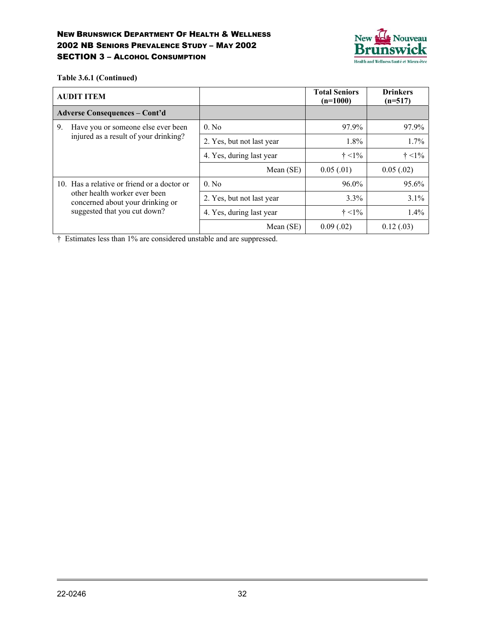

**Table 3.6.1 (Continued)**

| <b>AUDIT ITEM</b>                        |                                                                   |                           | <b>Total Seniors</b><br>$(n=1000)$ | <b>Drinkers</b><br>$(n=517)$ |
|------------------------------------------|-------------------------------------------------------------------|---------------------------|------------------------------------|------------------------------|
| <b>Adverse Consequences - Cont'd</b>     |                                                                   |                           |                                    |                              |
| 9.<br>Have you or someone else ever been |                                                                   | $0.$ No                   | 97.9%                              | 97.9%                        |
|                                          | injured as a result of your drinking?                             | 2. Yes, but not last year | $1.8\%$                            | 1.7%                         |
|                                          |                                                                   | 4. Yes, during last year  | $\dagger$ <1%                      | $\dagger$ <1%                |
|                                          |                                                                   | Mean (SE)                 | 0.05(0.01)                         | 0.05(.02)                    |
|                                          | 10. Has a relative or friend or a doctor or                       | $0.$ No                   | 96.0%                              | 95.6%                        |
|                                          | other health worker ever been<br>concerned about your drinking or | 2. Yes, but not last year | $3.3\%$                            | 3.1%                         |
|                                          | suggested that you cut down?                                      | 4. Yes, during last year  | $\dagger$ <1%                      | 1.4%                         |
|                                          |                                                                   | Mean $(SE)$               | 0.09(.02)                          | 0.12(0.03)                   |

† Estimates less than 1% are considered unstable and are suppressed.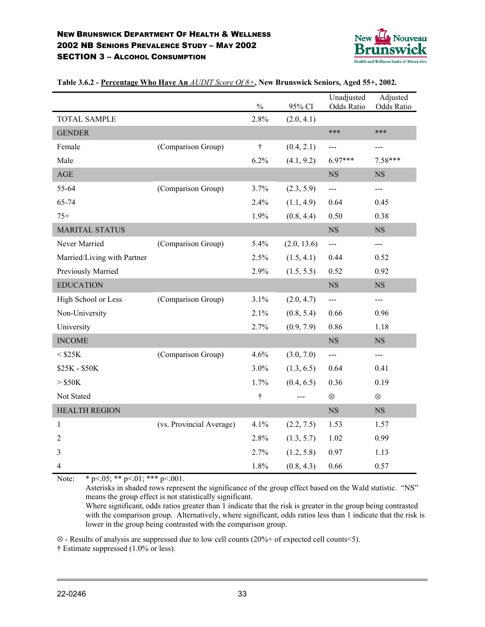

|                             |                          | $\frac{0}{0}$      | 95% CI      | Unadjusted<br>Odds Ratio | Adjusted<br>Odds Ratio |
|-----------------------------|--------------------------|--------------------|-------------|--------------------------|------------------------|
| <b>TOTAL SAMPLE</b>         |                          | 2.8%               | (2.0, 4.1)  |                          |                        |
| <b>GENDER</b>               |                          |                    |             | ***                      | ***                    |
| Female                      | (Comparison Group)       | $\dot{\mathsf{T}}$ | (0.4, 2.1)  | $---$                    | ---                    |
| Male                        |                          | 6.2%               | (4.1, 9.2)  | $6.97***$                | 7.58***                |
| AGE                         |                          |                    |             | NS                       | <b>NS</b>              |
| 55-64                       | (Comparison Group)       | 3.7%               | (2.3, 5.9)  | ---                      | ---                    |
| 65-74                       |                          | 2.4%               | (1.1, 4.9)  | 0.64                     | 0.45                   |
| $75+$                       |                          | 1.9%               | (0.8, 4.4)  | 0.50                     | 0.38                   |
| <b>MARITAL STATUS</b>       |                          |                    |             | <b>NS</b>                | <b>NS</b>              |
| Never Married               | (Comparison Group)       | 5.4%               | (2.0, 13.6) | $---$                    | $---$                  |
| Married/Living with Partner |                          | 2.5%               | (1.5, 4.1)  | 0.44                     | 0.52                   |
| Previously Married          |                          | 2.9%               | (1.5, 5.5)  | 0.52                     | 0.92                   |
| <b>EDUCATION</b>            |                          |                    |             | $_{\rm NS}$              | <b>NS</b>              |
| High School or Less         | (Comparison Group)       | 3.1%               | (2.0, 4.7)  | ---                      | ---                    |
| Non-University              |                          | 2.1%               | (0.8, 5.4)  | 0.66                     | 0.96                   |
| University                  |                          | 2.7%               | (0.9, 7.9)  | 0.86                     | 1.18                   |
| <b>INCOME</b>               |                          |                    |             | <b>NS</b>                | <b>NS</b>              |
| $<$ \$25K                   | (Comparison Group)       | 4.6%               | (3.0, 7.0)  | $\frac{1}{2}$            | ---                    |
| \$25K - \$50K               |                          | 3.0%               | (1.3, 6.5)  | 0.64                     | 0.41                   |
| $>$ \$50K                   |                          | 1.7%               | (0.4, 6.5)  | 0.36                     | 0.19                   |
| Not Stated                  |                          | $\dagger$          | $---$       | $\otimes$                | $\otimes$              |
| <b>HEALTH REGION</b>        |                          |                    |             | $_{\rm NS}$              | <b>NS</b>              |
| 1                           | (vs. Provincial Average) | 4.1%               | (2.2, 7.5)  | 1.53                     | 1.57                   |
| $\overline{2}$              |                          | 2.8%               | (1.3, 5.7)  | 1.02                     | 0.99                   |
| 3                           |                          | 2.7%               | (1.2, 5.8)  | 0.97                     | 1.13                   |
| 4                           |                          | 1.8%               | (0.8, 4.3)  | 0.66                     | 0.57                   |

**Table 3.6.2 - Percentage Who Have An** *AUDIT Score Of 8+***, New Brunswick Seniors, Aged 55+, 2002.**

Note: \* p < 05; \* \* p < 01; \* \* \* p < 001.

Asterisks in shaded rows represent the significance of the group effect based on the Wald statistic. "NS" means the group effect is not statistically significant.

Where significant, odds ratios greater than 1 indicate that the risk is greater in the group being contrasted with the comparison group. Alternatively, where significant, odds ratios less than 1 indicate that the risk is lower in the group being contrasted with the comparison group.

⊗ - Results of analysis are suppressed due to low cell counts (20%+ of expected cell counts<5). † Estimate suppressed (1.0% or less).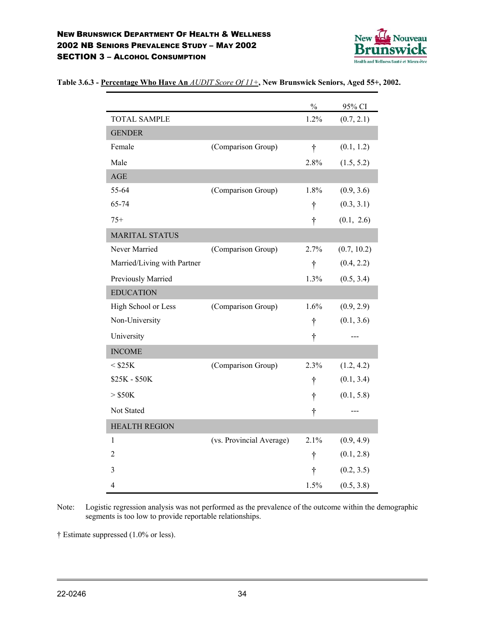

|                             |                          | $\frac{0}{0}$ | 95% CI      |
|-----------------------------|--------------------------|---------------|-------------|
| <b>TOTAL SAMPLE</b>         |                          | 1.2%          | (0.7, 2.1)  |
| <b>GENDER</b>               |                          |               |             |
| Female                      | (Comparison Group)       | $\dagger$     | (0.1, 1.2)  |
| Male                        |                          | 2.8%          | (1.5, 5.2)  |
| AGE                         |                          |               |             |
| 55-64                       | (Comparison Group)       | 1.8%          | (0.9, 3.6)  |
| 65-74                       |                          | $\dagger$     | (0.3, 3.1)  |
| $75+$                       |                          | $\dagger$     | (0.1, 2.6)  |
| <b>MARITAL STATUS</b>       |                          |               |             |
| Never Married               | (Comparison Group)       | 2.7%          | (0.7, 10.2) |
| Married/Living with Partner |                          | $\dagger$     | (0.4, 2.2)  |
| Previously Married          |                          | 1.3%          | (0.5, 3.4)  |
| <b>EDUCATION</b>            |                          |               |             |
| High School or Less         | (Comparison Group)       | 1.6%          | (0.9, 2.9)  |
| Non-University              |                          | $\dagger$     | (0.1, 3.6)  |
| University                  |                          | t             | ---         |
| <b>INCOME</b>               |                          |               |             |
| $<$ \$25K                   | (Comparison Group)       | 2.3%          | (1.2, 4.2)  |
| \$25K - \$50K               |                          | t             | (0.1, 3.4)  |
| $>$ \$50K                   |                          | $\dagger$     | (0.1, 5.8)  |
| Not Stated                  |                          | t             | ---         |
| <b>HEALTH REGION</b>        |                          |               |             |
| 1                           | (vs. Provincial Average) | 2.1%          | (0.9, 4.9)  |
| 2                           |                          | $\dagger$     | (0.1, 2.8)  |
| 3                           |                          | t             | (0.2, 3.5)  |
| 4                           |                          | 1.5%          | (0.5, 3.8)  |

#### **Table 3.6.3 - Percentage Who Have An** *AUDIT Score Of 11+***, New Brunswick Seniors, Aged 55+, 2002.**

Note: Logistic regression analysis was not performed as the prevalence of the outcome within the demographic segments is too low to provide reportable relationships.

† Estimate suppressed (1.0% or less).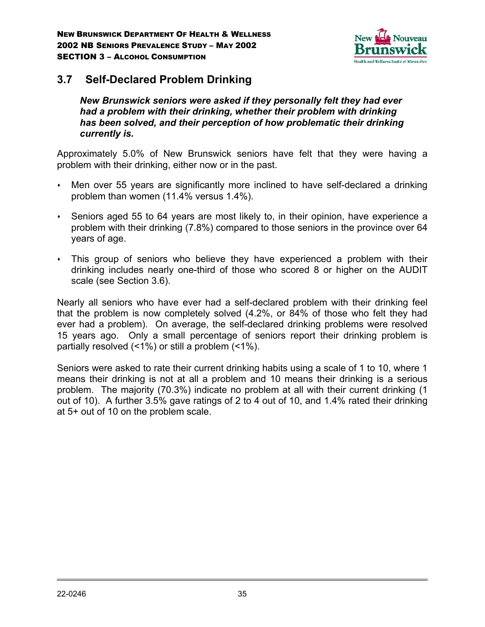

## **3.7 Self-Declared Problem Drinking**

*New Brunswick seniors were asked if they personally felt they had ever had a problem with their drinking, whether their problem with drinking has been solved, and their perception of how problematic their drinking currently is.*

Approximately 5.0% of New Brunswick seniors have felt that they were having a problem with their drinking, either now or in the past.

- Men over 55 years are significantly more inclined to have self-declared a drinking problem than women (11.4% versus 1.4%).
- Seniors aged 55 to 64 years are most likely to, in their opinion, have experience a problem with their drinking (7.8%) compared to those seniors in the province over 64 years of age.
- This group of seniors who believe they have experienced a problem with their drinking includes nearly one-third of those who scored 8 or higher on the AUDIT scale (see Section 3.6).

Nearly all seniors who have ever had a self-declared problem with their drinking feel that the problem is now completely solved (4.2%, or 84% of those who felt they had ever had a problem). On average, the self-declared drinking problems were resolved 15 years ago. Only a small percentage of seniors report their drinking problem is partially resolved (<1%) or still a problem (<1%).

Seniors were asked to rate their current drinking habits using a scale of 1 to 10, where 1 means their drinking is not at all a problem and 10 means their drinking is a serious problem. The majority (70.3%) indicate no problem at all with their current drinking (1 out of 10). A further 3.5% gave ratings of 2 to 4 out of 10, and 1.4% rated their drinking at 5+ out of 10 on the problem scale.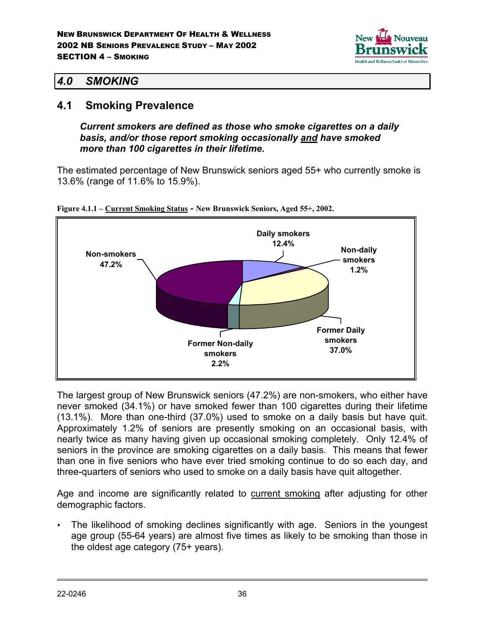

## *4.0 SMOKING*

## **4.1 Smoking Prevalence**

*Current smokers are defined as those who smoke cigarettes on a daily basis, and/or those report smoking occasionally and have smoked more than 100 cigarettes in their lifetime.*

The estimated percentage of New Brunswick seniors aged 55+ who currently smoke is 13.6% (range of 11.6% to 15.9%).



**Figure 4.1.1 – Current Smoking Status - New Brunswick Seniors, Aged 55+, 2002.**

The largest group of New Brunswick seniors (47.2%) are non-smokers, who either have never smoked (34.1%) or have smoked fewer than 100 cigarettes during their lifetime (13.1%). More than one-third (37.0%) used to smoke on a daily basis but have quit. Approximately 1.2% of seniors are presently smoking on an occasional basis, with nearly twice as many having given up occasional smoking completely. Only 12.4% of seniors in the province are smoking cigarettes on a daily basis. This means that fewer than one in five seniors who have ever tried smoking continue to do so each day, and three-quarters of seniors who used to smoke on a daily basis have quit altogether.

Age and income are significantly related to current smoking after adjusting for other demographic factors.

 The likelihood of smoking declines significantly with age. Seniors in the youngest age group (55-64 years) are almost five times as likely to be smoking than those in the oldest age category (75+ years).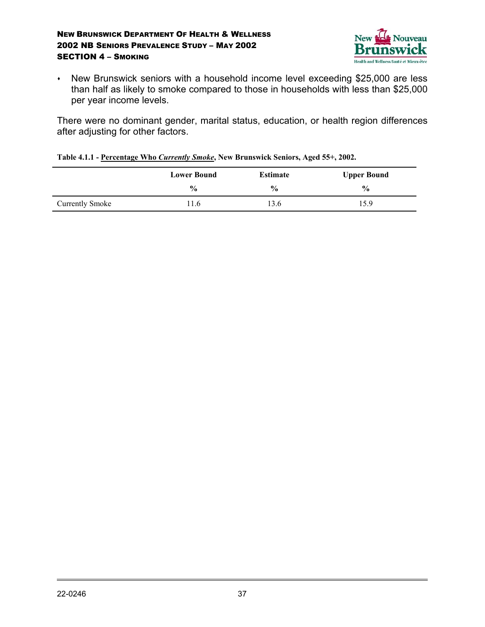

• New Brunswick seniors with a household income level exceeding \$25,000 are less than half as likely to smoke compared to those in households with less than \$25,000 per year income levels.

There were no dominant gender, marital status, education, or health region differences after adjusting for other factors.

|  |  |  | Table 4.1.1 - Percentage Who Currently Smoke, New Brunswick Seniors, Aged 55+, 2002. |
|--|--|--|--------------------------------------------------------------------------------------|
|--|--|--|--------------------------------------------------------------------------------------|

|                        | <b>Lower Bound</b> | <b>Estimate</b> | <b>Upper Bound</b> |
|------------------------|--------------------|-----------------|--------------------|
|                        | $\frac{0}{0}$      | $\frac{6}{9}$   | $\frac{6}{6}$      |
| <b>Currently Smoke</b> | 1.6                | 3.6             | 15.9               |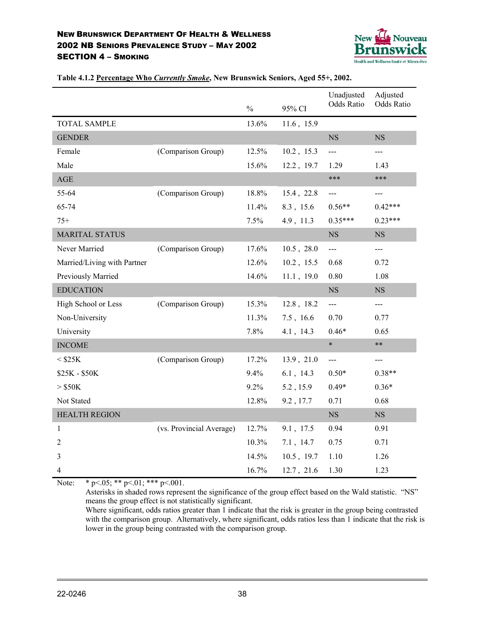

|                             |                          | $\frac{0}{0}$ | 95% CI        | Unadjusted<br><b>Odds Ratio</b> | Adjusted<br><b>Odds Ratio</b> |
|-----------------------------|--------------------------|---------------|---------------|---------------------------------|-------------------------------|
| <b>TOTAL SAMPLE</b>         |                          | 13.6%         | 11.6, 15.9    |                                 |                               |
| <b>GENDER</b>               |                          |               |               | $_{\rm NS}$                     | NS                            |
| Female                      | (Comparison Group)       | 12.5%         | $10.2$ , 15.3 | $---$                           | $---$                         |
| Male                        |                          | 15.6%         | 12.2, 19.7    | 1.29                            | 1.43                          |
| $\mathbf{AGE}$              |                          |               |               | ***                             | ***                           |
| 55-64                       | (Comparison Group)       | 18.8%         | 15.4, 22.8    | $---$                           | ---                           |
| 65-74                       |                          | 11.4%         | 8.3, 15.6     | $0.56**$                        | $0.42***$                     |
| $75+$                       |                          | 7.5%          | 4.9, 11.3     | $0.35***$                       | $0.23***$                     |
| <b>MARITAL STATUS</b>       |                          |               |               | $_{\rm NS}$                     | <b>NS</b>                     |
| Never Married               | (Comparison Group)       | 17.6%         | $10.5$ , 28.0 | $---$                           | ---                           |
| Married/Living with Partner |                          | 12.6%         | $10.2$ , 15.5 | 0.68                            | 0.72                          |
| Previously Married          |                          | 14.6%         | 11.1, 19.0    | 0.80                            | 1.08                          |
| <b>EDUCATION</b>            |                          |               |               | <b>NS</b>                       | NS                            |
| High School or Less         | (Comparison Group)       | 15.3%         | 12.8, 18.2    | $\overline{a}$                  | $---$                         |
| Non-University              |                          | 11.3%         | 7.5, 16.6     | 0.70                            | 0.77                          |
| University                  |                          | 7.8%          | 4.1, 14.3     | $0.46*$                         | 0.65                          |
| <b>INCOME</b>               |                          |               |               | $\ast$                          | $***$                         |
| $<$ \$25K                   | (Comparison Group)       | 17.2%         | 13.9, 21.0    | $\overline{\phantom{a}}$        | $---$                         |
| \$25K - \$50K               |                          | 9.4%          | $6.1$ , 14.3  | $0.50*$                         | $0.38**$                      |
| $>$ \$50K                   |                          | 9.2%          | 5.2, 15.9     | $0.49*$                         | $0.36*$                       |
| Not Stated                  |                          | 12.8%         | 9.2, 17.7     | 0.71                            | 0.68                          |
| <b>HEALTH REGION</b>        |                          |               |               | $_{\rm NS}$                     | NS                            |
| 1                           | (vs. Provincial Average) | 12.7%         | 9.1, 17.5     | 0.94                            | 0.91                          |
| 2                           |                          | 10.3%         | 7.1, 14.7     | 0.75                            | 0.71                          |
| 3                           |                          | 14.5%         | $10.5$ , 19.7 | 1.10                            | 1.26                          |
| $\overline{4}$              |                          | 16.7%         | 12.7, 21.6    | 1.30                            | 1.23                          |

**Table 4.1.2 Percentage Who** *Currently Smoke***, New Brunswick Seniors, Aged 55+, 2002.**

Note: \* p<.05; \*\* p<.01; \*\*\* p<.001.

Asterisks in shaded rows represent the significance of the group effect based on the Wald statistic. "NS" means the group effect is not statistically significant.

Where significant, odds ratios greater than 1 indicate that the risk is greater in the group being contrasted with the comparison group. Alternatively, where significant, odds ratios less than 1 indicate that the risk is lower in the group being contrasted with the comparison group.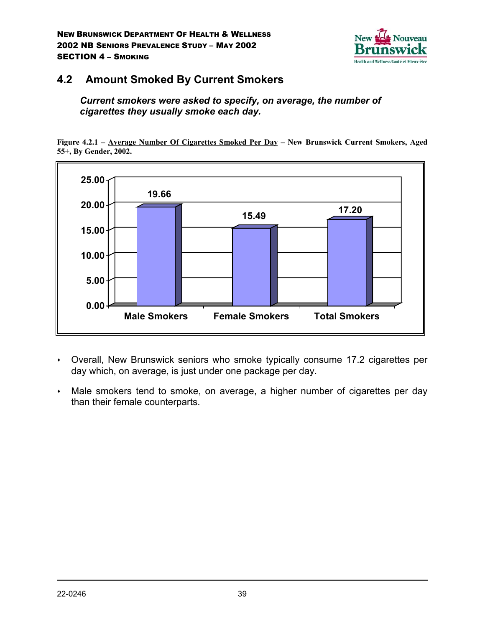

## **4.2 Amount Smoked By Current Smokers**

*Current smokers were asked to specify, on average, the number of cigarettes they usually smoke each day.*

**Figure 4.2.1 – Average Number Of Cigarettes Smoked Per Day – New Brunswick Current Smokers, Aged 55+, By Gender, 2002.**



- Overall, New Brunswick seniors who smoke typically consume 17.2 cigarettes per day which, on average, is just under one package per day.
- Male smokers tend to smoke, on average, a higher number of cigarettes per day than their female counterparts.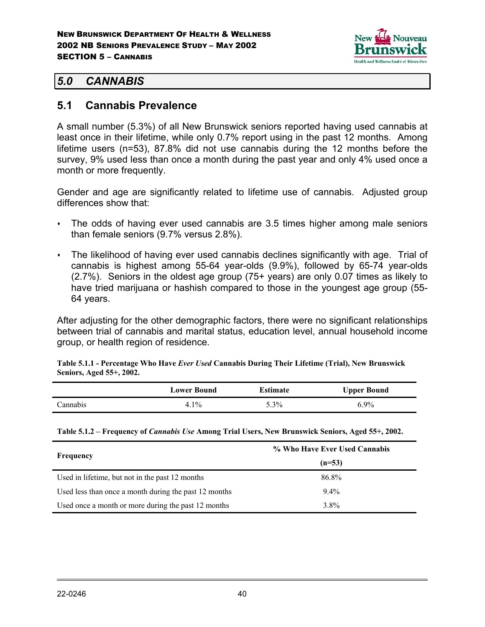

## *5.0 CANNABIS*

## **5.1 Cannabis Prevalence**

A small number (5.3%) of all New Brunswick seniors reported having used cannabis at least once in their lifetime, while only 0.7% report using in the past 12 months. Among lifetime users (n=53), 87.8% did not use cannabis during the 12 months before the survey, 9% used less than once a month during the past year and only 4% used once a month or more frequently.

Gender and age are significantly related to lifetime use of cannabis. Adjusted group differences show that:

- The odds of having ever used cannabis are 3.5 times higher among male seniors than female seniors (9.7% versus 2.8%).
- The likelihood of having ever used cannabis declines significantly with age. Trial of cannabis is highest among 55-64 year-olds (9.9%), followed by 65-74 year-olds (2.7%). Seniors in the oldest age group (75+ years) are only 0.07 times as likely to have tried marijuana or hashish compared to those in the youngest age group (55- 64 years.

After adjusting for the other demographic factors, there were no significant relationships between trial of cannabis and marital status, education level, annual household income group, or health region of residence.

**Table 5.1.1 - Percentage Who Have** *Ever Used* **Cannabis During Their Lifetime (Trial), New Brunswick Seniors, Aged 55+, 2002.**

|          | Lower Bound | Estimate | <b>Upper Bound</b> |  |
|----------|-------------|----------|--------------------|--|
| `annabis | 4.1%        | $5.3\%$  | $6.9\%$            |  |

**Table 5.1.2 – Frequency of** *Cannabis Use* **Among Trial Users, New Brunswick Seniors, Aged 55+, 2002.**

|                                                       | % Who Have Ever Used Cannabis |
|-------------------------------------------------------|-------------------------------|
| Frequency                                             | $(n=53)$                      |
| Used in lifetime, but not in the past 12 months       | 86.8%                         |
| Used less than once a month during the past 12 months | $9.4\%$                       |
| Used once a month or more during the past 12 months   | $3.8\%$                       |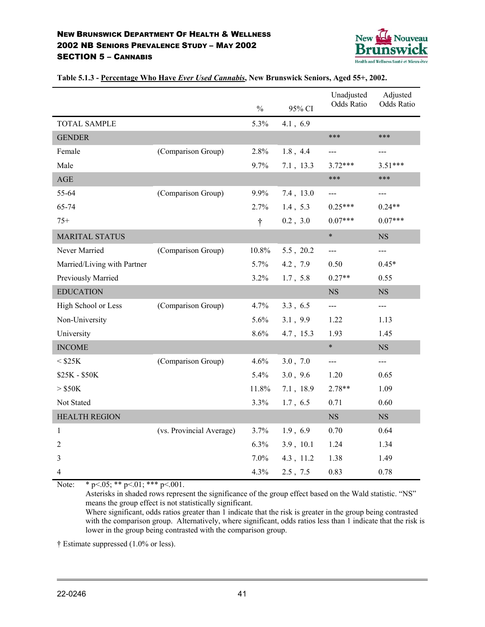

|                             |                          | $\frac{0}{0}$ | 95% CI    | Unadjusted<br>Odds Ratio | Adjusted<br>Odds Ratio |
|-----------------------------|--------------------------|---------------|-----------|--------------------------|------------------------|
| <b>TOTAL SAMPLE</b>         |                          | 5.3%          | 4.1, 6.9  |                          |                        |
| <b>GENDER</b>               |                          |               |           | ***                      | ***                    |
| Female                      | (Comparison Group)       | 2.8%          | 1.8, 4.4  | $---$                    | ---                    |
| Male                        |                          | 9.7%          | 7.1, 13.3 | $3.72***$                | $3.51***$              |
| $\mathbf{AGE}$              |                          |               |           | ***                      | ***                    |
| 55-64                       | (Comparison Group)       | 9.9%          | 7.4, 13.0 | ---                      | $---$                  |
| 65-74                       |                          | 2.7%          | 1.4, 5.3  | $0.25***$                | $0.24**$               |
| $75+$                       |                          | $\dagger$     | 0.2, 3.0  | $0.07***$                | $0.07***$              |
| <b>MARITAL STATUS</b>       |                          |               |           | $\ast$                   | $_{\rm NS}$            |
| Never Married               | (Comparison Group)       | 10.8%         | 5.5, 20.2 | $---$                    | $---$                  |
| Married/Living with Partner |                          | 5.7%          | 4.2, 7.9  | 0.50                     | $0.45*$                |
| Previously Married          |                          | 3.2%          | 1.7, 5.8  | $0.27**$                 | 0.55                   |
| <b>EDUCATION</b>            |                          |               |           | <b>NS</b>                | NS                     |
| High School or Less         | (Comparison Group)       | 4.7%          | 3.3, 6.5  | $---$                    | ---                    |
| Non-University              |                          | 5.6%          | 3.1, 9.9  | 1.22                     | 1.13                   |
| University                  |                          | 8.6%          | 4.7, 15.3 | 1.93                     | 1.45                   |
| <b>INCOME</b>               |                          |               |           | $\ast$                   | <b>NS</b>              |
| $<$ \$25K                   | (Comparison Group)       | 4.6%          | 3.0, 7.0  | $---$                    | $---$                  |
| \$25K - \$50K               |                          | 5.4%          | 3.0, 9.6  | 1.20                     | 0.65                   |
| $>$ \$50K                   |                          | 11.8%         | 7.1, 18.9 | $2.78**$                 | 1.09                   |
| Not Stated                  |                          | 3.3%          | 1.7, 6.5  | 0.71                     | 0.60                   |
| <b>HEALTH REGION</b>        |                          |               |           | $_{\rm NS}$              | $_{\rm NS}$            |
| $\mathbf{1}$                | (vs. Provincial Average) | 3.7%          | 1.9, 6.9  | 0.70                     | 0.64                   |
| 2                           |                          | 6.3%          | 3.9, 10.1 | 1.24                     | 1.34                   |
| 3                           |                          | 7.0%          | 4.3, 11.2 | 1.38                     | 1.49                   |
| 4                           |                          | 4.3%          | 2.5, 7.5  | 0.83                     | 0.78                   |

**Table 5.1.3 - Percentage Who Have** *Ever Used Cannabis***, New Brunswick Seniors, Aged 55+, 2002.**

Note: \* p < 05; \* \* p < 01; \* \* \* p < 001.

Asterisks in shaded rows represent the significance of the group effect based on the Wald statistic. "NS" means the group effect is not statistically significant.

Where significant, odds ratios greater than 1 indicate that the risk is greater in the group being contrasted with the comparison group. Alternatively, where significant, odds ratios less than 1 indicate that the risk is lower in the group being contrasted with the comparison group.

† Estimate suppressed (1.0% or less).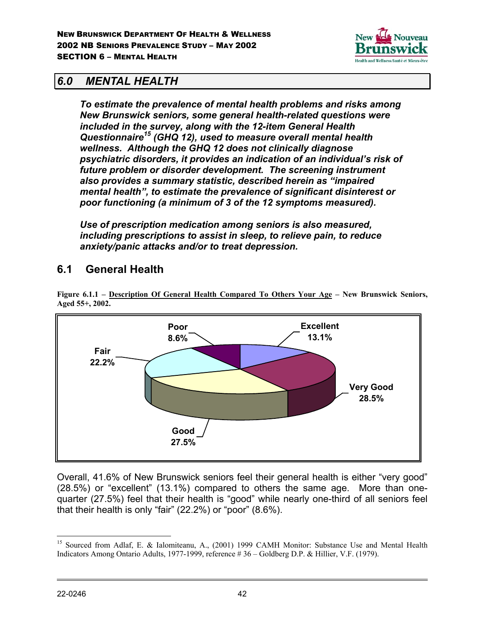

## *6.0 MENTAL HEALTH*

*To estimate the prevalence of mental health problems and risks among New Brunswick seniors, some general health-related questions were included in the survey, along with the 12-item General Health Questionnaire15 (GHQ 12), used to measure overall mental health wellness. Although the GHQ 12 does not clinically diagnose psychiatric disorders, it provides an indication of an individual's risk of future problem or disorder development. The screening instrument also provides a summary statistic, described herein as "impaired mental health", to estimate the prevalence of significant disinterest or poor functioning (a minimum of 3 of the 12 symptoms measured).*

*Use of prescription medication among seniors is also measured, including prescriptions to assist in sleep, to relieve pain, to reduce anxiety/panic attacks and/or to treat depression.*

# **6.1 General Health**



**Figure 6.1.1 – Description Of General Health Compared To Others Your Age – New Brunswick Seniors, Aged 55+, 2002.**

Overall, 41.6% of New Brunswick seniors feel their general health is either "very good" (28.5%) or "excellent" (13.1%) compared to others the same age. More than onequarter (27.5%) feel that their health is "good" while nearly one-third of all seniors feel that their health is only "fair" (22.2%) or "poor" (8.6%).

 $\overline{a}$ <sup>15</sup> Sourced from Adlaf, E. & Ialomiteanu, A., (2001) 1999 CAMH Monitor: Substance Use and Mental Health Indicators Among Ontario Adults, 1977-1999, reference # 36 – Goldberg D.P. & Hillier, V.F. (1979).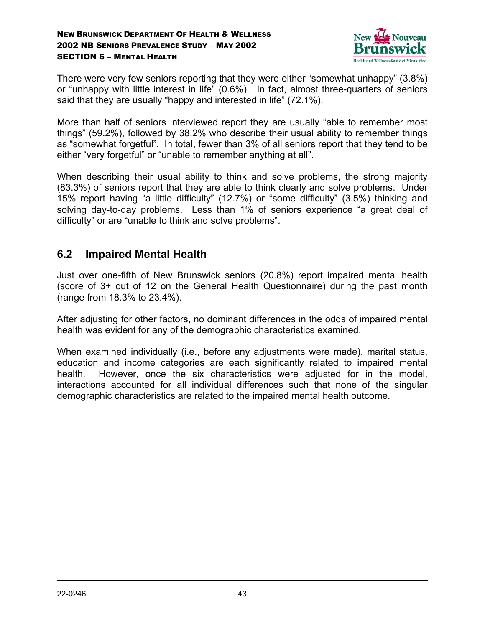

There were very few seniors reporting that they were either "somewhat unhappy" (3.8%) or "unhappy with little interest in life" (0.6%). In fact, almost three-quarters of seniors said that they are usually "happy and interested in life" (72.1%).

More than half of seniors interviewed report they are usually "able to remember most things" (59.2%), followed by 38.2% who describe their usual ability to remember things as "somewhat forgetful". In total, fewer than 3% of all seniors report that they tend to be either "very forgetful" or "unable to remember anything at all".

When describing their usual ability to think and solve problems, the strong majority (83.3%) of seniors report that they are able to think clearly and solve problems. Under 15% report having "a little difficulty" (12.7%) or "some difficulty" (3.5%) thinking and solving day-to-day problems. Less than 1% of seniors experience "a great deal of difficulty" or are "unable to think and solve problems".

# **6.2 Impaired Mental Health**

Just over one-fifth of New Brunswick seniors (20.8%) report impaired mental health (score of 3+ out of 12 on the General Health Questionnaire) during the past month (range from 18.3% to 23.4%).

After adjusting for other factors, no dominant differences in the odds of impaired mental health was evident for any of the demographic characteristics examined.

When examined individually (i.e., before any adjustments were made), marital status, education and income categories are each significantly related to impaired mental health. However, once the six characteristics were adjusted for in the model, interactions accounted for all individual differences such that none of the singular demographic characteristics are related to the impaired mental health outcome.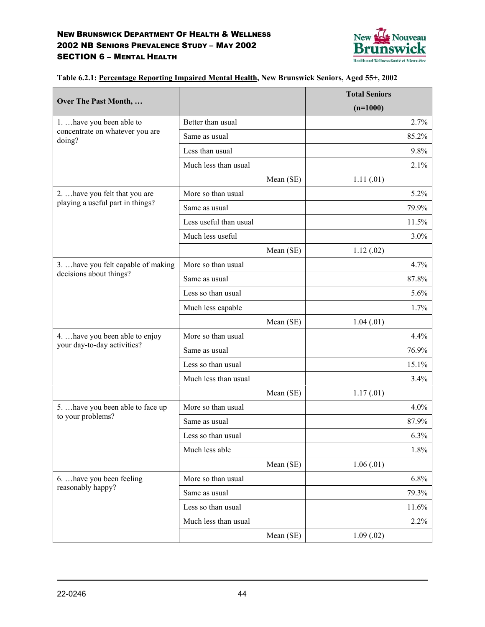

|                                           |                        |           | <b>Total Seniors</b> |
|-------------------------------------------|------------------------|-----------|----------------------|
| Over The Past Month,                      |                        |           | $(n=1000)$           |
| 1.  have you been able to                 | Better than usual      |           | 2.7%                 |
| concentrate on whatever you are<br>doing? | Same as usual          |           | 85.2%                |
|                                           | Less than usual        |           | 9.8%                 |
|                                           | Much less than usual   |           | 2.1%                 |
|                                           |                        | Mean (SE) | 1.11(.01)            |
| 2.  have you felt that you are            | More so than usual     |           | 5.2%                 |
| playing a useful part in things?          | Same as usual          |           | 79.9%                |
|                                           | Less useful than usual |           | 11.5%                |
|                                           | Much less useful       |           | 3.0%                 |
|                                           |                        | Mean (SE) | 1.12(0.02)           |
| 3.  have you felt capable of making       | More so than usual     |           | 4.7%                 |
| decisions about things?                   | Same as usual          |           | 87.8%                |
|                                           | Less so than usual     |           | 5.6%                 |
|                                           | Much less capable      |           | 1.7%                 |
|                                           |                        | Mean (SE) | 1.04(01)             |
| 4.  have you been able to enjoy           | More so than usual     |           | 4.4%                 |
| your day-to-day activities?               | Same as usual          |           | 76.9%                |
|                                           | Less so than usual     |           | 15.1%                |
|                                           | Much less than usual   |           | 3.4%                 |
|                                           |                        | Mean (SE) | 1.17(01)             |
| 5.  have you been able to face up         | More so than usual     |           | 4.0%                 |
| to your problems?                         | Same as usual          |           | 87.9%                |
|                                           | Less so than usual     |           | 6.3%                 |
|                                           | Much less able         |           | 1.8%                 |
|                                           |                        | Mean (SE) | 1.06(01)             |
| 6.  have you been feeling                 | More so than usual     |           | 6.8%                 |
| reasonably happy?                         | Same as usual          |           | 79.3%                |
|                                           | Less so than usual     |           | 11.6%                |
|                                           | Much less than usual   |           | 2.2%                 |
|                                           |                        | Mean (SE) | 1.09(.02)            |

**Table 6.2.1: Percentage Reporting Impaired Mental Health, New Brunswick Seniors, Aged 55+, 2002**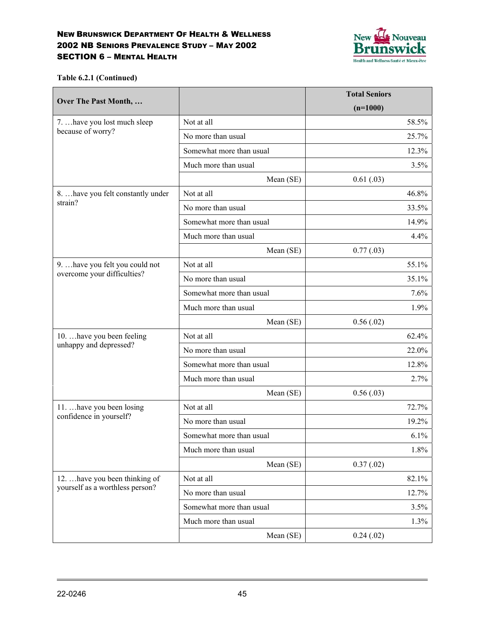

**Table 6.2.1 (Continued)**

|                                    |                          | <b>Total Seniors</b> |
|------------------------------------|--------------------------|----------------------|
| Over The Past Month,               |                          | $(n=1000)$           |
| 7.  have you lost much sleep       | Not at all               | 58.5%                |
| because of worry?                  | No more than usual       | 25.7%                |
|                                    | Somewhat more than usual | 12.3%                |
|                                    | Much more than usual     | 3.5%                 |
|                                    | Mean (SE)                | 0.61(0.03)           |
| 8.  have you felt constantly under | Not at all               | 46.8%                |
| strain?                            | No more than usual       | 33.5%                |
|                                    | Somewhat more than usual | 14.9%                |
|                                    | Much more than usual     | 4.4%                 |
|                                    | Mean (SE)                | 0.77(0.03)           |
| 9.  have you felt you could not    | Not at all               | 55.1%                |
| overcome your difficulties?        | No more than usual       | 35.1%                |
|                                    | Somewhat more than usual | 7.6%                 |
|                                    | Much more than usual     | 1.9%                 |
|                                    | Mean (SE)                | 0.56(0.02)           |
| 10.  have you been feeling         | Not at all               | 62.4%                |
| unhappy and depressed?             | No more than usual       | 22.0%                |
|                                    | Somewhat more than usual | 12.8%                |
|                                    | Much more than usual     | 2.7%                 |
|                                    | Mean (SE)                | 0.56(0.03)           |
| 11.  have you been losing          | Not at all               | 72.7%                |
| confidence in yourself?            | No more than usual       | 19.2%                |
|                                    | Somewhat more than usual | 6.1%                 |
|                                    | Much more than usual     | 1.8%                 |
|                                    | Mean (SE)                | 0.37(0.02)           |
| 12.  have you been thinking of     | Not at all               | 82.1%                |
| yourself as a worthless person?    | No more than usual       | 12.7%                |
|                                    | Somewhat more than usual | 3.5%                 |
|                                    | Much more than usual     | 1.3%                 |
|                                    | Mean (SE)                | 0.24(0.02)           |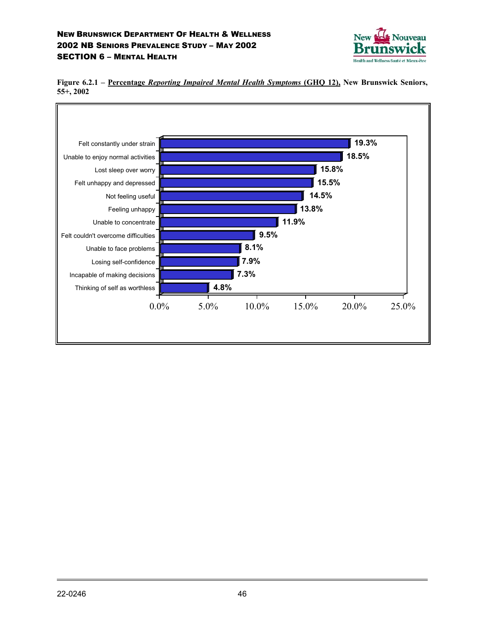



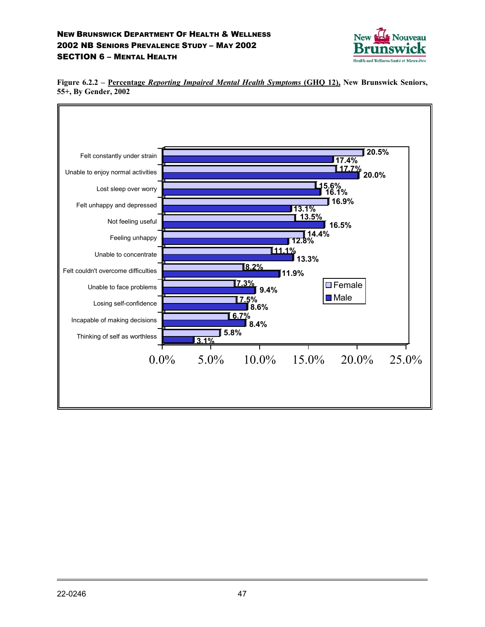



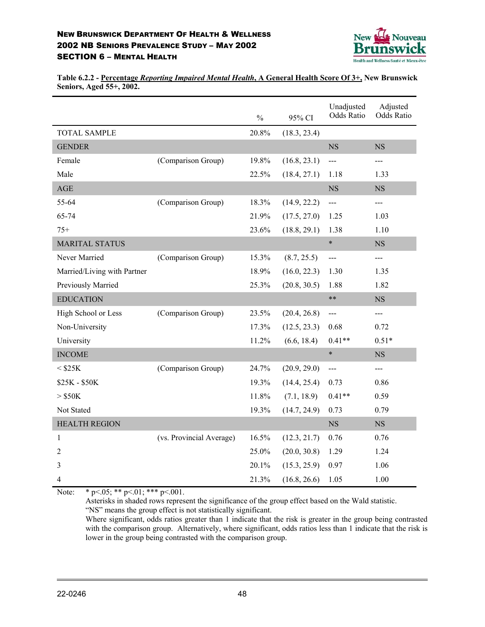

**Table 6.2.2 - Percentage** *Reporting Impaired Mental Health***, A General Health Score Of 3+, New Brunswick Seniors, Aged 55+, 2002.**

|                             |                          | $\frac{0}{0}$ | 95% CI       | Unadjusted<br><b>Odds Ratio</b> | Adjusted<br>Odds Ratio |
|-----------------------------|--------------------------|---------------|--------------|---------------------------------|------------------------|
| <b>TOTAL SAMPLE</b>         |                          | 20.8%         | (18.3, 23.4) |                                 |                        |
| <b>GENDER</b>               |                          |               |              | <b>NS</b>                       | <b>NS</b>              |
| Female                      | (Comparison Group)       | 19.8%         | (16.8, 23.1) | $\overline{a}$                  | $---$                  |
| Male                        |                          | 22.5%         | (18.4, 27.1) | 1.18                            | 1.33                   |
| AGE                         |                          |               |              | <b>NS</b>                       | <b>NS</b>              |
| 55-64                       | (Comparison Group)       | 18.3%         | (14.9, 22.2) | $\frac{1}{2}$                   | $---$                  |
| 65-74                       |                          | 21.9%         | (17.5, 27.0) | 1.25                            | 1.03                   |
| $75+$                       |                          | 23.6%         | (18.8, 29.1) | 1.38                            | 1.10                   |
| <b>MARITAL STATUS</b>       |                          |               |              | $\ast$                          | <b>NS</b>              |
| Never Married               | (Comparison Group)       | 15.3%         | (8.7, 25.5)  | $---$                           | $---$                  |
| Married/Living with Partner |                          | 18.9%         | (16.0, 22.3) | 1.30                            | 1.35                   |
| Previously Married          |                          | 25.3%         | (20.8, 30.5) | 1.88                            | 1.82                   |
| <b>EDUCATION</b>            |                          |               |              | $***$                           | <b>NS</b>              |
| High School or Less         | (Comparison Group)       | 23.5%         | (20.4, 26.8) | $\overline{a}$                  | $---$                  |
| Non-University              |                          | 17.3%         | (12.5, 23.3) | 0.68                            | 0.72                   |
| University                  |                          | 11.2%         | (6.6, 18.4)  | $0.41**$                        | $0.51*$                |
| <b>INCOME</b>               |                          |               |              | $\ast$                          | <b>NS</b>              |
| $<$ \$25K                   | (Comparison Group)       | 24.7%         | (20.9, 29.0) | $ -$                            | $---$                  |
| \$25K - \$50K               |                          | 19.3%         | (14.4, 25.4) | 0.73                            | 0.86                   |
| $>$ \$50K                   |                          | 11.8%         | (7.1, 18.9)  | $0.41**$                        | 0.59                   |
| Not Stated                  |                          | 19.3%         | (14.7, 24.9) | 0.73                            | 0.79                   |
| <b>HEALTH REGION</b>        |                          |               |              | <b>NS</b>                       | <b>NS</b>              |
| 1                           | (vs. Provincial Average) | 16.5%         | (12.3, 21.7) | 0.76                            | 0.76                   |
| 2                           |                          | 25.0%         | (20.0, 30.8) | 1.29                            | 1.24                   |
| 3                           |                          | 20.1%         | (15.3, 25.9) | 0.97                            | 1.06                   |
| 4                           |                          | 21.3%         | (16.8, 26.6) | 1.05                            | 1.00                   |

Note: \* p < 05; \* \* p < 01; \* \* \* p < 001.

Asterisks in shaded rows represent the significance of the group effect based on the Wald statistic. "NS" means the group effect is not statistically significant.

Where significant, odds ratios greater than 1 indicate that the risk is greater in the group being contrasted with the comparison group. Alternatively, where significant, odds ratios less than 1 indicate that the risk is lower in the group being contrasted with the comparison group.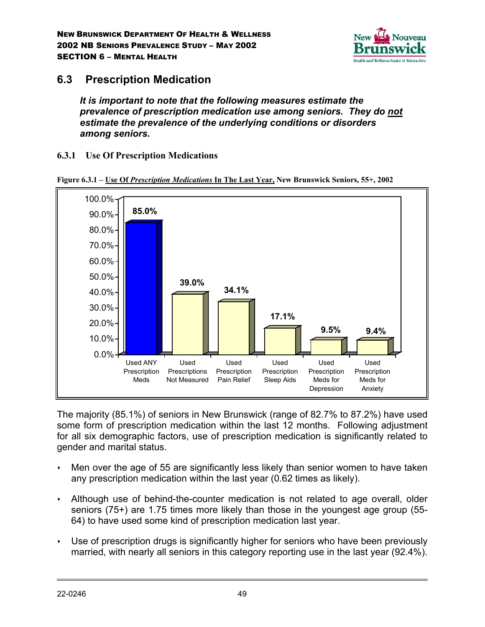

# **6.3 Prescription Medication**

*It is important to note that the following measures estimate the prevalence of prescription medication use among seniors. They do not estimate the prevalence of the underlying conditions or disorders among seniors.*

### **6.3.1 Use Of Prescription Medications**



**Figure 6.3.1 – Use Of** *Prescription Medications* **In The Last Year, New Brunswick Seniors, 55+, 2002**

The majority (85.1%) of seniors in New Brunswick (range of 82.7% to 87.2%) have used some form of prescription medication within the last 12 months. Following adjustment for all six demographic factors, use of prescription medication is significantly related to gender and marital status.

- Men over the age of 55 are significantly less likely than senior women to have taken any prescription medication within the last year (0.62 times as likely).
- Although use of behind-the-counter medication is not related to age overall, older seniors (75+) are 1.75 times more likely than those in the youngest age group (55- 64) to have used some kind of prescription medication last year.
- Use of prescription drugs is significantly higher for seniors who have been previously married, with nearly all seniors in this category reporting use in the last year (92.4%).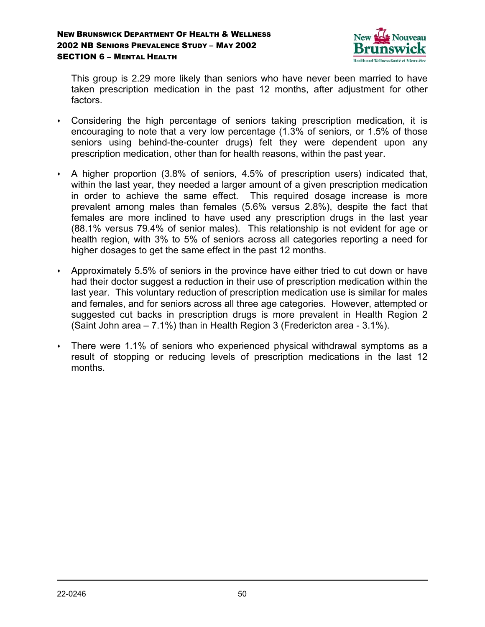

This group is 2.29 more likely than seniors who have never been married to have taken prescription medication in the past 12 months, after adjustment for other factors.

- Considering the high percentage of seniors taking prescription medication, it is encouraging to note that a very low percentage (1.3% of seniors, or 1.5% of those seniors using behind-the-counter drugs) felt they were dependent upon any prescription medication, other than for health reasons, within the past year.
- A higher proportion (3.8% of seniors, 4.5% of prescription users) indicated that, within the last year, they needed a larger amount of a given prescription medication in order to achieve the same effect. This required dosage increase is more prevalent among males than females (5.6% versus 2.8%), despite the fact that females are more inclined to have used any prescription drugs in the last year (88.1% versus 79.4% of senior males). This relationship is not evident for age or health region, with 3% to 5% of seniors across all categories reporting a need for higher dosages to get the same effect in the past 12 months.
- Approximately 5.5% of seniors in the province have either tried to cut down or have had their doctor suggest a reduction in their use of prescription medication within the last year. This voluntary reduction of prescription medication use is similar for males and females, and for seniors across all three age categories. However, attempted or suggested cut backs in prescription drugs is more prevalent in Health Region 2 (Saint John area – 7.1%) than in Health Region 3 (Fredericton area - 3.1%).
- There were 1.1% of seniors who experienced physical withdrawal symptoms as a result of stopping or reducing levels of prescription medications in the last 12 months.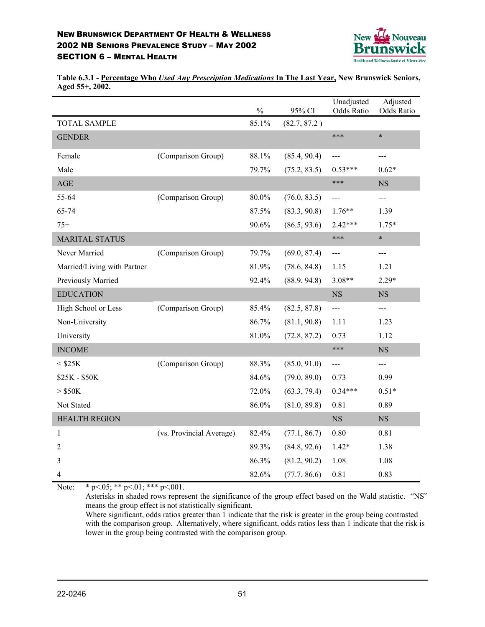

**Table 6.3.1 - Percentage Who** *Used Any Prescription Medications* **In The Last Year, New Brunswick Seniors, Aged 55+, 2002.**

|                             |                          | $\frac{0}{0}$ | 95% CI       | Unadjusted<br>Odds Ratio | Adjusted<br>Odds Ratio |
|-----------------------------|--------------------------|---------------|--------------|--------------------------|------------------------|
| <b>TOTAL SAMPLE</b>         |                          | 85.1%         | (82.7, 87.2) |                          |                        |
| <b>GENDER</b>               |                          |               |              | ***                      | $\ast$                 |
| Female                      | (Comparison Group)       | 88.1%         | (85.4, 90.4) | ---                      | $\overline{a}$         |
| Male                        |                          | 79.7%         | (75.2, 83.5) | $0.53***$                | $0.62*$                |
| AGE                         |                          |               |              | ***                      | <b>NS</b>              |
| 55-64                       | (Comparison Group)       | 80.0%         | (76.0, 83.5) | ---                      | $---$                  |
| 65-74                       |                          | 87.5%         | (83.3, 90.8) | $1.76**$                 | 1.39                   |
| $75+$                       |                          | 90.6%         | (86.5, 93.6) | 2.42***                  | $1.75*$                |
| <b>MARITAL STATUS</b>       |                          |               |              | ***                      | $\ast$                 |
| Never Married               | (Comparison Group)       | 79.7%         | (69.0, 87.4) | $---$                    | ---                    |
| Married/Living with Partner |                          | 81.9%         | (78.6, 84.8) | 1.15                     | 1.21                   |
| Previously Married          |                          | 92.4%         | (88.9, 94.8) | $3.08**$                 | $2.29*$                |
| <b>EDUCATION</b>            |                          |               |              | <b>NS</b>                | <b>NS</b>              |
| High School or Less         | (Comparison Group)       | 85.4%         | (82.5, 87.8) | $---$                    | $---$                  |
| Non-University              |                          | 86.7%         | (81.1, 90.8) | 1.11                     | 1.23                   |
| University                  |                          | 81.0%         | (72.8, 87.2) | 0.73                     | 1.12                   |
| <b>INCOME</b>               |                          |               |              | ***                      | NS                     |
| $<$ \$25K                   | (Comparison Group)       | 88.3%         | (85.0, 91.0) | $---$                    | $---$                  |
| \$25K - \$50K               |                          | 84.6%         | (79.0, 89.0) | 0.73                     | 0.99                   |
| $>$ \$50K                   |                          | 72.0%         | (63.3, 79.4) | $0.34***$                | $0.51*$                |
| Not Stated                  |                          | 86.0%         | (81.0, 89.8) | 0.81                     | 0.89                   |
| <b>HEALTH REGION</b>        |                          |               |              | $_{\rm NS}$              | $_{\rm NS}$            |
| 1                           | (vs. Provincial Average) | 82.4%         | (77.1, 86.7) | 0.80                     | 0.81                   |
| 2                           |                          | 89.3%         | (84.8, 92.6) | $1.42*$                  | 1.38                   |
| 3                           |                          | 86.3%         | (81.2, 90.2) | 1.08                     | 1.08                   |
| 4                           |                          | 82.6%         | (77.7, 86.6) | 0.81                     | 0.83                   |

Note: \* p < 05; \* \* p < 01; \* \* \* p < 001.

Asterisks in shaded rows represent the significance of the group effect based on the Wald statistic. "NS" means the group effect is not statistically significant.

Where significant, odds ratios greater than 1 indicate that the risk is greater in the group being contrasted with the comparison group. Alternatively, where significant, odds ratios less than 1 indicate that the risk is lower in the group being contrasted with the comparison group.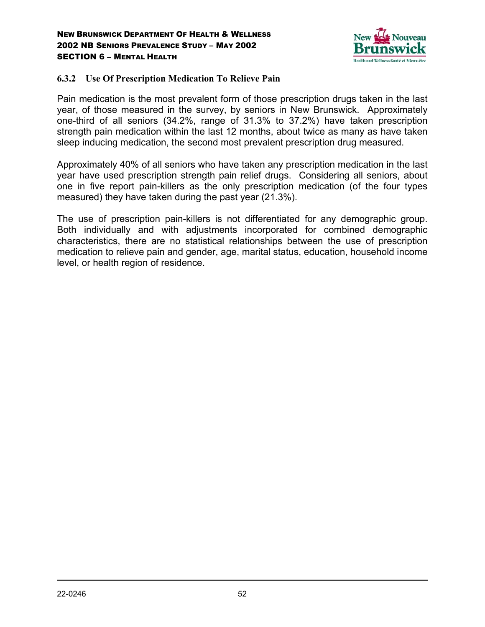

### **6.3.2 Use Of Prescription Medication To Relieve Pain**

Pain medication is the most prevalent form of those prescription drugs taken in the last year, of those measured in the survey, by seniors in New Brunswick. Approximately one-third of all seniors (34.2%, range of 31.3% to 37.2%) have taken prescription strength pain medication within the last 12 months, about twice as many as have taken sleep inducing medication, the second most prevalent prescription drug measured.

Approximately 40% of all seniors who have taken any prescription medication in the last year have used prescription strength pain relief drugs. Considering all seniors, about one in five report pain-killers as the only prescription medication (of the four types measured) they have taken during the past year (21.3%).

The use of prescription pain-killers is not differentiated for any demographic group. Both individually and with adjustments incorporated for combined demographic characteristics, there are no statistical relationships between the use of prescription medication to relieve pain and gender, age, marital status, education, household income level, or health region of residence.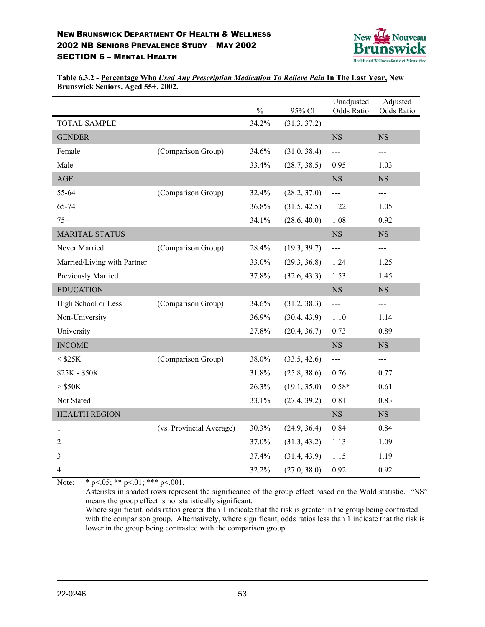

**Table 6.3.2 - Percentage Who** *Used Any Prescription Medication To Relieve Pain* **In The Last Year, New Brunswick Seniors, Aged 55+, 2002.**

|                             |                          | $\frac{0}{0}$ | 95% CI       | Unadjusted<br>Odds Ratio | Adjusted<br>Odds Ratio |
|-----------------------------|--------------------------|---------------|--------------|--------------------------|------------------------|
| <b>TOTAL SAMPLE</b>         |                          | 34.2%         | (31.3, 37.2) |                          |                        |
| <b>GENDER</b>               |                          |               |              | <b>NS</b>                | <b>NS</b>              |
| Female                      | (Comparison Group)       | 34.6%         | (31.0, 38.4) | ---                      | ---                    |
| Male                        |                          | 33.4%         | (28.7, 38.5) | 0.95                     | 1.03                   |
| AGE                         |                          |               |              | NS                       | NS                     |
| 55-64                       | (Comparison Group)       | 32.4%         | (28.2, 37.0) | $---$                    | $---$                  |
| 65-74                       |                          | 36.8%         | (31.5, 42.5) | 1.22                     | 1.05                   |
| $75+$                       |                          | 34.1%         | (28.6, 40.0) | 1.08                     | 0.92                   |
| <b>MARITAL STATUS</b>       |                          |               |              | <b>NS</b>                | <b>NS</b>              |
| Never Married               | (Comparison Group)       | 28.4%         | (19.3, 39.7) | ---                      | ---                    |
| Married/Living with Partner |                          | 33.0%         | (29.3, 36.8) | 1.24                     | 1.25                   |
| Previously Married          |                          | 37.8%         | (32.6, 43.3) | 1.53                     | 1.45                   |
| <b>EDUCATION</b>            |                          |               |              | $_{\rm NS}$              | $_{\rm NS}$            |
| High School or Less         | (Comparison Group)       | 34.6%         | (31.2, 38.3) | $\overline{a}$           | $---$                  |
| Non-University              |                          | 36.9%         | (30.4, 43.9) | 1.10                     | 1.14                   |
| University                  |                          | 27.8%         | (20.4, 36.7) | 0.73                     | 0.89                   |
| <b>INCOME</b>               |                          |               |              | $_{\rm NS}$              | $_{\rm NS}$            |
| $<$ \$25K                   | (Comparison Group)       | 38.0%         | (33.5, 42.6) | $\overline{a}$           | $---$                  |
| \$25K - \$50K               |                          | 31.8%         | (25.8, 38.6) | 0.76                     | 0.77                   |
| $>$ \$50K                   |                          | 26.3%         | (19.1, 35.0) | $0.58*$                  | 0.61                   |
| Not Stated                  |                          | 33.1%         | (27.4, 39.2) | 0.81                     | 0.83                   |
| <b>HEALTH REGION</b>        |                          |               |              | NS                       | $_{\rm NS}$            |
| $\mathbf{1}$                | (vs. Provincial Average) | 30.3%         | (24.9, 36.4) | 0.84                     | 0.84                   |
| $\overline{2}$              |                          | 37.0%         | (31.3, 43.2) | 1.13                     | 1.09                   |
| 3                           |                          | 37.4%         | (31.4, 43.9) | 1.15                     | 1.19                   |
| 4                           |                          | 32.2%         | (27.0, 38.0) | 0.92                     | 0.92                   |

Note: \*  $p < .05$ ; \*\*  $p < .01$ ; \*\*\*  $p < .001$ .

Asterisks in shaded rows represent the significance of the group effect based on the Wald statistic. "NS" means the group effect is not statistically significant.

Where significant, odds ratios greater than 1 indicate that the risk is greater in the group being contrasted with the comparison group. Alternatively, where significant, odds ratios less than 1 indicate that the risk is lower in the group being contrasted with the comparison group.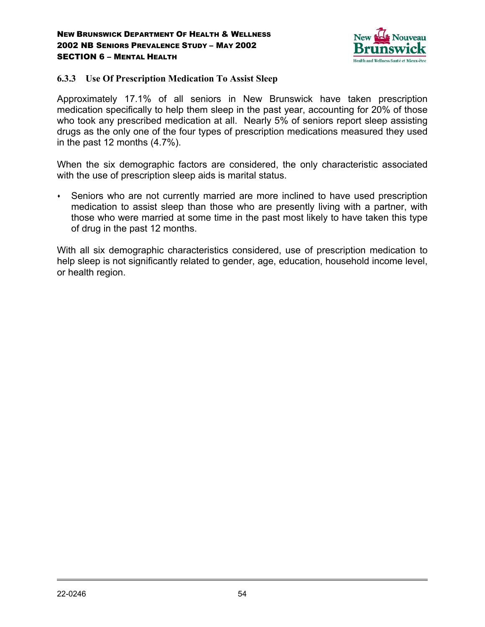

### **6.3.3 Use Of Prescription Medication To Assist Sleep**

Approximately 17.1% of all seniors in New Brunswick have taken prescription medication specifically to help them sleep in the past year, accounting for 20% of those who took any prescribed medication at all. Nearly 5% of seniors report sleep assisting drugs as the only one of the four types of prescription medications measured they used in the past 12 months (4.7%).

When the six demographic factors are considered, the only characteristic associated with the use of prescription sleep aids is marital status.

 Seniors who are not currently married are more inclined to have used prescription medication to assist sleep than those who are presently living with a partner, with those who were married at some time in the past most likely to have taken this type of drug in the past 12 months.

With all six demographic characteristics considered, use of prescription medication to help sleep is not significantly related to gender, age, education, household income level, or health region.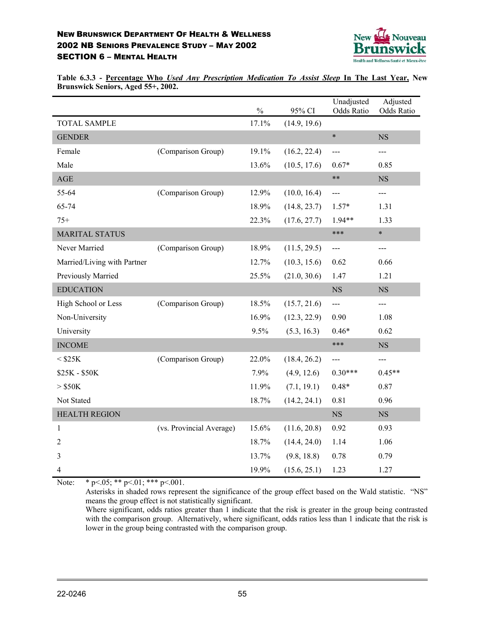

**Table 6.3.3 - Percentage Who** *Used Any Prescription Medication To Assist Sleep* **In The Last Year, New Brunswick Seniors, Aged 55+, 2002.**

|                             |                          | $\frac{0}{0}$ | 95% CI       | Unadjusted<br>Odds Ratio | Adjusted<br>Odds Ratio |
|-----------------------------|--------------------------|---------------|--------------|--------------------------|------------------------|
| <b>TOTAL SAMPLE</b>         |                          | 17.1%         | (14.9, 19.6) |                          |                        |
| <b>GENDER</b>               |                          |               |              | $\ast$                   | <b>NS</b>              |
| Female                      | (Comparison Group)       | 19.1%         | (16.2, 22.4) | ---                      | ---                    |
| Male                        |                          | 13.6%         | (10.5, 17.6) | $0.67*$                  | 0.85                   |
| $\mathbf{AGE}$              |                          |               |              | $***$                    | $_{\rm NS}$            |
| 55-64                       | (Comparison Group)       | 12.9%         | (10.0, 16.4) | $---$                    | $---$                  |
| 65-74                       |                          | 18.9%         | (14.8, 23.7) | $1.57*$                  | 1.31                   |
| $75+$                       |                          | 22.3%         | (17.6, 27.7) | $1.94**$                 | 1.33                   |
| <b>MARITAL STATUS</b>       |                          |               |              | ***                      | $\ast$                 |
| Never Married               | (Comparison Group)       | 18.9%         | (11.5, 29.5) | $---$                    | ---                    |
| Married/Living with Partner |                          | 12.7%         | (10.3, 15.6) | 0.62                     | 0.66                   |
| Previously Married          |                          | 25.5%         | (21.0, 30.6) | 1.47                     | 1.21                   |
| <b>EDUCATION</b>            |                          |               |              | NS                       | <b>NS</b>              |
| High School or Less         | (Comparison Group)       | 18.5%         | (15.7, 21.6) | $\frac{1}{2}$            | $---$                  |
| Non-University              |                          | 16.9%         | (12.3, 22.9) | 0.90                     | 1.08                   |
| University                  |                          | 9.5%          | (5.3, 16.3)  | $0.46*$                  | 0.62                   |
| <b>INCOME</b>               |                          |               |              | ***                      | <b>NS</b>              |
| $<$ \$25K                   | (Comparison Group)       | 22.0%         | (18.4, 26.2) | $---$                    | $---$                  |
| \$25K - \$50K               |                          | 7.9%          | (4.9, 12.6)  | $0.30***$                | $0.45**$               |
| $>$ \$50K                   |                          | 11.9%         | (7.1, 19.1)  | $0.48*$                  | 0.87                   |
| Not Stated                  |                          | 18.7%         | (14.2, 24.1) | 0.81                     | 0.96                   |
| <b>HEALTH REGION</b>        |                          |               |              | <b>NS</b>                | NS                     |
| 1                           | (vs. Provincial Average) | 15.6%         | (11.6, 20.8) | 0.92                     | 0.93                   |
| 2                           |                          | 18.7%         | (14.4, 24.0) | 1.14                     | 1.06                   |
| 3                           |                          | 13.7%         | (9.8, 18.8)  | 0.78                     | 0.79                   |
| $\overline{4}$              |                          | 19.9%         | (15.6, 25.1) | 1.23                     | 1.27                   |

Note: \*  $p<.05;$  \*\*  $p<.01;$  \*\*\*  $p<.001.$ 

Asterisks in shaded rows represent the significance of the group effect based on the Wald statistic. "NS" means the group effect is not statistically significant.

Where significant, odds ratios greater than 1 indicate that the risk is greater in the group being contrasted with the comparison group. Alternatively, where significant, odds ratios less than 1 indicate that the risk is lower in the group being contrasted with the comparison group.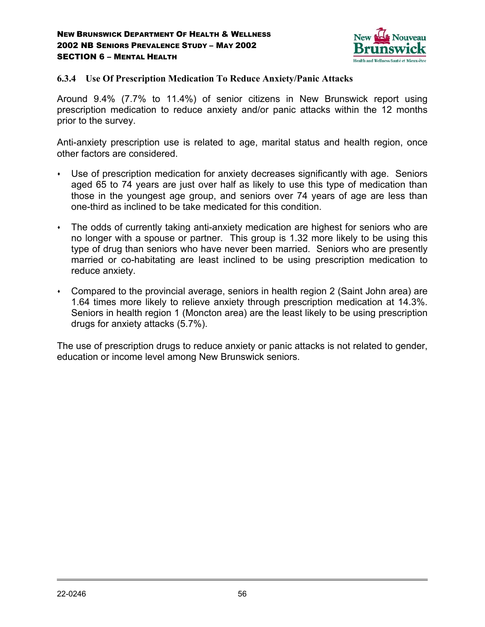

### **6.3.4 Use Of Prescription Medication To Reduce Anxiety/Panic Attacks**

Around 9.4% (7.7% to 11.4%) of senior citizens in New Brunswick report using prescription medication to reduce anxiety and/or panic attacks within the 12 months prior to the survey.

Anti-anxiety prescription use is related to age, marital status and health region, once other factors are considered.

- Use of prescription medication for anxiety decreases significantly with age. Seniors aged 65 to 74 years are just over half as likely to use this type of medication than those in the youngest age group, and seniors over 74 years of age are less than one-third as inclined to be take medicated for this condition.
- The odds of currently taking anti-anxiety medication are highest for seniors who are no longer with a spouse or partner. This group is 1.32 more likely to be using this type of drug than seniors who have never been married. Seniors who are presently married or co-habitating are least inclined to be using prescription medication to reduce anxiety.
- Compared to the provincial average, seniors in health region 2 (Saint John area) are 1.64 times more likely to relieve anxiety through prescription medication at 14.3%. Seniors in health region 1 (Moncton area) are the least likely to be using prescription drugs for anxiety attacks (5.7%).

The use of prescription drugs to reduce anxiety or panic attacks is not related to gender, education or income level among New Brunswick seniors.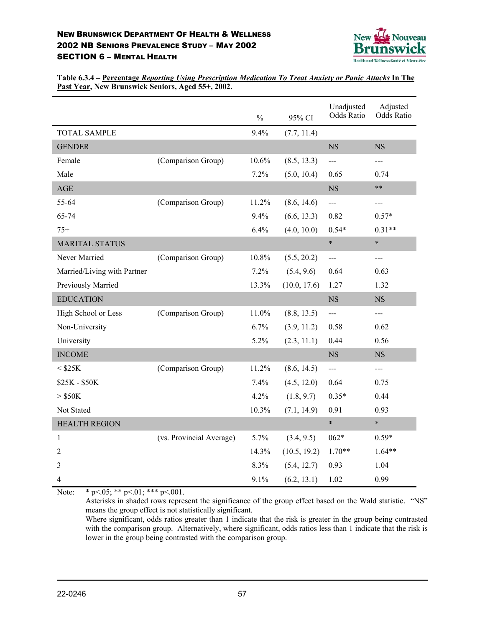

**Table 6.3.4 – Percentage** *Reporting Using Prescription Medication To Treat Anxiety or Panic Attacks* **In The Past Year, New Brunswick Seniors, Aged 55+, 2002.**

|                             |                          | $\frac{0}{0}$ | 95% CI       | Unadjusted<br><b>Odds Ratio</b> | Adjusted<br><b>Odds Ratio</b> |
|-----------------------------|--------------------------|---------------|--------------|---------------------------------|-------------------------------|
| <b>TOTAL SAMPLE</b>         |                          | 9.4%          | (7.7, 11.4)  |                                 |                               |
| <b>GENDER</b>               |                          |               |              | $_{\rm NS}$                     | <b>NS</b>                     |
| Female                      | (Comparison Group)       | 10.6%         | (8.5, 13.3)  | $---$                           | ---                           |
| Male                        |                          | 7.2%          | (5.0, 10.4)  | 0.65                            | 0.74                          |
| $\mathbf{AGE}$              |                          |               |              | NS                              | $***$                         |
| 55-64                       | (Comparison Group)       | 11.2%         | (8.6, 14.6)  | $---$                           | ---                           |
| 65-74                       |                          | 9.4%          | (6.6, 13.3)  | 0.82                            | $0.57*$                       |
| $75+$                       |                          | 6.4%          | (4.0, 10.0)  | $0.54*$                         | $0.31**$                      |
| <b>MARITAL STATUS</b>       |                          |               |              | $\ast$                          | $\ast$                        |
| Never Married               | (Comparison Group)       | 10.8%         | (5.5, 20.2)  | ---                             | ---                           |
| Married/Living with Partner |                          | 7.2%          | (5.4, 9.6)   | 0.64                            | 0.63                          |
| Previously Married          |                          | 13.3%         | (10.0, 17.6) | 1.27                            | 1.32                          |
| <b>EDUCATION</b>            |                          |               |              | <b>NS</b>                       | NS                            |
| High School or Less         | (Comparison Group)       | 11.0%         | (8.8, 13.5)  | $\overline{a}$                  | ---                           |
| Non-University              |                          | 6.7%          | (3.9, 11.2)  | 0.58                            | 0.62                          |
| University                  |                          | 5.2%          | (2.3, 11.1)  | 0.44                            | 0.56                          |
| <b>INCOME</b>               |                          |               |              | <b>NS</b>                       | <b>NS</b>                     |
| $<$ \$25K                   | (Comparison Group)       | 11.2%         | (8.6, 14.5)  | $---$                           | ---                           |
| \$25K - \$50K               |                          | 7.4%          | (4.5, 12.0)  | 0.64                            | 0.75                          |
| $>$ \$50K                   |                          | 4.2%          | (1.8, 9.7)   | $0.35*$                         | 0.44                          |
| Not Stated                  |                          | 10.3%         | (7.1, 14.9)  | 0.91                            | 0.93                          |
| <b>HEALTH REGION</b>        |                          |               |              | $\ast$                          | $\ast$                        |
| 1                           | (vs. Provincial Average) | 5.7%          | (3.4, 9.5)   | $062*$                          | $0.59*$                       |
| $\overline{2}$              |                          | 14.3%         | (10.5, 19.2) | $1.70**$                        | $1.64**$                      |
| 3                           |                          | 8.3%          | (5.4, 12.7)  | 0.93                            | 1.04                          |
| 4                           |                          | 9.1%          | (6.2, 13.1)  | 1.02                            | 0.99                          |

Note: \* p < 05; \* \* p < 01; \* \* \* p < 001.

Asterisks in shaded rows represent the significance of the group effect based on the Wald statistic. "NS" means the group effect is not statistically significant.

Where significant, odds ratios greater than 1 indicate that the risk is greater in the group being contrasted with the comparison group. Alternatively, where significant, odds ratios less than 1 indicate that the risk is lower in the group being contrasted with the comparison group.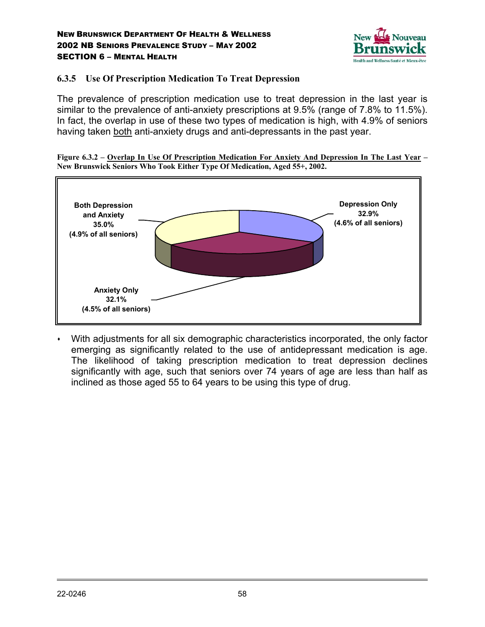

### **6.3.5 Use Of Prescription Medication To Treat Depression**

The prevalence of prescription medication use to treat depression in the last year is similar to the prevalence of anti-anxiety prescriptions at 9.5% (range of 7.8% to 11.5%). In fact, the overlap in use of these two types of medication is high, with 4.9% of seniors having taken both anti-anxiety drugs and anti-depressants in the past year.





 With adjustments for all six demographic characteristics incorporated, the only factor emerging as significantly related to the use of antidepressant medication is age. The likelihood of taking prescription medication to treat depression declines significantly with age, such that seniors over 74 years of age are less than half as inclined as those aged 55 to 64 years to be using this type of drug.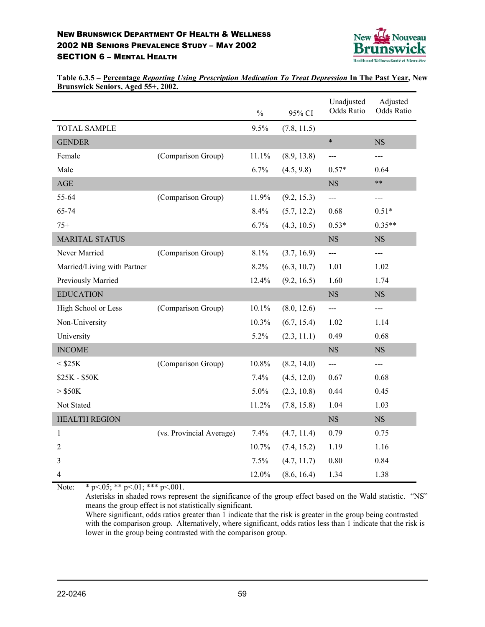

**Table 6.3.5 – Percentage** *Reporting Using Prescription Medication To Treat Depression* **In The Past Year, New Brunswick Seniors, Aged 55+, 2002.**

|                             |                          | $\frac{0}{0}$ | 95% CI      | Unadjusted<br><b>Odds Ratio</b> | Adjusted<br><b>Odds Ratio</b> |
|-----------------------------|--------------------------|---------------|-------------|---------------------------------|-------------------------------|
| <b>TOTAL SAMPLE</b>         |                          | 9.5%          | (7.8, 11.5) |                                 |                               |
| <b>GENDER</b>               |                          |               |             | $\ast$                          | <b>NS</b>                     |
| Female                      | (Comparison Group)       | 11.1%         | (8.9, 13.8) | ---                             | $---$                         |
| Male                        |                          | 6.7%          | (4.5, 9.8)  | $0.57*$                         | 0.64                          |
| $\mathbf{AGE}$              |                          |               |             | <b>NS</b>                       | $***$                         |
| 55-64                       | (Comparison Group)       | 11.9%         | (9.2, 15.3) | $\frac{1}{2}$                   | $---$                         |
| 65-74                       |                          | 8.4%          | (5.7, 12.2) | 0.68                            | $0.51*$                       |
| $75+$                       |                          | 6.7%          | (4.3, 10.5) | $0.53*$                         | $0.35**$                      |
| <b>MARITAL STATUS</b>       |                          |               |             | <b>NS</b>                       | <b>NS</b>                     |
| Never Married               | (Comparison Group)       | 8.1%          | (3.7, 16.9) | $---$                           | $\qquad \qquad - -$           |
| Married/Living with Partner |                          | 8.2%          | (6.3, 10.7) | 1.01                            | 1.02                          |
| Previously Married          |                          | 12.4%         | (9.2, 16.5) | 1.60                            | 1.74                          |
| <b>EDUCATION</b>            |                          |               |             | <b>NS</b>                       | <b>NS</b>                     |
| High School or Less         | (Comparison Group)       | 10.1%         | (8.0, 12.6) | $---$                           | $\frac{1}{2}$                 |
| Non-University              |                          | 10.3%         | (6.7, 15.4) | 1.02                            | 1.14                          |
| University                  |                          | 5.2%          | (2.3, 11.1) | 0.49                            | 0.68                          |
| <b>INCOME</b>               |                          |               |             | $_{\rm NS}$                     | $_{\rm NS}$                   |
| $<$ \$25K                   | (Comparison Group)       | 10.8%         | (8.2, 14.0) | $\qquad \qquad - \qquad$        | $---$                         |
| \$25K - \$50K               |                          | 7.4%          | (4.5, 12.0) | 0.67                            | 0.68                          |
| $>$ \$50K                   |                          | 5.0%          | (2.3, 10.8) | 0.44                            | 0.45                          |
| Not Stated                  |                          | 11.2%         | (7.8, 15.8) | 1.04                            | 1.03                          |
| <b>HEALTH REGION</b>        |                          |               |             | NS                              | $_{\rm NS}$                   |
| $\mathbf{1}$                | (vs. Provincial Average) | 7.4%          | (4.7, 11.4) | 0.79                            | 0.75                          |
| $\overline{2}$              |                          | 10.7%         | (7.4, 15.2) | 1.19                            | 1.16                          |
| 3                           |                          | 7.5%          | (4.7, 11.7) | 0.80                            | 0.84                          |
| 4                           |                          | 12.0%         | (8.6, 16.4) | 1.34                            | 1.38                          |

Note: \* p < 05; \* \* p < 01; \* \* \* p < 001.

Asterisks in shaded rows represent the significance of the group effect based on the Wald statistic. "NS" means the group effect is not statistically significant.

Where significant, odds ratios greater than 1 indicate that the risk is greater in the group being contrasted with the comparison group. Alternatively, where significant, odds ratios less than 1 indicate that the risk is lower in the group being contrasted with the comparison group.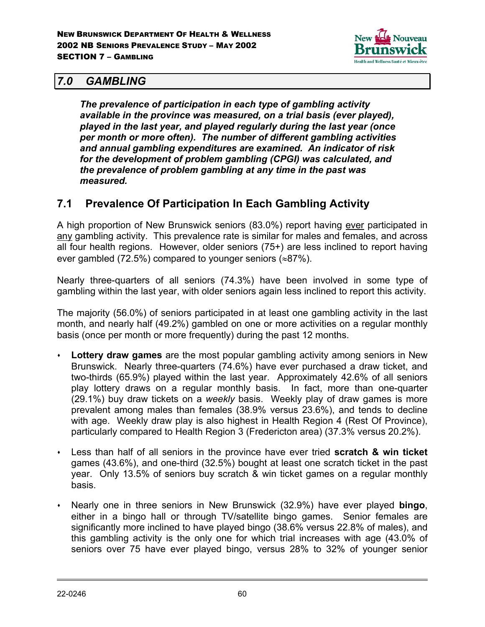

## *7.0 GAMBLING*

*The prevalence of participation in each type of gambling activity available in the province was measured, on a trial basis (ever played), played in the last year, and played regularly during the last year (once per month or more often). The number of different gambling activities and annual gambling expenditures are examined. An indicator of risk for the development of problem gambling (CPGI) was calculated, and the prevalence of problem gambling at any time in the past was measured.*

# **7.1 Prevalence Of Participation In Each Gambling Activity**

A high proportion of New Brunswick seniors (83.0%) report having ever participated in any gambling activity. This prevalence rate is similar for males and females, and across all four health regions. However, older seniors (75+) are less inclined to report having ever gambled (72.5%) compared to younger seniors ( $\approx 87\%$ ).

Nearly three-quarters of all seniors (74.3%) have been involved in some type of gambling within the last year, with older seniors again less inclined to report this activity.

The majority (56.0%) of seniors participated in at least one gambling activity in the last month, and nearly half (49.2%) gambled on one or more activities on a regular monthly basis (once per month or more frequently) during the past 12 months.

- **Lottery draw games** are the most popular gambling activity among seniors in New Brunswick. Nearly three-quarters (74.6%) have ever purchased a draw ticket, and two-thirds (65.9%) played within the last year. Approximately 42.6% of all seniors play lottery draws on a regular monthly basis. In fact, more than one-quarter (29.1%) buy draw tickets on a *weekly* basis. Weekly play of draw games is more prevalent among males than females (38.9% versus 23.6%), and tends to decline with age. Weekly draw play is also highest in Health Region 4 (Rest Of Province), particularly compared to Health Region 3 (Fredericton area) (37.3% versus 20.2%).
- Less than half of all seniors in the province have ever tried **scratch & win ticket** games (43.6%), and one-third (32.5%) bought at least one scratch ticket in the past year. Only 13.5% of seniors buy scratch & win ticket games on a regular monthly basis.
- Nearly one in three seniors in New Brunswick (32.9%) have ever played **bingo**, either in a bingo hall or through TV/satellite bingo games. Senior females are significantly more inclined to have played bingo (38.6% versus 22.8% of males), and this gambling activity is the only one for which trial increases with age (43.0% of seniors over 75 have ever played bingo, versus 28% to 32% of younger senior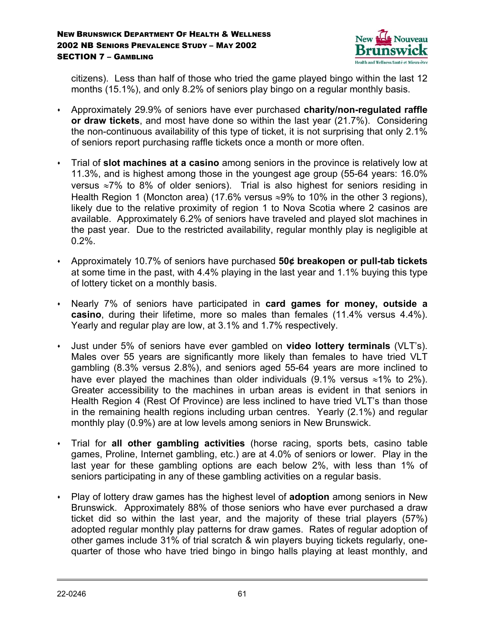

citizens). Less than half of those who tried the game played bingo within the last 12 months (15.1%), and only 8.2% of seniors play bingo on a regular monthly basis.

- Approximately 29.9% of seniors have ever purchased **charity/non-regulated raffle or draw tickets**, and most have done so within the last year (21.7%). Considering the non-continuous availability of this type of ticket, it is not surprising that only 2.1% of seniors report purchasing raffle tickets once a month or more often.
- Trial of **slot machines at a casino** among seniors in the province is relatively low at 11.3%, and is highest among those in the youngest age group (55-64 years: 16.0% versus ≈7% to 8% of older seniors). Trial is also highest for seniors residing in Health Region 1 (Moncton area) (17.6% versus ≈9% to 10% in the other 3 regions), likely due to the relative proximity of region 1 to Nova Scotia where 2 casinos are available. Approximately 6.2% of seniors have traveled and played slot machines in the past year. Due to the restricted availability, regular monthly play is negligible at 0.2%.
- Approximately 10.7% of seniors have purchased **50¢ breakopen or pull-tab tickets** at some time in the past, with 4.4% playing in the last year and 1.1% buying this type of lottery ticket on a monthly basis.
- Nearly 7% of seniors have participated in **card games for money, outside a casino**, during their lifetime, more so males than females (11.4% versus 4.4%). Yearly and regular play are low, at 3.1% and 1.7% respectively.
- Just under 5% of seniors have ever gambled on **video lottery terminals** (VLT's). Males over 55 years are significantly more likely than females to have tried VLT gambling (8.3% versus 2.8%), and seniors aged 55-64 years are more inclined to have ever played the machines than older individuals (9.1% versus ≈1% to 2%). Greater accessibility to the machines in urban areas is evident in that seniors in Health Region 4 (Rest Of Province) are less inclined to have tried VLT's than those in the remaining health regions including urban centres. Yearly (2.1%) and regular monthly play (0.9%) are at low levels among seniors in New Brunswick.
- Trial for **all other gambling activities** (horse racing, sports bets, casino table games, Proline, Internet gambling, etc.) are at 4.0% of seniors or lower. Play in the last year for these gambling options are each below 2%, with less than 1% of seniors participating in any of these gambling activities on a regular basis.
- Play of lottery draw games has the highest level of **adoption** among seniors in New Brunswick. Approximately 88% of those seniors who have ever purchased a draw ticket did so within the last year, and the majority of these trial players (57%) adopted regular monthly play patterns for draw games. Rates of regular adoption of other games include 31% of trial scratch & win players buying tickets regularly, onequarter of those who have tried bingo in bingo halls playing at least monthly, and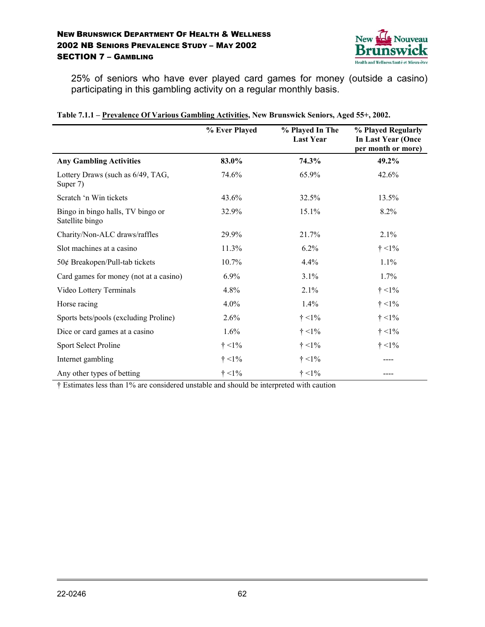

25% of seniors who have ever played card games for money (outside a casino) participating in this gambling activity on a regular monthly basis.

|                                                      | % Ever Played | % Played In The<br><b>Last Year</b> | % Played Regularly<br><b>In Last Year (Once</b><br>per month or more) |
|------------------------------------------------------|---------------|-------------------------------------|-----------------------------------------------------------------------|
| <b>Any Gambling Activities</b>                       | 83.0%         | 74.3%                               | 49.2%                                                                 |
| Lottery Draws (such as 6/49, TAG,<br>Super 7)        | 74.6%         | 65.9%                               | 42.6%                                                                 |
| Scratch 'n Win tickets                               | 43.6%         | 32.5%                               | 13.5%                                                                 |
| Bingo in bingo halls, TV bingo or<br>Satellite bingo | 32.9%         | 15.1%                               | 8.2%                                                                  |
| Charity/Non-ALC draws/raffles                        | 29.9%         | 21.7%                               | 2.1%                                                                  |
| Slot machines at a casino                            | 11.3%         | 6.2%                                | $\dagger$ <1%                                                         |
| 50¢ Breakopen/Pull-tab tickets                       | 10.7%         | 4.4%                                | $1.1\%$                                                               |
| Card games for money (not at a casino)               | 6.9%          | 3.1%                                | $1.7\%$                                                               |
| Video Lottery Terminals                              | 4.8%          | 2.1%                                | $\dagger$ <1%                                                         |
| Horse racing                                         | 4.0%          | 1.4%                                | $\dagger$ <1%                                                         |
| Sports bets/pools (excluding Proline)                | 2.6%          | $\dagger$ <1%                       | $\dagger$ <1%                                                         |
| Dice or card games at a casino                       | 1.6%          | $\dagger$ <1%                       | $\dagger$ <1%                                                         |
| Sport Select Proline                                 | $\dagger$ <1% | $\dagger$ <1%                       | $\dagger$ <1%                                                         |
| Internet gambling                                    | $\dagger$ <1% | $\dagger$ <1%                       |                                                                       |
| Any other types of betting                           | $\dagger$ <1% | $\dagger$ <1%                       |                                                                       |

|  |  | Table 7.1.1 – Prevalence Of Various Gambling Activities, New Brunswick Seniors, Aged 55+, 2002. |
|--|--|-------------------------------------------------------------------------------------------------|
|  |  |                                                                                                 |

† Estimates less than 1% are considered unstable and should be interpreted with caution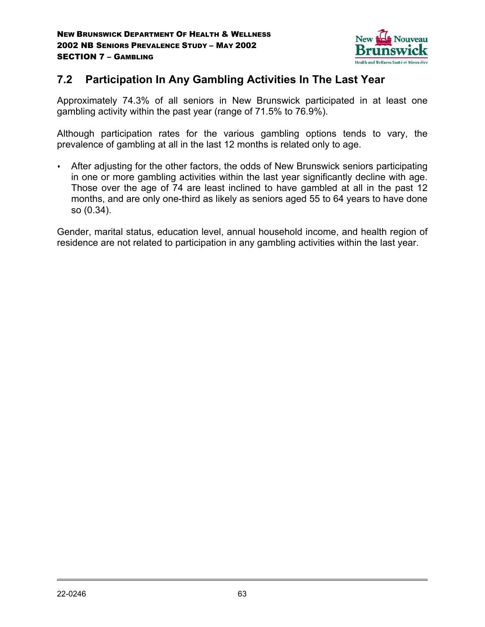

# **7.2 Participation In Any Gambling Activities In The Last Year**

Approximately 74.3% of all seniors in New Brunswick participated in at least one gambling activity within the past year (range of 71.5% to 76.9%).

Although participation rates for the various gambling options tends to vary, the prevalence of gambling at all in the last 12 months is related only to age.

 After adjusting for the other factors, the odds of New Brunswick seniors participating in one or more gambling activities within the last year significantly decline with age. Those over the age of 74 are least inclined to have gambled at all in the past 12 months, and are only one-third as likely as seniors aged 55 to 64 years to have done so (0.34).

Gender, marital status, education level, annual household income, and health region of residence are not related to participation in any gambling activities within the last year.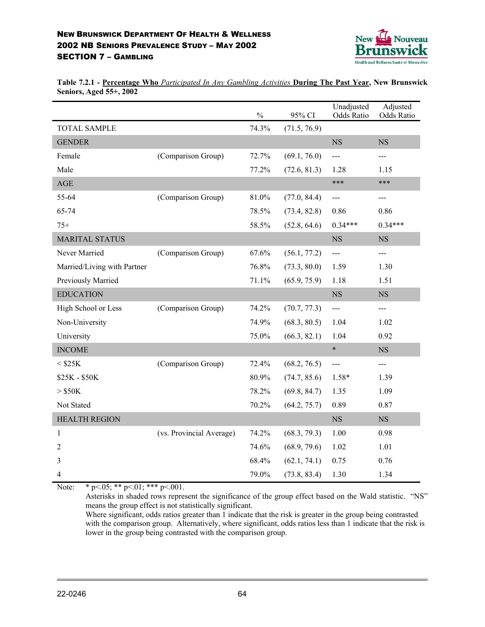

**Table 7.2.1 - Percentage Who** *Participated In Any Gambling Activities* **During The Past Year, New Brunswick Seniors, Aged 55+, 2002**

|                             |                          | $\frac{0}{0}$ | 95% CI       | Unadjusted<br>Odds Ratio  | Adjusted<br>Odds Ratio |
|-----------------------------|--------------------------|---------------|--------------|---------------------------|------------------------|
| <b>TOTAL SAMPLE</b>         |                          | 74.3%         | (71.5, 76.9) |                           |                        |
| <b>GENDER</b>               |                          |               |              | $_{\rm NS}$               | <b>NS</b>              |
| Female                      | (Comparison Group)       | 72.7%         | (69.1, 76.0) | $---$                     | ---                    |
| Male                        |                          | 77.2%         | (72.6, 81.3) | 1.28                      | 1.15                   |
| $\mathbf{AGE}$              |                          |               |              | ***                       | ***                    |
| 55-64                       | (Comparison Group)       | 81.0%         | (77.0, 84.4) | $\qquad \qquad -\qquad -$ | $\qquad \qquad - -$    |
| 65-74                       |                          | 78.5%         | (73.4, 82.8) | 0.86                      | 0.86                   |
| $75+$                       |                          | 58.5%         | (52.8, 64.6) | $0.34***$                 | $0.34***$              |
| <b>MARITAL STATUS</b>       |                          |               |              | $_{\rm NS}$               | <b>NS</b>              |
| Never Married               | (Comparison Group)       | 67.6%         | (56.1, 77.2) | $\qquad \qquad - -$       | ---                    |
| Married/Living with Partner |                          | 76.8%         | (73.3, 80.0) | 1.59                      | 1.30                   |
| Previously Married          |                          | 71.1%         | (65.9, 75.9) | 1.18                      | 1.51                   |
| <b>EDUCATION</b>            |                          |               |              | <b>NS</b>                 | <b>NS</b>              |
| High School or Less         | (Comparison Group)       | 74.2%         | (70.7, 77.3) | $\frac{1}{2}$             | $---$                  |
| Non-University              |                          | 74.9%         | (68.3, 80.5) | 1.04                      | 1.02                   |
| University                  |                          | 75.0%         | (66.3, 82.1) | 1.04                      | 0.92                   |
| <b>INCOME</b>               |                          |               |              | $\ast$                    | <b>NS</b>              |
| $<$ \$25K                   | (Comparison Group)       | 72.4%         | (68.2, 76.5) | $\overline{a}$            | ---                    |
| \$25K - \$50K               |                          | 80.9%         | (74.7, 85.6) | $1.58*$                   | 1.39                   |
| $>$ \$50K                   |                          | 78.2%         | (69.8, 84.7) | 1.35                      | 1.09                   |
| Not Stated                  |                          | 70.2%         | (64.2, 75.7) | 0.89                      | 0.87                   |
| <b>HEALTH REGION</b>        |                          |               |              | NS                        | $_{\rm NS}$            |
| $\mathbf{1}$                | (vs. Provincial Average) | 74.2%         | (68.3, 79.3) | 1.00                      | 0.98                   |
| 2                           |                          | 74.6%         | (68.9, 79.6) | 1.02                      | 1.01                   |
| 3                           |                          | 68.4%         | (62.1, 74.1) | 0.75                      | 0.76                   |
| 4                           |                          | 79.0%         | (73.8, 83.4) | 1.30                      | 1.34                   |

Note: \* p < 05; \* \* p < 01; \* \* \* p < 001.

Asterisks in shaded rows represent the significance of the group effect based on the Wald statistic. "NS" means the group effect is not statistically significant.

Where significant, odds ratios greater than 1 indicate that the risk is greater in the group being contrasted with the comparison group. Alternatively, where significant, odds ratios less than 1 indicate that the risk is lower in the group being contrasted with the comparison group.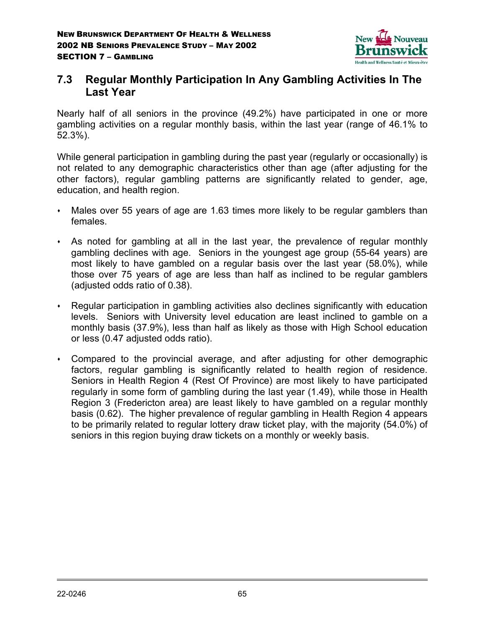

# **7.3 Regular Monthly Participation In Any Gambling Activities In The Last Year**

Nearly half of all seniors in the province (49.2%) have participated in one or more gambling activities on a regular monthly basis, within the last year (range of 46.1% to 52.3%).

While general participation in gambling during the past year (regularly or occasionally) is not related to any demographic characteristics other than age (after adjusting for the other factors), regular gambling patterns are significantly related to gender, age, education, and health region.

- Males over 55 years of age are 1.63 times more likely to be regular gamblers than females.
- As noted for gambling at all in the last year, the prevalence of regular monthly gambling declines with age. Seniors in the youngest age group (55-64 years) are most likely to have gambled on a regular basis over the last year (58.0%), while those over 75 years of age are less than half as inclined to be regular gamblers (adjusted odds ratio of 0.38).
- Regular participation in gambling activities also declines significantly with education levels. Seniors with University level education are least inclined to gamble on a monthly basis (37.9%), less than half as likely as those with High School education or less (0.47 adjusted odds ratio).
- Compared to the provincial average, and after adjusting for other demographic factors, regular gambling is significantly related to health region of residence. Seniors in Health Region 4 (Rest Of Province) are most likely to have participated regularly in some form of gambling during the last year (1.49), while those in Health Region 3 (Fredericton area) are least likely to have gambled on a regular monthly basis (0.62). The higher prevalence of regular gambling in Health Region 4 appears to be primarily related to regular lottery draw ticket play, with the majority (54.0%) of seniors in this region buying draw tickets on a monthly or weekly basis.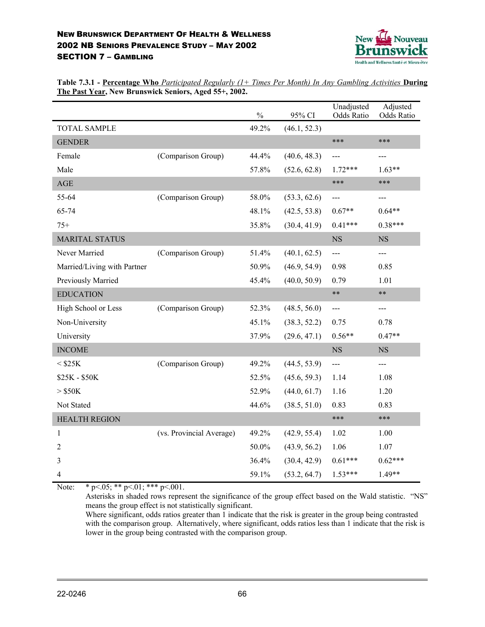

**Table 7.3.1 - Percentage Who** *Participated Regularly (1+ Times Per Month) In Any Gambling Activities* **During The Past Year, New Brunswick Seniors, Aged 55+, 2002.**

|                             |                          | $\frac{0}{0}$ | 95% CI       | Unadjusted<br>Odds Ratio | Adjusted<br>Odds Ratio |
|-----------------------------|--------------------------|---------------|--------------|--------------------------|------------------------|
| <b>TOTAL SAMPLE</b>         |                          | 49.2%         | (46.1, 52.3) |                          |                        |
| <b>GENDER</b>               |                          |               |              | ***                      | ***                    |
| Female                      | (Comparison Group)       | 44.4%         | (40.6, 48.3) | ---                      | ---                    |
| Male                        |                          | 57.8%         | (52.6, 62.8) | $1.72***$                | $1.63**$               |
| $\mathbf{AGE}$              |                          |               |              | ***                      | ***                    |
| 55-64                       | (Comparison Group)       | 58.0%         | (53.3, 62.6) | $---$                    | ---                    |
| 65-74                       |                          | 48.1%         | (42.5, 53.8) | $0.67**$                 | $0.64**$               |
| $75+$                       |                          | 35.8%         | (30.4, 41.9) | $0.41***$                | $0.38***$              |
| <b>MARITAL STATUS</b>       |                          |               |              | <b>NS</b>                | <b>NS</b>              |
| Never Married               | (Comparison Group)       | 51.4%         | (40.1, 62.5) | $---$                    | ---                    |
| Married/Living with Partner |                          | 50.9%         | (46.9, 54.9) | 0.98                     | 0.85                   |
| Previously Married          |                          | 45.4%         | (40.0, 50.9) | 0.79                     | 1.01                   |
| <b>EDUCATION</b>            |                          |               |              | $***$                    | $***$                  |
| High School or Less         | (Comparison Group)       | 52.3%         | (48.5, 56.0) | $---$                    | ---                    |
| Non-University              |                          | 45.1%         | (38.3, 52.2) | 0.75                     | 0.78                   |
| University                  |                          | 37.9%         | (29.6, 47.1) | $0.56**$                 | $0.47**$               |
| <b>INCOME</b>               |                          |               |              | <b>NS</b>                | <b>NS</b>              |
| $<$ \$25K                   | (Comparison Group)       | 49.2%         | (44.5, 53.9) | $\overline{\phantom{a}}$ | ---                    |
| \$25K - \$50K               |                          | 52.5%         | (45.6, 59.3) | 1.14                     | 1.08                   |
| $>$ \$50K                   |                          | 52.9%         | (44.0, 61.7) | 1.16                     | 1.20                   |
| Not Stated                  |                          | 44.6%         | (38.5, 51.0) | 0.83                     | 0.83                   |
| <b>HEALTH REGION</b>        |                          |               |              | ***                      | ***                    |
| 1                           | (vs. Provincial Average) | 49.2%         | (42.9, 55.4) | 1.02                     | 1.00                   |
| $\overline{2}$              |                          | 50.0%         | (43.9, 56.2) | 1.06                     | 1.07                   |
| 3                           |                          | 36.4%         | (30.4, 42.9) | $0.61***$                | $0.62***$              |
| 4                           |                          | 59.1%         | (53.2, 64.7) | $1.53***$                | $1.49**$               |

Note: \*  $p<05;$  \*\*  $p<01;$  \*\*\*  $p<001$ .

Asterisks in shaded rows represent the significance of the group effect based on the Wald statistic. "NS" means the group effect is not statistically significant.

Where significant, odds ratios greater than 1 indicate that the risk is greater in the group being contrasted with the comparison group. Alternatively, where significant, odds ratios less than 1 indicate that the risk is lower in the group being contrasted with the comparison group.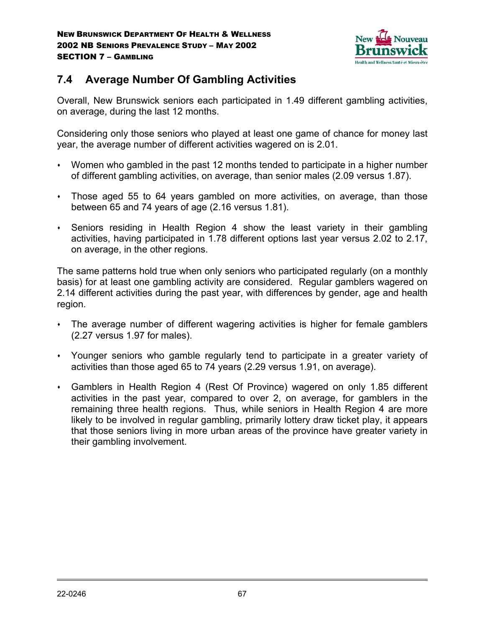

# **7.4 Average Number Of Gambling Activities**

Overall, New Brunswick seniors each participated in 1.49 different gambling activities, on average, during the last 12 months.

Considering only those seniors who played at least one game of chance for money last year, the average number of different activities wagered on is 2.01.

- Women who gambled in the past 12 months tended to participate in a higher number of different gambling activities, on average, than senior males (2.09 versus 1.87).
- Those aged 55 to 64 years gambled on more activities, on average, than those between 65 and 74 years of age (2.16 versus 1.81).
- Seniors residing in Health Region 4 show the least variety in their gambling activities, having participated in 1.78 different options last year versus 2.02 to 2.17, on average, in the other regions.

The same patterns hold true when only seniors who participated regularly (on a monthly basis) for at least one gambling activity are considered. Regular gamblers wagered on 2.14 different activities during the past year, with differences by gender, age and health region.

- The average number of different wagering activities is higher for female gamblers (2.27 versus 1.97 for males).
- Younger seniors who gamble regularly tend to participate in a greater variety of activities than those aged 65 to 74 years (2.29 versus 1.91, on average).
- Gamblers in Health Region 4 (Rest Of Province) wagered on only 1.85 different activities in the past year, compared to over 2, on average, for gamblers in the remaining three health regions. Thus, while seniors in Health Region 4 are more likely to be involved in regular gambling, primarily lottery draw ticket play, it appears that those seniors living in more urban areas of the province have greater variety in their gambling involvement.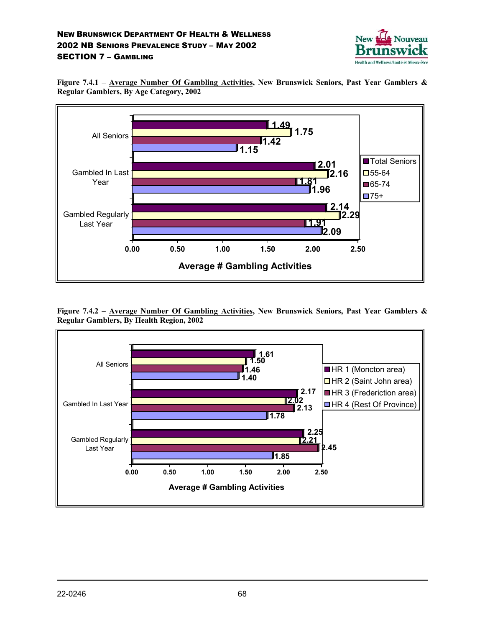

**Figure 7.4.1 – Average Number Of Gambling Activities, New Brunswick Seniors, Past Year Gamblers & Regular Gamblers, By Age Category, 2002**



**Figure 7.4.2 – Average Number Of Gambling Activities, New Brunswick Seniors, Past Year Gamblers & Regular Gamblers, By Health Region, 2002**

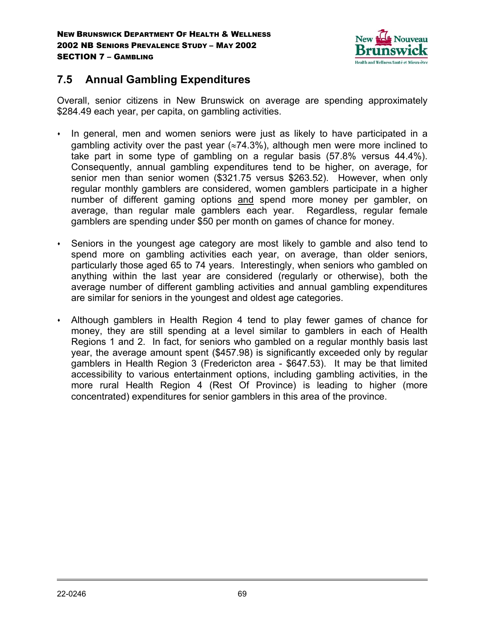

# **7.5 Annual Gambling Expenditures**

Overall, senior citizens in New Brunswick on average are spending approximately \$284.49 each year, per capita, on gambling activities.

- In general, men and women seniors were just as likely to have participated in a gambling activity over the past year ( $\approx$ 74.3%), although men were more inclined to take part in some type of gambling on a regular basis (57.8% versus 44.4%). Consequently, annual gambling expenditures tend to be higher, on average, for senior men than senior women (\$321.75 versus \$263.52). However, when only regular monthly gamblers are considered, women gamblers participate in a higher number of different gaming options and spend more money per gambler, on average, than regular male gamblers each year. Regardless, regular female gamblers are spending under \$50 per month on games of chance for money.
- Seniors in the youngest age category are most likely to gamble and also tend to spend more on gambling activities each year, on average, than older seniors, particularly those aged 65 to 74 years. Interestingly, when seniors who gambled on anything within the last year are considered (regularly or otherwise), both the average number of different gambling activities and annual gambling expenditures are similar for seniors in the youngest and oldest age categories.
- Although gamblers in Health Region 4 tend to play fewer games of chance for money, they are still spending at a level similar to gamblers in each of Health Regions 1 and 2. In fact, for seniors who gambled on a regular monthly basis last year, the average amount spent (\$457.98) is significantly exceeded only by regular gamblers in Health Region 3 (Fredericton area - \$647.53). It may be that limited accessibility to various entertainment options, including gambling activities, in the more rural Health Region 4 (Rest Of Province) is leading to higher (more concentrated) expenditures for senior gamblers in this area of the province.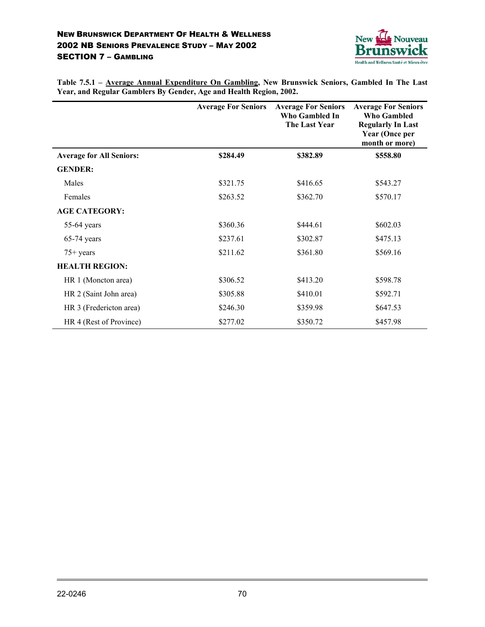

**Table 7.5.1 – Average Annual Expenditure On Gambling, New Brunswick Seniors, Gambled In The Last Year, and Regular Gamblers By Gender, Age and Health Region, 2002.**

|                                 | <b>Average For Seniors</b> | <b>Average For Seniors</b><br>Who Gambled In<br>The Last Year | <b>Average For Seniors</b><br><b>Who Gambled</b><br><b>Regularly In Last</b><br><b>Year (Once per</b><br>month or more) |
|---------------------------------|----------------------------|---------------------------------------------------------------|-------------------------------------------------------------------------------------------------------------------------|
| <b>Average for All Seniors:</b> | \$284.49                   | \$382.89                                                      | \$558.80                                                                                                                |
| <b>GENDER:</b>                  |                            |                                                               |                                                                                                                         |
| Males                           | \$321.75                   | \$416.65                                                      | \$543.27                                                                                                                |
| Females                         | \$263.52                   | \$362.70                                                      | \$570.17                                                                                                                |
| <b>AGE CATEGORY:</b>            |                            |                                                               |                                                                                                                         |
| $55-64$ years                   | \$360.36                   | \$444.61                                                      | \$602.03                                                                                                                |
| $65-74$ years                   | \$237.61                   | \$302.87                                                      | \$475.13                                                                                                                |
| $75+$ years                     | \$211.62                   | \$361.80                                                      | \$569.16                                                                                                                |
| <b>HEALTH REGION:</b>           |                            |                                                               |                                                                                                                         |
| HR 1 (Moncton area)             | \$306.52                   | \$413.20                                                      | \$598.78                                                                                                                |
| HR 2 (Saint John area)          | \$305.88                   | \$410.01                                                      | \$592.71                                                                                                                |
| HR 3 (Fredericton area)         | \$246.30                   | \$359.98                                                      | \$647.53                                                                                                                |
| HR 4 (Rest of Province)         | \$277.02                   | \$350.72                                                      | \$457.98                                                                                                                |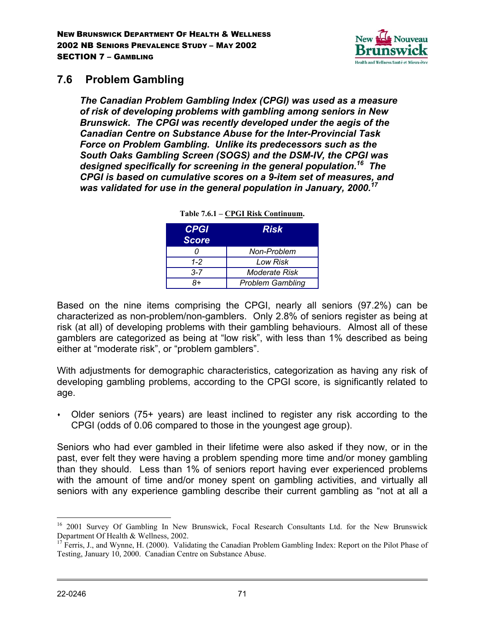

## **7.6 Problem Gambling**

*The Canadian Problem Gambling Index (CPGI) was used as a measure of risk of developing problems with gambling among seniors in New Brunswick. The CPGI was recently developed under the aegis of the Canadian Centre on Substance Abuse for the Inter-Provincial Task Force on Problem Gambling. Unlike its predecessors such as the South Oaks Gambling Screen (SOGS) and the DSM-IV, the CPGI was designed specifically for screening in the general population.16 The CPGI is based on cumulative scores on a 9-item set of measures, and was validated for use in the general population in January, 2000.17*

| <b>CPGI</b><br><b>Score</b> | Risk                    |
|-----------------------------|-------------------------|
|                             | Non-Problem             |
| $1 - 2$                     | Low Risk                |
| $3 - 7$                     | Moderate Risk           |
| 8+                          | <b>Problem Gambling</b> |

| Table 7.6.1 – CPGI Risk Continuum. |  |  |
|------------------------------------|--|--|
|------------------------------------|--|--|

Based on the nine items comprising the CPGI, nearly all seniors (97.2%) can be characterized as non-problem/non-gamblers. Only 2.8% of seniors register as being at risk (at all) of developing problems with their gambling behaviours. Almost all of these gamblers are categorized as being at "low risk", with less than 1% described as being either at "moderate risk", or "problem gamblers".

With adjustments for demographic characteristics, categorization as having any risk of developing gambling problems, according to the CPGI score, is significantly related to age.

 Older seniors (75+ years) are least inclined to register any risk according to the CPGI (odds of 0.06 compared to those in the youngest age group).

Seniors who had ever gambled in their lifetime were also asked if they now, or in the past, ever felt they were having a problem spending more time and/or money gambling than they should. Less than 1% of seniors report having ever experienced problems with the amount of time and/or money spent on gambling activities, and virtually all seniors with any experience gambling describe their current gambling as "not at all a

 $\overline{a}$ 

<sup>&</sup>lt;sup>16</sup> 2001 Survey Of Gambling In New Brunswick, Focal Research Consultants Ltd. for the New Brunswick Department Of Health & Wellness, 2002.

 $17$  Ferris, J., and Wynne, H. (2000). Validating the Canadian Problem Gambling Index: Report on the Pilot Phase of Testing, January 10, 2000. Canadian Centre on Substance Abuse.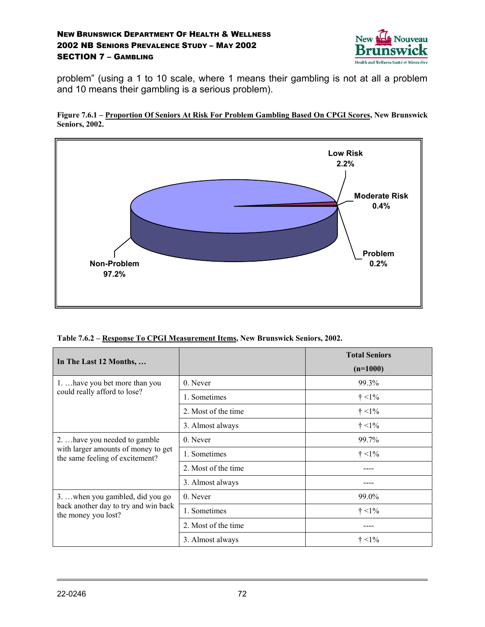

problem" (using a 1 to 10 scale, where 1 means their gambling is not at all a problem and 10 means their gambling is a serious problem).





**Table 7.6.2 – Response To CPGI Measurement Items, New Brunswick Seniors, 2002.**

| In The Last 12 Months,                                                 |                     |               |
|------------------------------------------------------------------------|---------------------|---------------|
|                                                                        |                     | $(n=1000)$    |
| 1.  have you bet more than you                                         | 0. Never            | 99.3%         |
| could really afford to lose?                                           | 1. Sometimes        | $\dagger$ <1% |
|                                                                        | 2. Most of the time | $\dagger$ <1% |
|                                                                        | 3. Almost always    | $\dagger$ <1% |
| 2.  have you needed to gamble                                          | 0. Never            | 99.7%         |
| with larger amounts of money to get<br>the same feeling of excitement? | 1. Sometimes        | $\dagger$ <1% |
|                                                                        | 2. Most of the time |               |
|                                                                        | 3. Almost always    |               |
| 3.  when you gambled, did you go                                       | 0. Never            | 99.0%         |
| back another day to try and win back<br>the money you lost?            | 1. Sometimes        | $\dagger$ <1% |
|                                                                        | 2. Most of the time |               |
|                                                                        | 3. Almost always    | $\dagger$ <1% |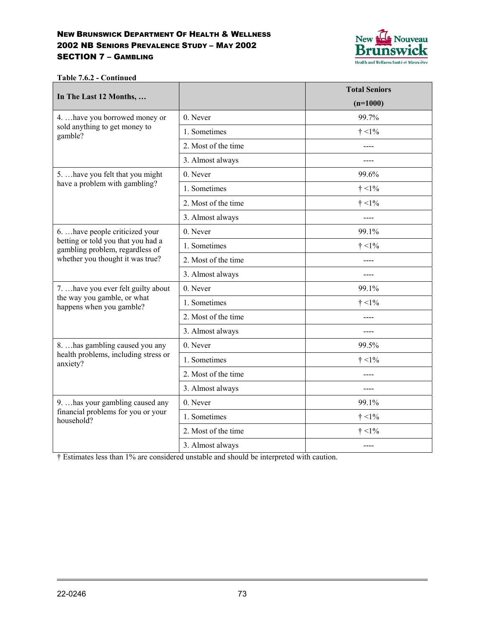

**Table 7.6.2 - Continued**

|                                                                                                           |                     | <b>Total Seniors</b> |
|-----------------------------------------------------------------------------------------------------------|---------------------|----------------------|
| In The Last 12 Months,                                                                                    |                     | $(n=1000)$           |
| 4.  have you borrowed money or                                                                            | 0. Never            | 99.7%                |
| sold anything to get money to<br>gamble?                                                                  | 1. Sometimes        | $\dagger$ <1%        |
|                                                                                                           | 2. Most of the time |                      |
|                                                                                                           | 3. Almost always    |                      |
| 5.  have you felt that you might                                                                          | 0. Never            | 99.6%                |
| have a problem with gambling?                                                                             | 1. Sometimes        | $\dagger$ <1%        |
|                                                                                                           | 2. Most of the time | $\dagger$ <1%        |
|                                                                                                           | 3. Almost always    |                      |
| 6.  have people criticized your                                                                           | 0. Never            | 99.1%                |
| betting or told you that you had a<br>gambling problem, regardless of<br>whether you thought it was true? | 1. Sometimes        | $\dagger$ <1%        |
|                                                                                                           | 2. Most of the time | ----                 |
|                                                                                                           | 3. Almost always    | $- - - -$            |
| 7.  have you ever felt guilty about                                                                       | 0. Never            | 99.1%                |
| the way you gamble, or what<br>happens when you gamble?                                                   | 1. Sometimes        | $\dagger$ <1%        |
|                                                                                                           | 2. Most of the time |                      |
|                                                                                                           | 3. Almost always    |                      |
| 8.  has gambling caused you any                                                                           | 0. Never            | 99.5%                |
| health problems, including stress or<br>anxiety?                                                          | 1. Sometimes        | $\dagger$ <1%        |
|                                                                                                           | 2. Most of the time |                      |
|                                                                                                           | 3. Almost always    | ----                 |
| 9.  has your gambling caused any                                                                          | 0. Never            | 99.1%                |
| financial problems for you or your<br>household?                                                          | 1. Sometimes        | $\dagger$ <1%        |
|                                                                                                           | 2. Most of the time | $\dagger$ <1%        |
|                                                                                                           | 3. Almost always    |                      |

† Estimates less than 1% are considered unstable and should be interpreted with caution.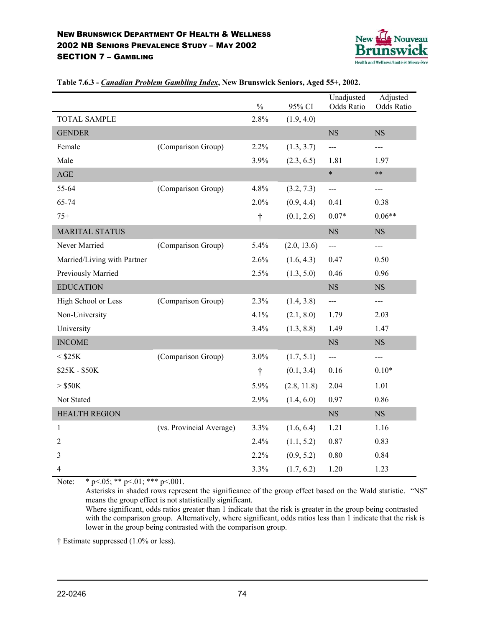

|                             |                          | $\frac{0}{0}$ | 95% CI      | Unadjusted<br>Odds Ratio | Adjusted<br>Odds Ratio |
|-----------------------------|--------------------------|---------------|-------------|--------------------------|------------------------|
| <b>TOTAL SAMPLE</b>         |                          | 2.8%          | (1.9, 4.0)  |                          |                        |
| <b>GENDER</b>               |                          |               |             | <b>NS</b>                | NS                     |
| Female                      | (Comparison Group)       | 2.2%          | (1.3, 3.7)  | $\overline{a}$           | $---$                  |
| Male                        |                          | 3.9%          | (2.3, 6.5)  | 1.81                     | 1.97                   |
| $\mathbf{AGE}$              |                          |               |             | $\ast$                   | $***$                  |
| 55-64                       | (Comparison Group)       | 4.8%          | (3.2, 7.3)  | $\overline{a}$           | $---$                  |
| 65-74                       |                          | 2.0%          | (0.9, 4.4)  | 0.41                     | 0.38                   |
| $75+$                       |                          | $\dagger$     | (0.1, 2.6)  | $0.07*$                  | $0.06**$               |
| <b>MARITAL STATUS</b>       |                          |               |             | <b>NS</b>                | <b>NS</b>              |
| Never Married               | (Comparison Group)       | 5.4%          | (2.0, 13.6) | $\overline{a}$           | ---                    |
| Married/Living with Partner |                          | 2.6%          | (1.6, 4.3)  | 0.47                     | 0.50                   |
| Previously Married          |                          | 2.5%          | (1.3, 5.0)  | 0.46                     | 0.96                   |
| <b>EDUCATION</b>            |                          |               |             | $_{\rm NS}$              | $_{\rm NS}$            |
| High School or Less         | (Comparison Group)       | 2.3%          | (1.4, 3.8)  | $\overline{a}$           | ---                    |
| Non-University              |                          | 4.1%          | (2.1, 8.0)  | 1.79                     | 2.03                   |
| University                  |                          | 3.4%          | (1.3, 8.8)  | 1.49                     | 1.47                   |
| <b>INCOME</b>               |                          |               |             | <b>NS</b>                | NS                     |
| $<$ \$25K                   | (Comparison Group)       | 3.0%          | (1.7, 5.1)  | ---                      | ---                    |
| \$25K - \$50K               |                          | $\dagger$     | (0.1, 3.4)  | 0.16                     | $0.10*$                |
| $>$ \$50K                   |                          | 5.9%          | (2.8, 11.8) | 2.04                     | 1.01                   |
| Not Stated                  |                          | 2.9%          | (1.4, 6.0)  | 0.97                     | 0.86                   |
| <b>HEALTH REGION</b>        |                          |               |             | NS                       | NS                     |
| 1                           | (vs. Provincial Average) | 3.3%          | (1.6, 6.4)  | 1.21                     | 1.16                   |
| $\overline{2}$              |                          | 2.4%          | (1.1, 5.2)  | 0.87                     | 0.83                   |
| 3                           |                          | 2.2%          | (0.9, 5.2)  | 0.80                     | 0.84                   |
| 4                           |                          | 3.3%          | (1.7, 6.2)  | 1.20                     | 1.23                   |

#### **Table 7.6.3 -** *Canadian Problem Gambling Index***, New Brunswick Seniors, Aged 55+, 2002.**

Note: \*  $p<05$ ; \*\*  $p<01$ ; \*\*\*  $p<001$ .

Asterisks in shaded rows represent the significance of the group effect based on the Wald statistic. "NS" means the group effect is not statistically significant.

Where significant, odds ratios greater than 1 indicate that the risk is greater in the group being contrasted with the comparison group. Alternatively, where significant, odds ratios less than 1 indicate that the risk is lower in the group being contrasted with the comparison group.

† Estimate suppressed (1.0% or less).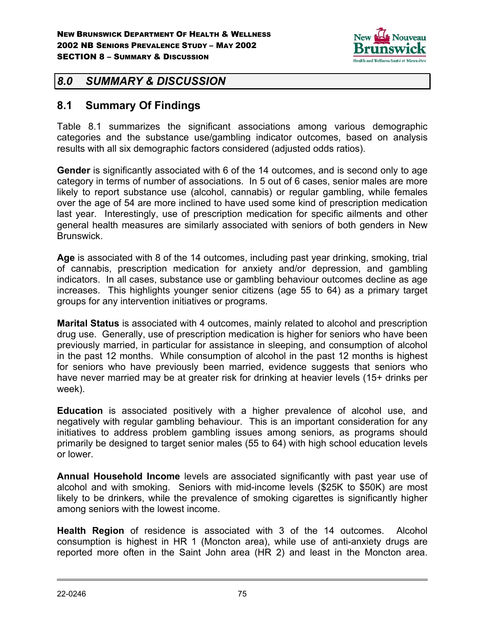

## *8.0 SUMMARY & DISCUSSION*

## **8.1 Summary Of Findings**

Table 8.1 summarizes the significant associations among various demographic categories and the substance use/gambling indicator outcomes, based on analysis results with all six demographic factors considered (adjusted odds ratios).

**Gender** is significantly associated with 6 of the 14 outcomes, and is second only to age category in terms of number of associations. In 5 out of 6 cases, senior males are more likely to report substance use (alcohol, cannabis) or regular gambling, while females over the age of 54 are more inclined to have used some kind of prescription medication last year. Interestingly, use of prescription medication for specific ailments and other general health measures are similarly associated with seniors of both genders in New Brunswick.

**Age** is associated with 8 of the 14 outcomes, including past year drinking, smoking, trial of cannabis, prescription medication for anxiety and/or depression, and gambling indicators. In all cases, substance use or gambling behaviour outcomes decline as age increases. This highlights younger senior citizens (age 55 to 64) as a primary target groups for any intervention initiatives or programs.

**Marital Status** is associated with 4 outcomes, mainly related to alcohol and prescription drug use. Generally, use of prescription medication is higher for seniors who have been previously married, in particular for assistance in sleeping, and consumption of alcohol in the past 12 months. While consumption of alcohol in the past 12 months is highest for seniors who have previously been married, evidence suggests that seniors who have never married may be at greater risk for drinking at heavier levels (15+ drinks per week).

**Education** is associated positively with a higher prevalence of alcohol use, and negatively with regular gambling behaviour. This is an important consideration for any initiatives to address problem gambling issues among seniors, as programs should primarily be designed to target senior males (55 to 64) with high school education levels or lower.

**Annual Household Income** levels are associated significantly with past year use of alcohol and with smoking. Seniors with mid-income levels (\$25K to \$50K) are most likely to be drinkers, while the prevalence of smoking cigarettes is significantly higher among seniors with the lowest income.

**Health Region** of residence is associated with 3 of the 14 outcomes. Alcohol consumption is highest in HR 1 (Moncton area), while use of anti-anxiety drugs are reported more often in the Saint John area (HR 2) and least in the Moncton area.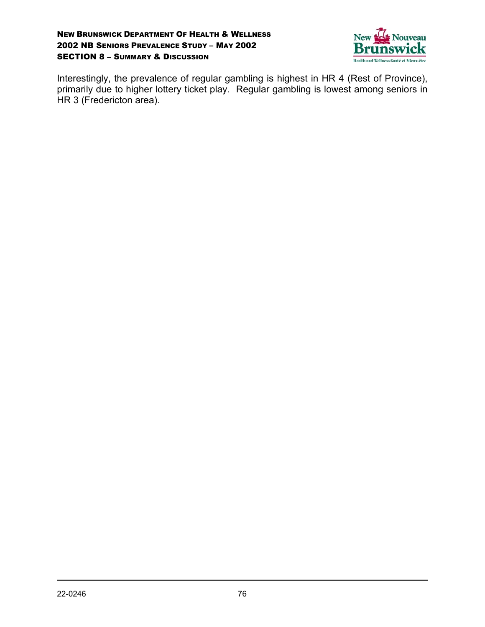

Interestingly, the prevalence of regular gambling is highest in HR 4 (Rest of Province), primarily due to higher lottery ticket play. Regular gambling is lowest among seniors in HR 3 (Fredericton area).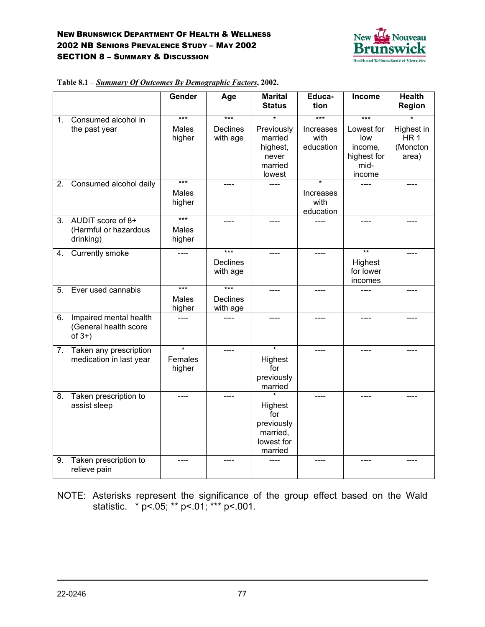

|         |                                                              | Gender                          | Age                         | <b>Marital</b><br><b>Status</b>                                   | Educa-<br>tion                 | <b>Income</b>                                                 | <b>Health</b><br>Region                            |
|---------|--------------------------------------------------------------|---------------------------------|-----------------------------|-------------------------------------------------------------------|--------------------------------|---------------------------------------------------------------|----------------------------------------------------|
| $1_{-}$ | Consumed alcohol in                                          | $***$                           | $***$                       |                                                                   | $***$                          | $***$                                                         |                                                    |
|         | the past year                                                | Males<br>higher                 | <b>Declines</b><br>with age | Previously<br>married<br>highest,<br>never<br>married<br>lowest   | Increases<br>with<br>education | Lowest for<br>low<br>income,<br>highest for<br>mid-<br>income | Highest in<br>HR <sub>1</sub><br>(Moncton<br>area) |
| 2.      | Consumed alcohol daily                                       | $***$                           | $---$                       |                                                                   |                                |                                                               |                                                    |
|         |                                                              | Males<br>higher                 |                             |                                                                   | Increases<br>with<br>education |                                                               |                                                    |
| 3.      | AUDIT score of 8+<br>(Harmful or hazardous<br>drinking)      | $***$<br><b>Males</b><br>higher | ----                        | ----                                                              |                                |                                                               |                                                    |
| 4.      | <b>Currently smoke</b>                                       |                                 | $***$                       |                                                                   |                                | $**$                                                          |                                                    |
|         |                                                              |                                 | <b>Declines</b><br>with age |                                                                   |                                | Highest<br>for lower<br>incomes                               |                                                    |
| 5.      | Ever used cannabis                                           | $***$                           | $***$                       |                                                                   |                                |                                                               |                                                    |
|         |                                                              | Males<br>higher                 | <b>Declines</b><br>with age |                                                                   |                                |                                                               |                                                    |
| 6.      | Impaired mental health<br>(General health score<br>of $3+$ ) |                                 |                             |                                                                   |                                |                                                               |                                                    |
|         | 7. Taken any prescription                                    | $\overline{\ast}$               |                             | $\overline{\ast}$                                                 |                                |                                                               |                                                    |
|         | medication in last year                                      | Females<br>higher               |                             | Highest<br>for<br>previously<br>married                           |                                |                                                               |                                                    |
| 8.      | Taken prescription to<br>assist sleep                        |                                 |                             | Highest<br>for<br>previously<br>married,<br>lowest for<br>married |                                |                                                               |                                                    |
| 9.      | Taken prescription to<br>relieve pain                        |                                 |                             |                                                                   |                                |                                                               |                                                    |

| Table 8.1 – Summary Of Outcomes By Demographic Factors, 2002. |  |  |  |
|---------------------------------------------------------------|--|--|--|
|                                                               |  |  |  |

NOTE: Asterisks represent the significance of the group effect based on the Wald statistic. \* p<.05; \*\* p<.01; \*\*\* p<.001.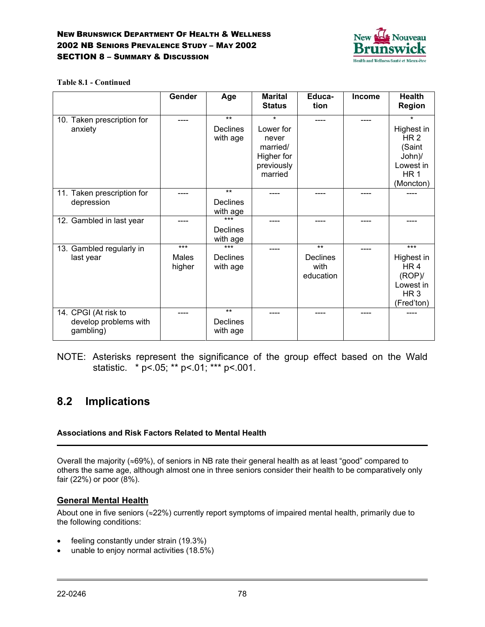

#### **Table 8.1 - Continued**

|                                                            | <b>Gender</b>            | Age                                  | <b>Marital</b><br><b>Status</b>                                                  | Educa-<br>tion                                | <b>Income</b> | Health<br><b>Region</b>                                                                                   |
|------------------------------------------------------------|--------------------------|--------------------------------------|----------------------------------------------------------------------------------|-----------------------------------------------|---------------|-----------------------------------------------------------------------------------------------------------|
| 10. Taken prescription for<br>anxiety                      |                          | $***$<br>Declines<br>with age        | $\star$<br>Lower for<br>never<br>married/<br>Higher for<br>previously<br>married |                                               |               | $\star$<br>Highest in<br>HR <sub>2</sub><br>(Saint<br>John)/<br>Lowest in<br>HR <sub>1</sub><br>(Moncton) |
| 11. Taken prescription for<br>depression                   |                          | $***$<br>Declines<br>with age        |                                                                                  |                                               |               |                                                                                                           |
| 12. Gambled in last year                                   |                          | $***$<br><b>Declines</b><br>with age |                                                                                  |                                               |               |                                                                                                           |
| 13. Gambled regularly in<br>last year                      | $***$<br>Males<br>higher | $***$<br>Declines<br>with age        |                                                                                  | $***$<br><b>Declines</b><br>with<br>education |               | ***<br>Highest in<br>HR <sub>4</sub><br>(ROP)<br>Lowest in<br>HR <sub>3</sub><br>(Fred'ton)               |
| 14. CPGI (At risk to<br>develop problems with<br>gambling) | ----                     | $***$<br>Declines<br>with age        |                                                                                  |                                               |               |                                                                                                           |

NOTE: Asterisks represent the significance of the group effect based on the Wald statistic. \* p<.05; \*\* p<.01; \*\*\* p<.001.

# **8.2 Implications**

### **Associations and Risk Factors Related to Mental Health**

Overall the majority (≈69%), of seniors in NB rate their general health as at least "good" compared to others the same age, although almost one in three seniors consider their health to be comparatively only fair (22%) or poor (8%).

## **General Mental Health**

About one in five seniors (≈22%) currently report symptoms of impaired mental health, primarily due to the following conditions:

- feeling constantly under strain (19.3%)
- unable to enjoy normal activities (18.5%)

 $\overline{a}$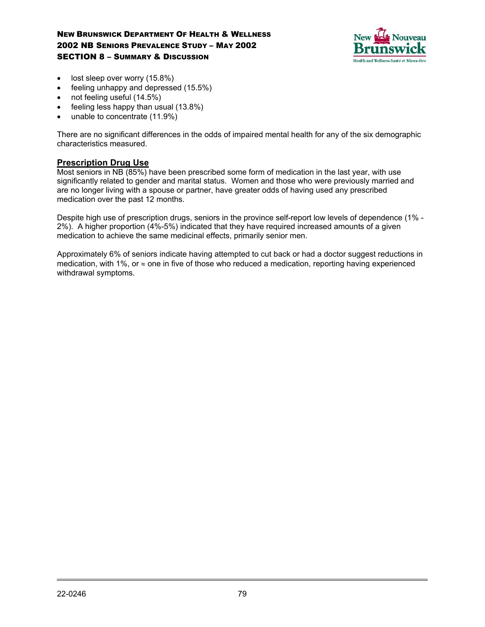

- lost sleep over worry (15.8%)
- feeling unhappy and depressed (15.5%)
- not feeling useful (14.5%)
- feeling less happy than usual (13.8%)
- unable to concentrate (11.9%)

There are no significant differences in the odds of impaired mental health for any of the six demographic characteristics measured.

### **Prescription Drug Use**

Most seniors in NB (85%) have been prescribed some form of medication in the last year, with use significantly related to gender and marital status. Women and those who were previously married and are no longer living with a spouse or partner, have greater odds of having used any prescribed medication over the past 12 months.

Despite high use of prescription drugs, seniors in the province self-report low levels of dependence (1% - 2%). A higher proportion (4%-5%) indicated that they have required increased amounts of a given medication to achieve the same medicinal effects, primarily senior men.

Approximately 6% of seniors indicate having attempted to cut back or had a doctor suggest reductions in medication, with 1%, or  $\approx$  one in five of those who reduced a medication, reporting having experienced withdrawal symptoms.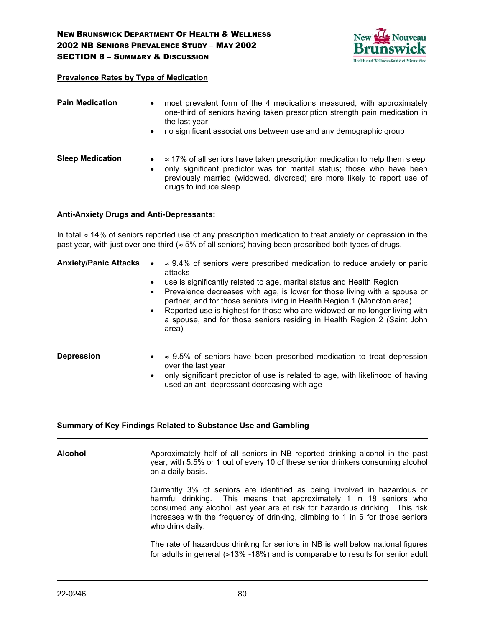

#### **Prevalence Rates by Type of Medication**

| <b>Pain Medication</b>  | $\bullet$<br>$\bullet$ | most prevalent form of the 4 medications measured, with approximately<br>one-third of seniors having taken prescription strength pain medication in<br>the last year<br>no significant associations between use and any demographic group                        |
|-------------------------|------------------------|------------------------------------------------------------------------------------------------------------------------------------------------------------------------------------------------------------------------------------------------------------------|
| <b>Sleep Medication</b> | $\bullet$              | $\approx$ 17% of all seniors have taken prescription medication to help them sleep<br>only significant predictor was for marital status; those who have been<br>previously married (widowed, divorced) are more likely to report use of<br>drugs to induce sleep |

#### **Anti-Anxiety Drugs and Anti-Depressants:**

In total ≈ 14% of seniors reported use of any prescription medication to treat anxiety or depression in the past year, with just over one-third ( $\approx$  5% of all seniors) having been prescribed both types of drugs.

|  | <b>Anxiety/Panic Attacks</b> $\bullet \approx 9.4\%$ of seniors were prescribed medication to reduce anxiety or panic |  |
|--|-----------------------------------------------------------------------------------------------------------------------|--|
|  | attacks                                                                                                               |  |
|  |                                                                                                                       |  |

- use is significantly related to age, marital status and Health Region
- Prevalence decreases with age, is lower for those living with a spouse or partner, and for those seniors living in Health Region 1 (Moncton area)
- Reported use is highest for those who are widowed or no longer living with a spouse, and for those seniors residing in Health Region 2 (Saint John area)
- **Depression**  $\approx$  9.5% of seniors have been prescribed medication to treat depression over the last year
	- only significant predictor of use is related to age, with likelihood of having used an anti-depressant decreasing with age

#### **Summary of Key Findings Related to Substance Use and Gambling**

**Alcohol** Approximately half of all seniors in NB reported drinking alcohol in the past year, with 5.5% or 1 out of every 10 of these senior drinkers consuming alcohol on a daily basis. Currently 3% of seniors are identified as being involved in hazardous or harmful drinking. This means that approximately 1 in 18 seniors who consumed any alcohol last year are at risk for hazardous drinking. This risk increases with the frequency of drinking, climbing to 1 in 6 for those seniors who drink daily.

The rate of hazardous drinking for seniors in NB is well below national figures for adults in general ( $\approx$ 13% -18%) and is comparable to results for senior adult

 $\overline{a}$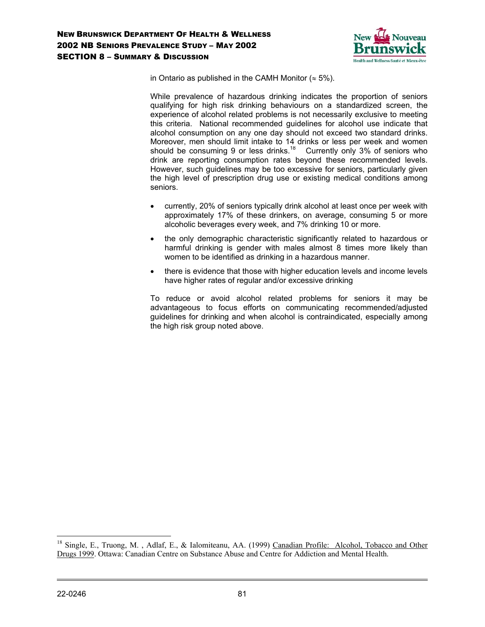

in Ontario as published in the CAMH Monitor ( $\approx$  5%).

While prevalence of hazardous drinking indicates the proportion of seniors qualifying for high risk drinking behaviours on a standardized screen, the experience of alcohol related problems is not necessarily exclusive to meeting this criteria. National recommended guidelines for alcohol use indicate that alcohol consumption on any one day should not exceed two standard drinks. Moreover, men should limit intake to 14 drinks or less per week and women should be consuming 9 or less drinks.<sup>18</sup> Currently only 3% of seniors who drink are reporting consumption rates beyond these recommended levels. However, such guidelines may be too excessive for seniors, particularly given the high level of prescription drug use or existing medical conditions among seniors.

- currently, 20% of seniors typically drink alcohol at least once per week with approximately 17% of these drinkers, on average, consuming 5 or more alcoholic beverages every week, and 7% drinking 10 or more.
- the only demographic characteristic significantly related to hazardous or harmful drinking is gender with males almost 8 times more likely than women to be identified as drinking in a hazardous manner.
- there is evidence that those with higher education levels and income levels have higher rates of regular and/or excessive drinking

To reduce or avoid alcohol related problems for seniors it may be advantageous to focus efforts on communicating recommended/adjusted guidelines for drinking and when alcohol is contraindicated, especially among the high risk group noted above.

 $\overline{a}$ 

<sup>&</sup>lt;sup>18</sup> Single, E., Truong, M., Adlaf, E., & Ialomiteanu, AA. (1999) Canadian Profile: Alcohol, Tobacco and Other Drugs 1999. Ottawa: Canadian Centre on Substance Abuse and Centre for Addiction and Mental Health.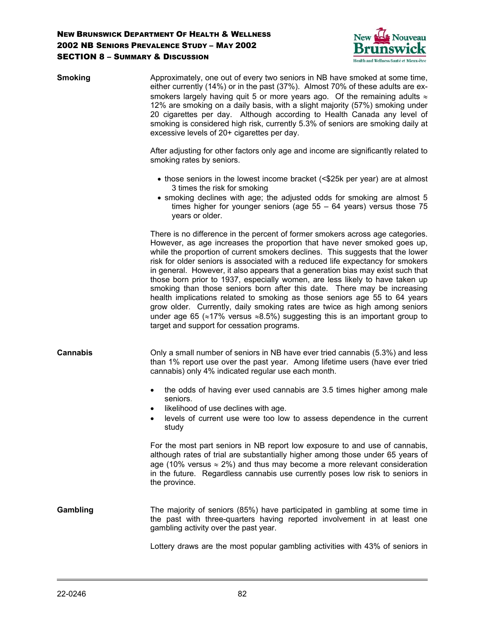

| <b>Smoking</b>  | Approximately, one out of every two seniors in NB have smoked at some time,<br>either currently (14%) or in the past (37%). Almost 70% of these adults are ex-<br>smokers largely having quit 5 or more years ago. Of the remaining adults $\approx$<br>12% are smoking on a daily basis, with a slight majority (57%) smoking under<br>20 cigarettes per day. Although according to Health Canada any level of<br>smoking is considered high risk, currently 5.3% of seniors are smoking daily at<br>excessive levels of 20+ cigarettes per day.<br>After adjusting for other factors only age and income are significantly related to<br>smoking rates by seniors.                                                                                                                                                                                                                     |
|-----------------|------------------------------------------------------------------------------------------------------------------------------------------------------------------------------------------------------------------------------------------------------------------------------------------------------------------------------------------------------------------------------------------------------------------------------------------------------------------------------------------------------------------------------------------------------------------------------------------------------------------------------------------------------------------------------------------------------------------------------------------------------------------------------------------------------------------------------------------------------------------------------------------|
|                 | • those seniors in the lowest income bracket (<\$25k per year) are at almost<br>3 times the risk for smoking<br>• smoking declines with age; the adjusted odds for smoking are almost 5<br>times higher for younger seniors (age $55 - 64$ years) versus those 75<br>years or older.                                                                                                                                                                                                                                                                                                                                                                                                                                                                                                                                                                                                     |
|                 | There is no difference in the percent of former smokers across age categories.<br>However, as age increases the proportion that have never smoked goes up,<br>while the proportion of current smokers declines. This suggests that the lower<br>risk for older seniors is associated with a reduced life expectancy for smokers<br>in general. However, it also appears that a generation bias may exist such that<br>those born prior to 1937, especially women, are less likely to have taken up<br>smoking than those seniors born after this date. There may be increasing<br>health implications related to smoking as those seniors age 55 to 64 years<br>grow older. Currently, daily smoking rates are twice as high among seniors<br>under age 65 ( $\approx$ 17% versus $\approx$ 8.5%) suggesting this is an important group to<br>target and support for cessation programs. |
| <b>Cannabis</b> | Only a small number of seniors in NB have ever tried cannabis (5.3%) and less<br>than 1% report use over the past year. Among lifetime users (have ever tried<br>cannabis) only 4% indicated regular use each month.                                                                                                                                                                                                                                                                                                                                                                                                                                                                                                                                                                                                                                                                     |
|                 | the odds of having ever used cannabis are 3.5 times higher among male<br>$\bullet$<br>seniors.<br>likelihood of use declines with age.<br>levels of current use were too low to assess dependence in the current<br>study                                                                                                                                                                                                                                                                                                                                                                                                                                                                                                                                                                                                                                                                |
|                 | For the most part seniors in NB report low exposure to and use of cannabis,<br>although rates of trial are substantially higher among those under 65 years of<br>age (10% versus $\approx$ 2%) and thus may become a more relevant consideration<br>in the future. Regardless cannabis use currently poses low risk to seniors in<br>the province.                                                                                                                                                                                                                                                                                                                                                                                                                                                                                                                                       |
| Gambling        | The majority of seniors (85%) have participated in gambling at some time in<br>the past with three-quarters having reported involvement in at least one<br>gambling activity over the past year.                                                                                                                                                                                                                                                                                                                                                                                                                                                                                                                                                                                                                                                                                         |
|                 | Lottery draws are the most popular gambling activities with 43% of seniors in                                                                                                                                                                                                                                                                                                                                                                                                                                                                                                                                                                                                                                                                                                                                                                                                            |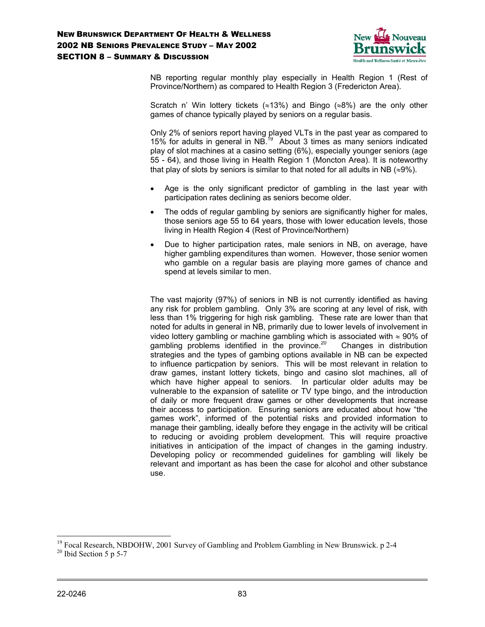

NB reporting regular monthly play especially in Health Region 1 (Rest of Province/Northern) as compared to Health Region 3 (Fredericton Area).

Scratch n' Win lottery tickets (≈13%) and Bingo (≈8%) are the only other games of chance typically played by seniors on a regular basis.

Only 2% of seniors report having played VLTs in the past year as compared to 15% for adults in general in NB.19 About 3 times as many seniors indicated play of slot machines at a casino setting (6%), especially younger seniors (age 55 - 64), and those living in Health Region 1 (Moncton Area). It is noteworthy that play of slots by seniors is similar to that noted for all adults in NB ( $\approx$ 9%).

- Age is the only significant predictor of gambling in the last year with participation rates declining as seniors become older.
- The odds of regular gambling by seniors are significantly higher for males, those seniors age 55 to 64 years, those with lower education levels, those living in Health Region 4 (Rest of Province/Northern)
- Due to higher participation rates, male seniors in NB, on average, have higher gambling expenditures than women. However, those senior women who gamble on a regular basis are playing more games of chance and spend at levels similar to men.

The vast majority (97%) of seniors in NB is not currently identified as having any risk for problem gambling. Only 3% are scoring at any level of risk, with less than 1% triggering for high risk gambling. These rate are lower than that noted for adults in general in NB, primarily due to lower levels of involvement in video lottery gambling or machine gambling which is associated with  $\approx$  90% of gambling problems identified in the province.<sup>20</sup> Changes in distribution strategies and the types of gambing options available in NB can be expected to influence particpation by seniors. This will be most relevant in relation to draw games, instant lottery tickets, bingo and casino slot machines, all of which have higher appeal to seniors. In particular older adults may be vulnerable to the expansion of satellite or TV type bingo, and the introduction of daily or more frequent draw games or other developments that increase their access to participation. Ensuring seniors are educated about how "the games work", informed of the potential risks and provided information to manage their gambling, ideally before they engage in the activity will be critical to reducing or avoiding problem development. This will require proactive initiatives in anticipation of the impact of changes in the gaming industry. Developing policy or recommended guidelines for gambling will likely be relevant and important as has been the case for alcohol and other substance use.

 $\overline{a}$ 

<sup>&</sup>lt;sup>19</sup> Focal Research, NBDOHW, 2001 Survey of Gambling and Problem Gambling in New Brunswick. p 2-4

 $20$  Ibid Section 5 p 5-7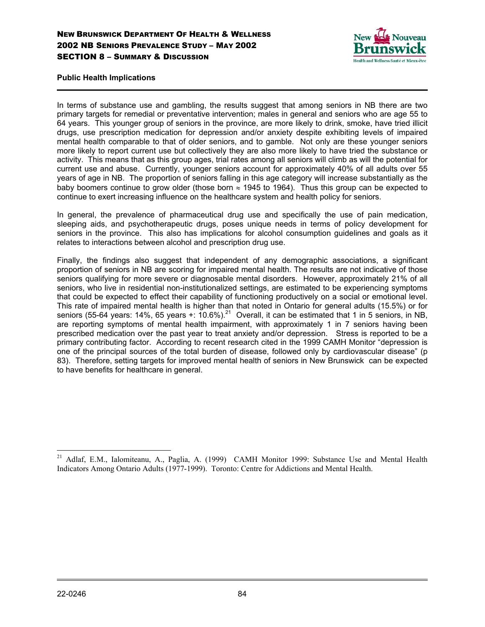

**Public Health Implications**

In terms of substance use and gambling, the results suggest that among seniors in NB there are two primary targets for remedial or preventative intervention; males in general and seniors who are age 55 to 64 years. This younger group of seniors in the province, are more likely to drink, smoke, have tried illicit drugs, use prescription medication for depression and/or anxiety despite exhibiting levels of impaired mental health comparable to that of older seniors, and to gamble. Not only are these younger seniors more likely to report current use but collectively they are also more likely to have tried the substance or activity. This means that as this group ages, trial rates among all seniors will climb as will the potential for current use and abuse. Currently, younger seniors account for approximately 40% of all adults over 55 years of age in NB. The proportion of seniors falling in this age category will increase substantially as the baby boomers continue to grow older (those born  $\approx$  1945 to 1964). Thus this group can be expected to continue to exert increasing influence on the healthcare system and health policy for seniors.

In general, the prevalence of pharmaceutical drug use and specifically the use of pain medication, sleeping aids, and psychotherapeutic drugs, poses unique needs in terms of policy development for seniors in the province. This also has implications for alcohol consumption guidelines and goals as it relates to interactions between alcohol and prescription drug use.

Finally, the findings also suggest that independent of any demographic associations, a significant proportion of seniors in NB are scoring for impaired mental health. The results are not indicative of those seniors qualifying for more severe or diagnosable mental disorders. However, approximately 21% of all seniors, who live in residential non-institutionalized settings, are estimated to be experiencing symptoms that could be expected to effect their capability of functioning productively on a social or emotional level. This rate of impaired mental health is higher than that noted in Ontario for general adults (15.5%) or for seniors (55-64 years: 14%, 65 years +:  $10.6\%$ ).<sup>21</sup> Overall, it can be estimated that 1 in 5 seniors, in NB, are reporting symptoms of mental health impairment, with approximately 1 in 7 seniors having been prescribed medication over the past year to treat anxiety and/or depression. Stress is reported to be a primary contributing factor. According to recent research cited in the 1999 CAMH Monitor "depression is one of the principal sources of the total burden of disease, followed only by cardiovascular disease" (p 83). Therefore, setting targets for improved mental health of seniors in New Brunswick can be expected to have benefits for healthcare in general.

 $\overline{a}$ <sup>21</sup> Adlaf, E.M., Ialomiteanu, A., Paglia, A. (1999) CAMH Monitor 1999: Substance Use and Mental Health Indicators Among Ontario Adults (1977-1999). Toronto: Centre for Addictions and Mental Health.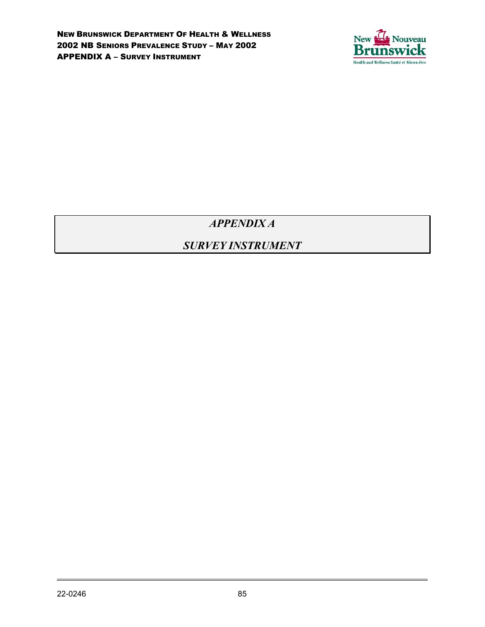

*APPENDIX A*

# *SURVEY INSTRUMENT*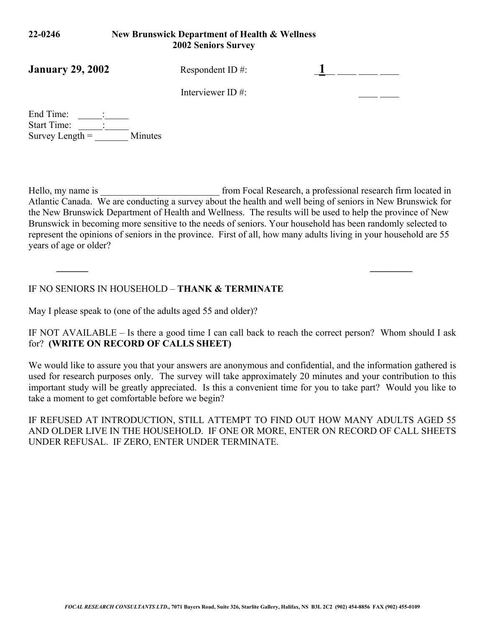## **22-0246 New Brunswick Department of Health & Wellness 2002 Seniors Survey**

| <b>January 29, 2002</b> | Respondent ID $#$ :  |  |
|-------------------------|----------------------|--|
|                         | Interviewer ID $#$ : |  |

End Time: Start Time: Survey Length  $=$  Minutes

Hello, my name is \_\_\_\_\_\_\_\_\_\_\_\_\_\_\_\_\_\_\_\_\_\_\_\_\_\_\_\_\_\_ from Focal Research, a professional research firm located in Atlantic Canada. We are conducting a survey about the health and well being of seniors in New Brunswick for the New Brunswick Department of Health and Wellness. The results will be used to help the province of New Brunswick in becoming more sensitive to the needs of seniors. Your household has been randomly selected to represent the opinions of seniors in the province. First of all, how many adults living in your household are 55 years of age or older?

*\_\_\_\_\_\_ \_\_\_\_\_\_\_\_*

## IF NO SENIORS IN HOUSEHOLD – **THANK & TERMINATE**

May I please speak to (one of the adults aged 55 and older)?

IF NOT AVAILABLE – Is there a good time I can call back to reach the correct person? Whom should I ask for? **(WRITE ON RECORD OF CALLS SHEET)**

We would like to assure you that your answers are anonymous and confidential, and the information gathered is used for research purposes only. The survey will take approximately 20 minutes and your contribution to this important study will be greatly appreciated. Is this a convenient time for you to take part? Would you like to take a moment to get comfortable before we begin?

IF REFUSED AT INTRODUCTION, STILL ATTEMPT TO FIND OUT HOW MANY ADULTS AGED 55 AND OLDER LIVE IN THE HOUSEHOLD. IF ONE OR MORE, ENTER ON RECORD OF CALL SHEETS UNDER REFUSAL. IF ZERO, ENTER UNDER TERMINATE.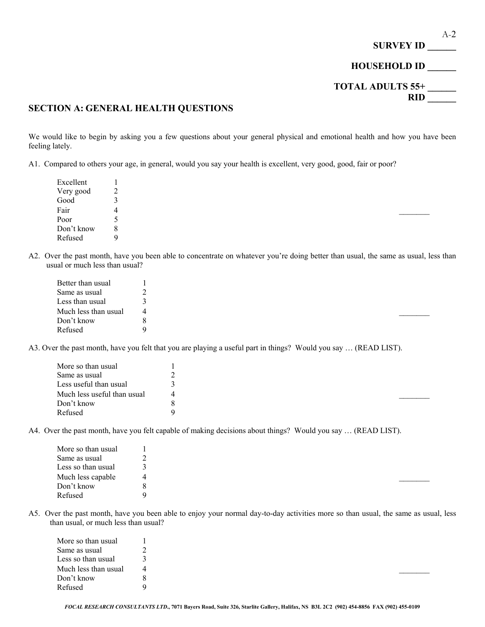

### **SECTION A: GENERAL HEALTH QUESTIONS**

We would like to begin by asking you a few questions about your general physical and emotional health and how you have been feeling lately.

A1. Compared to others your age, in general, would you say your health is excellent, very good, good, fair or poor?

| Excellent  |    |  |  |  |
|------------|----|--|--|--|
| Very good  | ∠  |  |  |  |
| Good       | к. |  |  |  |
| Fair       | 4  |  |  |  |
| Poor       |    |  |  |  |
| Don't know | 8  |  |  |  |
| Refused    | Q  |  |  |  |

A2. Over the past month, have you been able to concentrate on whatever you're doing better than usual, the same as usual, less than usual or much less than usual?

| Better than usual    |   |  |  |  |
|----------------------|---|--|--|--|
| Same as usual        | ∸ |  |  |  |
| Less than usual      |   |  |  |  |
| Much less than usual |   |  |  |  |
| Don't know           |   |  |  |  |
| Refused              |   |  |  |  |

A3. Over the past month, have you felt that you are playing a useful part in things? Would you say … (READ LIST).

| More so than usual          |  |  |  |
|-----------------------------|--|--|--|
| Same as usual               |  |  |  |
| Less useful than usual      |  |  |  |
| Much less useful than usual |  |  |  |
| Don't know                  |  |  |  |
| Refused                     |  |  |  |

A4. Over the past month, have you felt capable of making decisions about things? Would you say … (READ LIST).

| 4 |
|---|
|   |
|   |
|   |

A5. Over the past month, have you been able to enjoy your normal day-to-day activities more so than usual, the same as usual, less than usual, or much less than usual?

| More so than usual   |  |  |  |
|----------------------|--|--|--|
| Same as usual        |  |  |  |
| Less so than usual   |  |  |  |
| Much less than usual |  |  |  |
| Don't know           |  |  |  |
| Refused              |  |  |  |
|                      |  |  |  |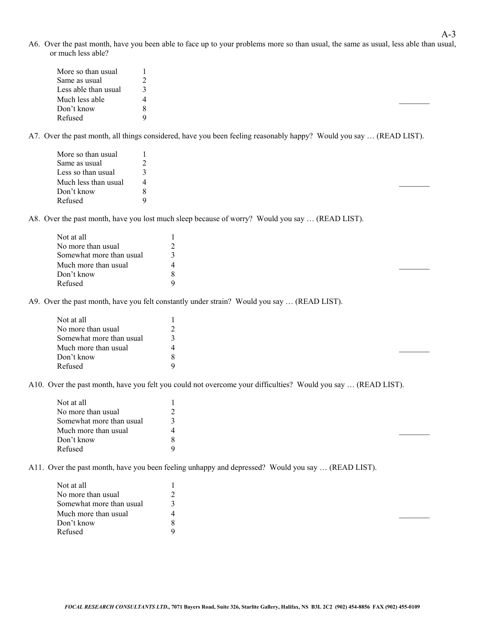A6. Over the past month, have you been able to face up to your problems more so than usual, the same as usual, less able than usual, or much less able?

| More so than usual   |  |
|----------------------|--|
| Same as usual        |  |
| Less able than usual |  |
| Much less able       |  |
| Don't know           |  |
| Refused              |  |

A7. Over the past month, all things considered, have you been feeling reasonably happy? Would you say … (READ LIST).

| More so than usual   |  |  |  |  |
|----------------------|--|--|--|--|
| Same as usual        |  |  |  |  |
| Less so than usual   |  |  |  |  |
| Much less than usual |  |  |  |  |
| Don't know           |  |  |  |  |
| Refused              |  |  |  |  |

A8. Over the past month, have you lost much sleep because of worry? Would you say … (READ LIST).

| Not at all               |  |  |  |
|--------------------------|--|--|--|
| No more than usual       |  |  |  |
| Somewhat more than usual |  |  |  |
| Much more than usual     |  |  |  |
| Don't know               |  |  |  |
| Refused                  |  |  |  |

A9. Over the past month, have you felt constantly under strain? Would you say … (READ LIST).

| Not at all               |  |  |  |
|--------------------------|--|--|--|
| No more than usual       |  |  |  |
| Somewhat more than usual |  |  |  |
| Much more than usual     |  |  |  |
| Don't know               |  |  |  |
| Refused                  |  |  |  |

A10. Over the past month, have you felt you could not overcome your difficulties? Would you say … (READ LIST).

| Not at all               |  |  |  |
|--------------------------|--|--|--|
| No more than usual       |  |  |  |
| Somewhat more than usual |  |  |  |
| Much more than usual     |  |  |  |
| Don't know               |  |  |  |
| Refused                  |  |  |  |

A11. Over the past month, have you been feeling unhappy and depressed? Would you say … (READ LIST).

| Not at all               |  |  |  |
|--------------------------|--|--|--|
| No more than usual       |  |  |  |
| Somewhat more than usual |  |  |  |
| Much more than usual     |  |  |  |
| Don't know               |  |  |  |
| Refused                  |  |  |  |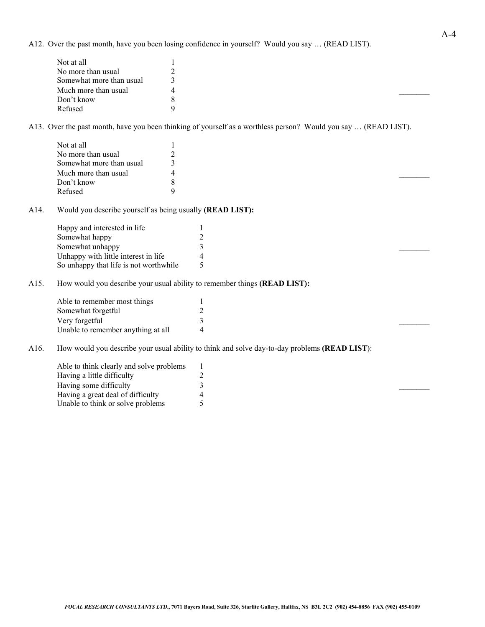A12. Over the past month, have you been losing confidence in yourself? Would you say … (READ LIST).

| Not at all               |  |  |  |
|--------------------------|--|--|--|
| No more than usual       |  |  |  |
| Somewhat more than usual |  |  |  |
| Much more than usual     |  |  |  |
| Don't know               |  |  |  |
| Refused                  |  |  |  |

A13. Over the past month, have you been thinking of yourself as a worthless person? Would you say … (READ LIST).

| Not at all               |  |  |  |  |
|--------------------------|--|--|--|--|
| No more than usual       |  |  |  |  |
| Somewhat more than usual |  |  |  |  |
| Much more than usual     |  |  |  |  |
| Don't know               |  |  |  |  |
| Refused                  |  |  |  |  |

A14. Would you describe yourself as being usually **(READ LIST):**

| Happy and interested in life           |  |  |
|----------------------------------------|--|--|
| Somewhat happy                         |  |  |
| Somewhat unhappy                       |  |  |
| Unhappy with little interest in life   |  |  |
| So unhappy that life is not worthwhile |  |  |

A15. How would you describe your usual ability to remember things **(READ LIST):**

| Able to remember most things       |  |  |  |
|------------------------------------|--|--|--|
| Somewhat forgetful                 |  |  |  |
| Very forgetful                     |  |  |  |
| Unable to remember anything at all |  |  |  |

A16. How would you describe your usual ability to think and solve day-to-day problems **(READ LIST**):

| Able to think clearly and solve problems |  |  |
|------------------------------------------|--|--|
| Having a little difficulty               |  |  |
| Having some difficulty                   |  |  |
| Having a great deal of difficulty        |  |  |
| Unable to think or solve problems        |  |  |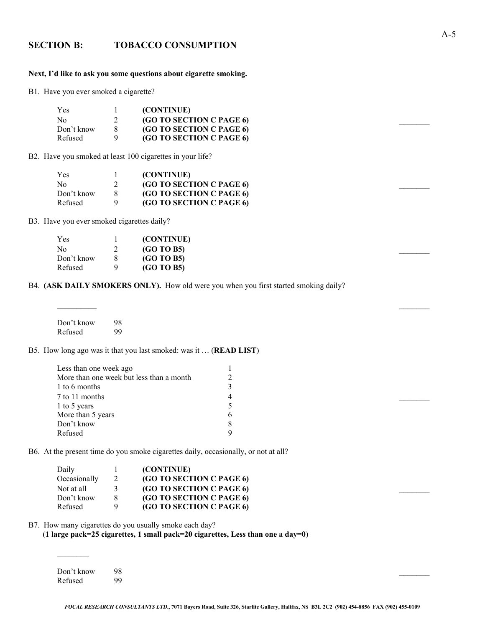### **SECTION B: TOBACCO CONSUMPTION**

#### **Next, I'd like to ask you some questions about cigarette smoking.**

B1. Have you ever smoked a cigarette?

| Yes        | (CONTINUE)               |
|------------|--------------------------|
| No         | (GO TO SECTION C PAGE 6) |
| Don't know | (GO TO SECTION C PAGE 6) |
| Refused    | (GO TO SECTION C PAGE 6) |

B2. Have you smoked at least 100 cigarettes in your life?

| Yes            | (CONTINUE)               |
|----------------|--------------------------|
| N <sub>0</sub> | (GO TO SECTION C PAGE 6) |
| Don't know     | (GO TO SECTION C PAGE 6) |
| Refused        | (GO TO SECTION C PAGE 6) |

B3. Have you ever smoked cigarettes daily?

| Yes        |                | (CONTINUE) |  |  |
|------------|----------------|------------|--|--|
| No         |                | (GO TO B5) |  |  |
| Don't know | 8 <sup>8</sup> | (GO TO B5) |  |  |
| Refused    |                | (GO TO B5) |  |  |

B4. **(ASK DAILY SMOKERS ONLY).** How old were you when you first started smoking daily?

| Don't know | 98 |
|------------|----|
| Refused    | 99 |

#### B5. How long ago was it that you last smoked: was it … (**READ LIST**)

| Less than one week ago                   |   |  |  |
|------------------------------------------|---|--|--|
| More than one week but less than a month |   |  |  |
| 1 to 6 months                            |   |  |  |
| 7 to 11 months                           | 4 |  |  |
| 1 to 5 years                             |   |  |  |
| More than 5 years                        | b |  |  |
| Don't know                               | 8 |  |  |
| Refused                                  | Q |  |  |
|                                          |   |  |  |

B6. At the present time do you smoke cigarettes daily, occasionally, or not at all?

| Daily        |   | (CONTINUE)                      |  |
|--------------|---|---------------------------------|--|
| Occasionally |   | <b>(GO TO SECTION C PAGE 6)</b> |  |
| Not at all   |   | <b>(GO TO SECTION C PAGE 6)</b> |  |
| Don't know   | 8 | <b>(GO TO SECTION C PAGE 6)</b> |  |
| Refused      |   | (GO TO SECTION C PAGE 6)        |  |

B7. How many cigarettes do you usually smoke each day? (**1 large pack=25 cigarettes, 1 small pack=20 cigarettes, Less than one a day=0**)

| Don't know 98 |  |  |  |
|---------------|--|--|--|
| Refused 00    |  |  |  |

Refused 99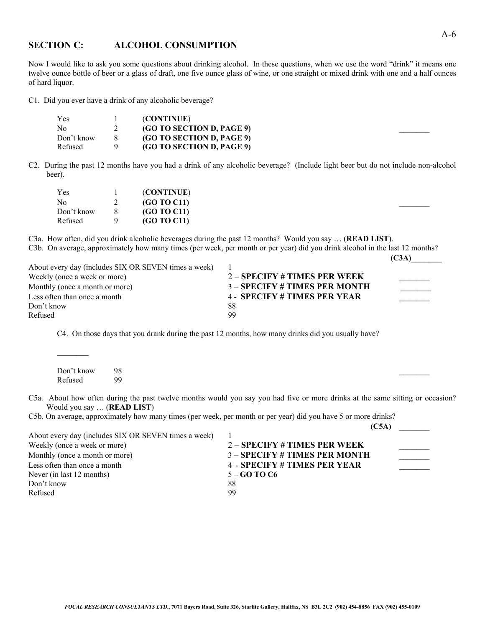### **SECTION C: ALCOHOL CONSUMPTION**

Now I would like to ask you some questions about drinking alcohol. In these questions, when we use the word "drink" it means one twelve ounce bottle of beer or a glass of draft, one five ounce glass of wine, or one straight or mixed drink with one and a half ounces of hard liquor.

C1. Did you ever have a drink of any alcoholic beverage?

| Yes        | (CONTINUE)                       |
|------------|----------------------------------|
| No         | (GO TO SECTION D, PAGE 9)        |
| Don't know | <b>(GO TO SECTION D, PAGE 9)</b> |
| Refused    | (GO TO SECTION D, PAGE 9)        |

C2. During the past 12 months have you had a drink of any alcoholic beverage? (Include light beer but do not include non-alcohol beer).

| Yes        |     | (CONTINUE)         |  |
|------------|-----|--------------------|--|
| No         |     | (GO TO C11)        |  |
| Don't know | - 8 | (GO TO C11)        |  |
| Refused    |     | <b>(GO TO C11)</b> |  |

C3a. How often, did you drink alcoholic beverages during the past 12 months? Would you say … (**READ LIST**). C3b. On average, approximately how many times (per week, per month or per year) did you drink alcohol in the last 12 months? **(C3A)**\_\_\_\_\_\_\_

| About every day (includes SIX OR SEVEN times a week) |                                |
|------------------------------------------------------|--------------------------------|
| Weekly (once a week or more)                         | $2 -$ SPECIFY # TIMES PER WEEK |
| Monthly (once a month or more)                       | 3 – SPECIFY # TIMES PER MONTH  |
| Less often than once a month                         | 4 - SPECIFY # TIMES PER YEAR   |
| Don't know                                           | 88                             |
| Refused                                              | -99                            |

C4. On those days that you drank during the past 12 months, how many drinks did you usually have?

| Don't know | - 98 |  |
|------------|------|--|
| Refused 99 |      |  |

C5a. About how often during the past twelve months would you say you had five or more drinks at the same sitting or occasion? Would you say … (**READ LIST**)

C5b. On average, approximately how many times (per week, per month or per year) did you have 5 or more drinks?

|                                                      | (C5A)                               |  |
|------------------------------------------------------|-------------------------------------|--|
| About every day (includes SIX OR SEVEN times a week) |                                     |  |
| Weekly (once a week or more)                         | $2 -$ SPECIFY # TIMES PER WEEK      |  |
| Monthly (once a month or more)                       | 3 - SPECIFY # TIMES PER MONTH       |  |
| Less often than once a month                         | <b>4 - SPECIFY # TIMES PER YEAR</b> |  |
| Never (in last 12 months)                            | 5 – GO TO C <sub>6</sub>            |  |
| Don't know                                           | 88                                  |  |
| Refused                                              | 99                                  |  |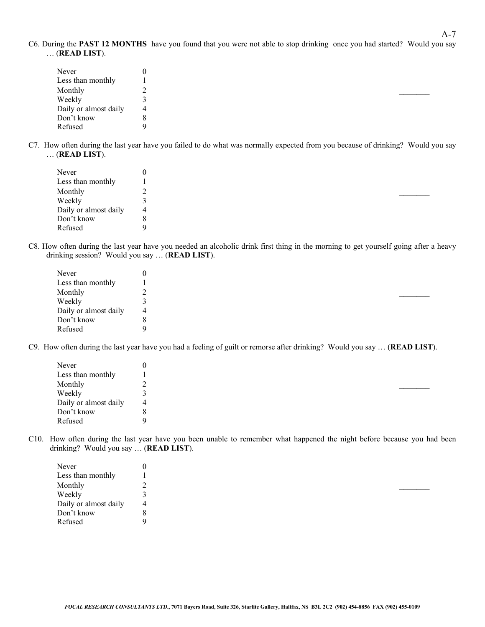C6. During the **PAST 12 MONTHS** have you found that you were not able to stop drinking once you had started? Would you say … (**READ LIST**).

| Never                 |   |
|-----------------------|---|
| Less than monthly     |   |
| Monthly               |   |
| Weekly                |   |
| Daily or almost daily | 4 |
| Don't know            |   |
| Refused               |   |

C7. How often during the last year have you failed to do what was normally expected from you because of drinking? Would you say … (**READ LIST**).

| Never                 |   |
|-----------------------|---|
| Less than monthly     |   |
| Monthly               |   |
| Weekly                |   |
| Daily or almost daily | 4 |
| Don't know            |   |
| Refused               |   |

C8. How often during the last year have you needed an alcoholic drink first thing in the morning to get yourself going after a heavy drinking session? Would you say … (**READ LIST**).

| Never                 |   |  |
|-----------------------|---|--|
| Less than monthly     |   |  |
| Monthly               |   |  |
| Weekly                |   |  |
| Daily or almost daily | 4 |  |
| Don't know            |   |  |
| Refused               |   |  |

C9. How often during the last year have you had a feeling of guilt or remorse after drinking? Would you say … (**READ LIST**).

| Never                 |   |  |
|-----------------------|---|--|
| Less than monthly     |   |  |
| Monthly               |   |  |
| Weekly                |   |  |
| Daily or almost daily | 4 |  |
| Don't know            |   |  |
| Refused               | a |  |

C10. How often during the last year have you been unable to remember what happened the night before because you had been drinking? Would you say … (**READ LIST**).

| Never                 |   |  |
|-----------------------|---|--|
| Less than monthly     |   |  |
| Monthly               |   |  |
| Weekly                |   |  |
| Daily or almost daily | 4 |  |
| Don't know            |   |  |
| Refused               |   |  |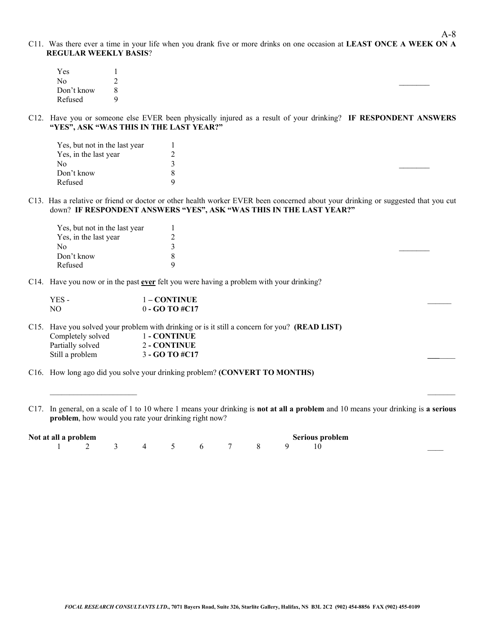C11. Was there ever a time in your life when you drank five or more drinks on one occasion at **LEAST ONCE A WEEK ON A REGULAR WEEKLY BASIS**?

| Yes            |   |  |  |  |
|----------------|---|--|--|--|
| N <sub>o</sub> |   |  |  |  |
| Don't know     | 8 |  |  |  |
| Refused        |   |  |  |  |

C12. Have you or someone else EVER been physically injured as a result of your drinking? **IF RESPONDENT ANSWERS "YES", ASK "WAS THIS IN THE LAST YEAR?"**

| Yes, but not in the last year |  |
|-------------------------------|--|
| Yes, in the last year         |  |
| N <sub>0</sub>                |  |
| Don't know                    |  |
| Refused                       |  |

C13. Has a relative or friend or doctor or other health worker EVER been concerned about your drinking or suggested that you cut down? **IF RESPONDENT ANSWERS "YES", ASK "WAS THIS IN THE LAST YEAR?"**

| Yes, but not in the last year |   |  |  |  |
|-------------------------------|---|--|--|--|
| Yes, in the last year         | - |  |  |  |
| N٥                            |   |  |  |  |
| Don't know                    |   |  |  |  |
| Refused                       |   |  |  |  |

C14. Have you now or in the past **ever** felt you were having a problem with your drinking?

| YES - | 1 – CONTINUE     |  |
|-------|------------------|--|
| NΟ    | $0 - GOTO \#C17$ |  |

C15. Have you solved your problem with drinking or is it still a concern for you? **(READ LIST)** Completely solved 1 **- CONTINUE** Partially solved 2 - **CONTINUE** Still a problem 3 **- GO TO #C17** 

C16. How long ago did you solve your drinking problem? **(CONVERT TO MONTHS)**

C17. In general, on a scale of 1 to 10 where 1 means your drinking is **not at all a problem** and 10 means your drinking is **a serious problem**, how would you rate your drinking right now?

| Not at all a problem |  |  |  |  | Serious problem |
|----------------------|--|--|--|--|-----------------|
| 1 2 3 4 5 6 7 8 9 10 |  |  |  |  |                 |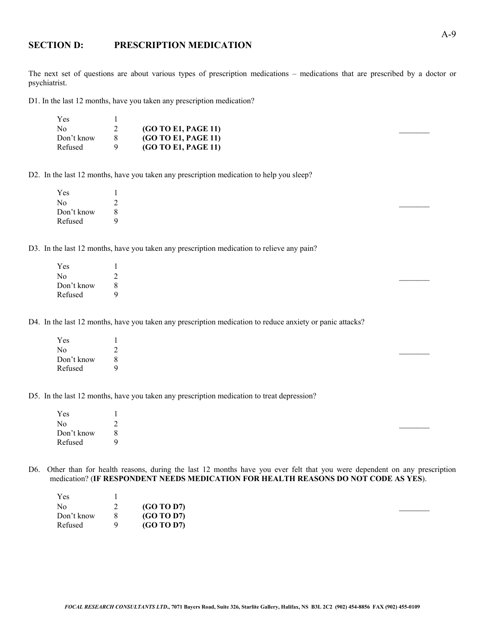### **SECTION D: PRESCRIPTION MEDICATION**

The next set of questions are about various types of prescription medications – medications that are prescribed by a doctor or psychiatrist.

D1. In the last 12 months, have you taken any prescription medication?

| Yes            |                            |  |
|----------------|----------------------------|--|
| N <sub>0</sub> | <b>(GO TO E1, PAGE 11)</b> |  |
| Don't know     | <b>(GO TO E1, PAGE 11)</b> |  |
| Refused        | <b>(GO TO E1, PAGE 11)</b> |  |

D2. In the last 12 months, have you taken any prescription medication to help you sleep?

| Yes        |   |
|------------|---|
| No         |   |
| Don't know | 8 |
| Refused    |   |

D3. In the last 12 months, have you taken any prescription medication to relieve any pain?

| Yes            |   |  |  |
|----------------|---|--|--|
| N <sub>0</sub> | ∸ |  |  |
| Don't know     | 8 |  |  |
| Refused        |   |  |  |

D4. In the last 12 months, have you taken any prescription medication to reduce anxiety or panic attacks?

| Yes        |   |
|------------|---|
| No         | ∸ |
| Don't know | 8 |
| Refused    |   |

D5. In the last 12 months, have you taken any prescription medication to treat depression?

| Yes             |   |
|-----------------|---|
| No              | ∸ |
| Don't know<br>8 |   |
| Refused         | Q |

D6. Other than for health reasons, during the last 12 months have you ever felt that you were dependent on any prescription medication? (**IF RESPONDENT NEEDS MEDICATION FOR HEALTH REASONS DO NOT CODE AS YES**).

| Yes        |   |            |  |
|------------|---|------------|--|
| No         |   | (GO TO D7) |  |
| Don't know | 8 | (GO TO D7) |  |
| Refused    | 9 | (GO TO D7) |  |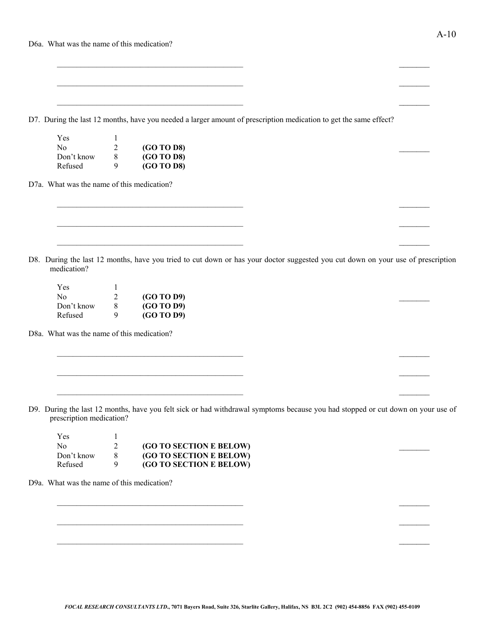| Doa. What was the hame of this medication? |  |  |                                                                                                                   |  |  |
|--------------------------------------------|--|--|-------------------------------------------------------------------------------------------------------------------|--|--|
|                                            |  |  |                                                                                                                   |  |  |
|                                            |  |  |                                                                                                                   |  |  |
|                                            |  |  |                                                                                                                   |  |  |
|                                            |  |  |                                                                                                                   |  |  |
|                                            |  |  | D7. During the last 12 months, have you needed a larger amount of prescription medication to get the same effect? |  |  |
| $V_{\rho c}$                               |  |  |                                                                                                                   |  |  |

| Yes            |   |                   |  |  |
|----------------|---|-------------------|--|--|
| N <sub>0</sub> |   | <b>(GO TO D8)</b> |  |  |
| Don't know     | 8 | <b>(GO TO D8)</b> |  |  |
| Refused        |   | (GO TO D8)        |  |  |

D7a. What was the name of this medication?

D8. During the last 12 months, have you tried to cut down or has your doctor suggested you cut down on your use of prescription medication?

 $\_$  , and the contribution of the contribution of  $\overline{a}$  , and  $\overline{a}$  , and  $\overline{a}$  , and  $\overline{a}$  , and  $\overline{a}$ 

 $\mathcal{L}_\text{max}$  , and the contract of the contract of the contract of the contract of the contract of the contract of

 $\mathcal{L}_\text{max}$  , and the contract of the contract of the contract of the contract of the contract of the contract of

| Yes        |   |                   |  |  |
|------------|---|-------------------|--|--|
| No         |   | (GO TO D9)        |  |  |
| Don't know | 8 | <b>(GO TO D9)</b> |  |  |
| Refused    |   | (GO TO D9)        |  |  |

D8a. What was the name of this medication?

D9. During the last 12 months, have you felt sick or had withdrawal symptoms because you had stopped or cut down on your use of prescription medication?

 $\_$  , and the contribution of the contribution of  $\mathcal{L}_\mathcal{A}$  , and the contribution of  $\mathcal{L}_\mathcal{A}$  , and

 $\mathcal{L}_\text{max}$  , and the contract of the contract of the contract of the contract of the contract of the contract of

| Yes            |                                |  |
|----------------|--------------------------------|--|
| N <sub>0</sub> | (GO TO SECTION E BELOW)        |  |
| Don't know     | (GO TO SECTION E BELOW)        |  |
| Refused        | <b>(GO TO SECTION E BELOW)</b> |  |

D9a. What was the name of this medication?

 $\mathcal{L}_\text{max}$  , and the contract of the contract of the contract of the contract of the contract of the contract of

 $\mathcal{L}_\text{max}$  , and the contract of the contract of the contract of the contract of the contract of the contract of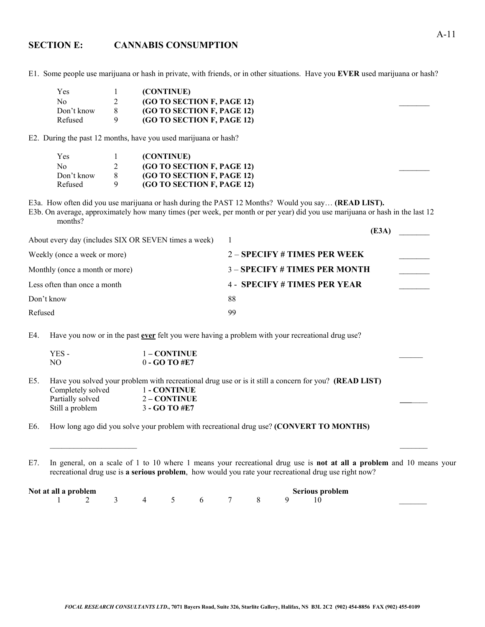### **SECTION E: CANNABIS CONSUMPTION**

E1. Some people use marijuana or hash in private, with friends, or in other situations. Have you **EVER** used marijuana or hash?

| Yes        | (CONTINUE)                 |
|------------|----------------------------|
| No         | (GO TO SECTION F, PAGE 12) |
| Don't know | (GO TO SECTION F, PAGE 12) |
| Refused    | (GO TO SECTION F, PAGE 12) |

E2. During the past 12 months, have you used marijuana or hash?

| Yes            | (CONTINUE)                 |
|----------------|----------------------------|
| N <sub>0</sub> | (GO TO SECTION F, PAGE 12) |
| Don't know     | (GO TO SECTION F, PAGE 12) |
| Refused        | (GO TO SECTION F, PAGE 12) |

E3a. How often did you use marijuana or hash during the PAST 12 Months? Would you say… **(READ LIST).**

E3b. On average, approximately how many times (per week, per month or per year) did you use marijuana or hash in the last 12 months?

|                                                      | (E3A)                               |  |
|------------------------------------------------------|-------------------------------------|--|
| About every day (includes SIX OR SEVEN times a week) |                                     |  |
| Weekly (once a week or more)                         | $2 -$ SPECIFY # TIMES PER WEEK      |  |
| Monthly (once a month or more)                       | $3 -$ SPECIFY # TIMES PER MONTH     |  |
| Less often than once a month                         | <b>4 - SPECIFY # TIMES PER YEAR</b> |  |
| Don't know                                           | 88                                  |  |
| Refused                                              | 99                                  |  |

E4. Have you now or in the past **ever** felt you were having a problem with your recreational drug use?

| YES - | $1 - CONTINUE$  |  |
|-------|-----------------|--|
| NO.   | $0 - GO$ TO #E7 |  |

E5. Have you solved your problem with recreational drug use or is it still a concern for you? **(READ LIST)** Completely solved 1 **- CONTINUE** Partially solved 2 – **CONTINUE** Still a problem 3 **- GO TO #E7** 

E6. How long ago did you solve your problem with recreational drug use? **(CONVERT TO MONTHS)**

E7. In general, on a scale of 1 to 10 where 1 means your recreational drug use is **not at all a problem** and 10 means your recreational drug use is **a serious problem**, how would you rate your recreational drug use right now?

\_\_\_\_\_\_\_\_\_\_\_\_\_\_\_\_\_\_\_\_\_\_ \_\_\_\_\_\_\_

| Not at all a problem                |  |  |  |  |  |  | <b>Serious problem</b> |  |  |  |
|-------------------------------------|--|--|--|--|--|--|------------------------|--|--|--|
| $1 \t2 \t3 \t4 \t5 \t6 \t7 \t8 \t9$ |  |  |  |  |  |  |                        |  |  |  |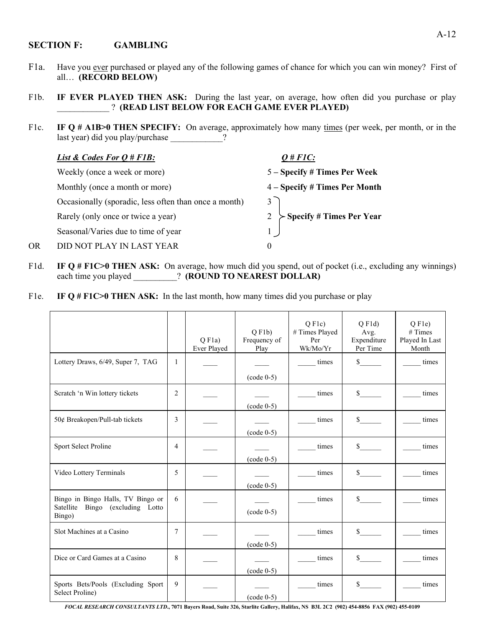#### **SECTION F: GAMBLING**

- F1a. Have you ever purchased or played any of the following games of chance for which you can win money? First of all… **(RECORD BELOW)**
- F1b. **IF EVER PLAYED THEN ASK:** During the last year, on average, how often did you purchase or play \_\_\_\_\_\_\_\_\_\_\_\_ ? **(READ LIST BELOW FOR EACH GAME EVER PLAYED)**
- F1c. **IF Q # A1B>0 THEN SPECIFY:** On average, approximately how many times (per week, per month, or in the last year) did you play/purchase ?

|    | <i>List &amp; Codes For <math>Q \# F1B</math>:</i>    | $Q \# FIC$ :                     |
|----|-------------------------------------------------------|----------------------------------|
|    | Weekly (once a week or more)                          | 5 – Specify # Times Per Week     |
|    | Monthly (once a month or more)                        | 4 – Specify # Times Per Month    |
|    | Occasionally (sporadic, less often than once a month) | 3                                |
|    | Rarely (only once or twice a year)                    | $\succ$ Specify # Times Per Year |
|    | Seasonal/Varies due to time of year                   |                                  |
| OR | DID NOT PLAY IN LAST YEAR                             | $\theta$                         |

- F1d. **IF Q # F1C>0 THEN ASK:** On average, how much did you spend, out of pocket (i.e., excluding any winnings) each time you played  $\qquad$  **(ROUND TO NEAREST DOLLAR)**
- F1e. **IF Q # F1C>0 THEN ASK:** In the last month, how many times did you purchase or play

|                                                                                    |        | $Q$ F <sub>1</sub> a)<br>Ever Played | $Q$ F <sub>1</sub> b)<br>Frequency of<br>Play | $Q$ F <sub>1c</sub> $)$<br># Times Played<br>Per<br>Wk/Mo/Yr | $Q$ F1d)<br>Avg.<br>Expenditure<br>Per Time | $Q$ F <sub>1</sub> $e$ $)$<br># Times<br>Played In Last<br>Month |
|------------------------------------------------------------------------------------|--------|--------------------------------------|-----------------------------------------------|--------------------------------------------------------------|---------------------------------------------|------------------------------------------------------------------|
| Lottery Draws, 6/49, Super 7, TAG                                                  | 1      |                                      | $\text{(code 0-5)}$                           | times                                                        | $\mathbb{S}$                                | times                                                            |
| Scratch 'n Win lottery tickets                                                     | 2      |                                      | $(code 0-5)$                                  | times                                                        | $\mathbb{S}$                                | times                                                            |
| 50¢ Breakopen/Pull-tab tickets                                                     | 3      |                                      | $(code 0-5)$                                  | times                                                        | \$                                          | times                                                            |
| Sport Select Proline                                                               | 4      |                                      | $(code 0-5)$                                  | times                                                        | $\mathbb{S}$                                | times                                                            |
| Video Lottery Terminals                                                            | 5      |                                      | $(code 0-5)$                                  | times                                                        | $\mathbb{S}$                                | times                                                            |
| Bingo in Bingo Halls, TV Bingo or<br>Satellite<br>Bingo (excluding Lotto<br>Bingo) | 6      |                                      | $(code 0-5)$                                  | times                                                        | $\mathbb{S}$                                | times                                                            |
| Slot Machines at a Casino                                                          | $\tau$ |                                      | $(code 0-5)$                                  | times                                                        | $\frac{\text{S}}{\text{S}}$                 | times                                                            |
| Dice or Card Games at a Casino                                                     | 8      |                                      | $(code 0-5)$                                  | times                                                        | $\mathbb{S}$                                | times                                                            |
| Sports Bets/Pools (Excluding Sport<br>Select Proline)                              | 9      |                                      | $(code 0-5)$                                  | times                                                        | \$                                          | times                                                            |

*FOCAL RESEARCH CONSULTANTS LTD***., 7071 Bayers Road, Suite 326, Starlite Gallery, Halifax, NS B3L 2C2 (902) 454-8856 FAX (902) 455-0109**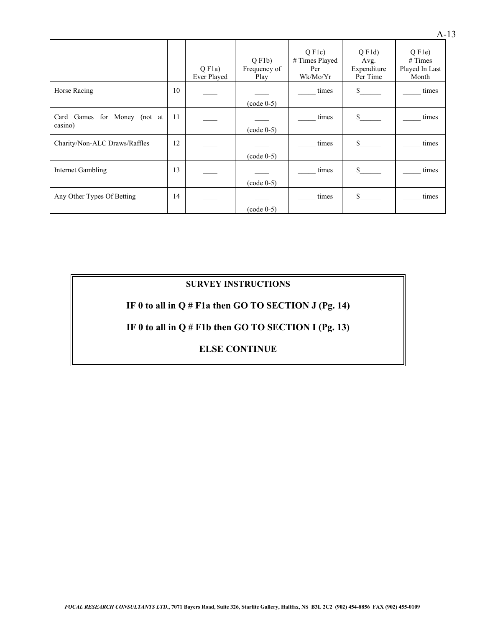|                                               |    | $O$ F <sub>1</sub> a)<br>Ever Played | $Q$ F <sub>1</sub> b)<br>Frequency of<br>Play | $Q$ F <sub>1c</sub> $)$<br># Times Played<br>Per<br>Wk/Mo/Yr | $O$ F <sub>1</sub> $d$ )<br>Avg.<br>Expenditure<br>Per Time | $Q$ F <sub>1</sub> $e$ $)$<br># Times<br>Played In Last<br>Month |
|-----------------------------------------------|----|--------------------------------------|-----------------------------------------------|--------------------------------------------------------------|-------------------------------------------------------------|------------------------------------------------------------------|
| Horse Racing                                  | 10 |                                      | $(code 0-5)$                                  | times                                                        | \$                                                          | times                                                            |
| Games for Money<br>Card<br>(not at<br>casino) | 11 |                                      | $(code 0-5)$                                  | times                                                        | \$.                                                         | times                                                            |
| Charity/Non-ALC Draws/Raffles                 | 12 |                                      | $(code 0-5)$                                  | times                                                        | \$                                                          | times                                                            |
| Internet Gambling                             | 13 |                                      | $(code 0-5)$                                  | times                                                        | $\mathbf S$                                                 | times                                                            |
| Any Other Types Of Betting                    | 14 |                                      | $(code 0-5)$                                  | times                                                        | \$                                                          | times                                                            |

## **SURVEY INSTRUCTIONS**

## **IF 0 to all in Q # F1a then GO TO SECTION J (Pg. 14)**

## **IF 0 to all in Q # F1b then GO TO SECTION I (Pg. 13)**

## **ELSE CONTINUE**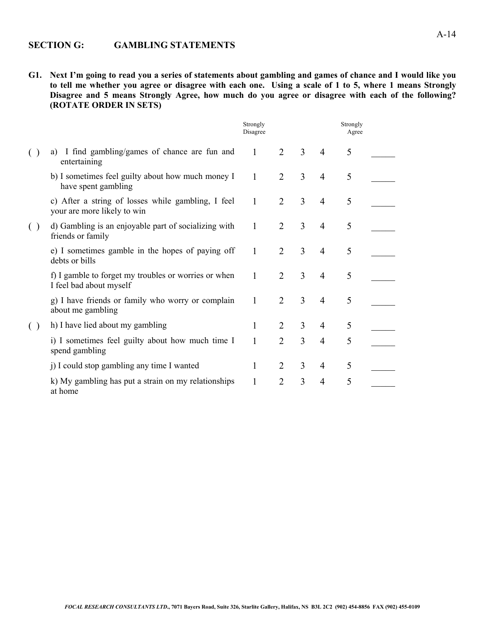### **SECTION G: GAMBLING STATEMENTS**

**G1. Next I'm going to read you a series of statements about gambling and games of chance and I would like you to tell me whether you agree or disagree with each one. Using a scale of 1 to 5, where 1 means Strongly Disagree and 5 means Strongly Agree, how much do you agree or disagree with each of the following? (ROTATE ORDER IN SETS)**

|                        |                                                                                   | Strongly<br>Disagree |                             |   |                | Strongly<br>Agree |  |
|------------------------|-----------------------------------------------------------------------------------|----------------------|-----------------------------|---|----------------|-------------------|--|
|                        | a) I find gambling/games of chance are fun and<br>entertaining                    | $\mathbf{1}$         | 2                           | 3 | $\overline{4}$ | 5                 |  |
|                        | b) I sometimes feel guilty about how much money I<br>have spent gambling          | 1                    | 2                           | 3 | $\overline{4}$ | 5                 |  |
|                        | c) After a string of losses while gambling, I feel<br>your are more likely to win | $\mathbf{1}$         | $\overline{2}$              | 3 | $\overline{4}$ | 5                 |  |
| $\left( \quad \right)$ | d) Gambling is an enjoyable part of socializing with<br>friends or family         | 1                    | $\overline{2}$              | 3 | $\overline{4}$ | 5                 |  |
|                        | e) I sometimes gamble in the hopes of paying off<br>debts or bills                | 1                    | 2                           | 3 | $\overline{4}$ | 5                 |  |
|                        | f) I gamble to forget my troubles or worries or when<br>I feel bad about myself   | 1                    | $\overline{2}$              | 3 | $\overline{4}$ | 5                 |  |
|                        | g) I have friends or family who worry or complain<br>about me gambling            | $\mathbf{1}$         | $\overline{2}$              | 3 | $\overline{4}$ | 5                 |  |
| $\left( \ \right)$     | h) I have lied about my gambling                                                  | 1                    | 2                           | 3 | $\overline{4}$ | 5                 |  |
|                        | i) I sometimes feel guilty about how much time I<br>spend gambling                | 1                    | $\overline{2}$              | 3 | $\overline{4}$ | 5                 |  |
|                        | j) I could stop gambling any time I wanted                                        | 1                    | $\mathcal{D}_{\mathcal{L}}$ | 3 | $\overline{4}$ | 5                 |  |
|                        | k) My gambling has put a strain on my relationships<br>at home                    | 1                    | $\overline{2}$              | 3 | $\overline{4}$ | 5                 |  |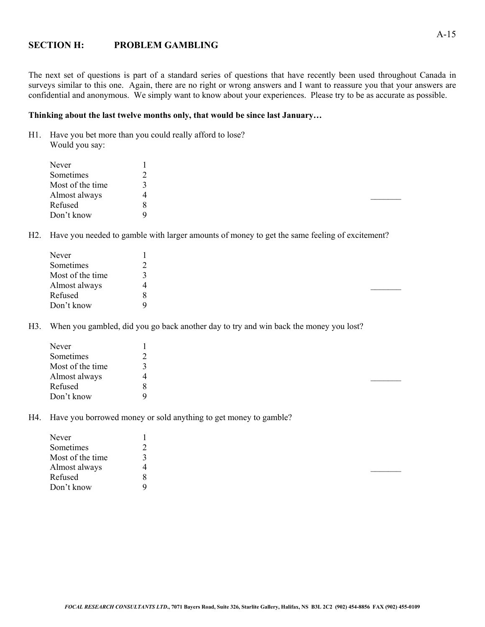#### **SECTION H: PROBLEM GAMBLING**

The next set of questions is part of a standard series of questions that have recently been used throughout Canada in surveys similar to this one. Again, there are no right or wrong answers and I want to reassure you that your answers are confidential and anonymous. We simply want to know about your experiences. Please try to be as accurate as possible.

#### **Thinking about the last twelve months only, that would be since last January…**

H1. Have you bet more than you could really afford to lose? Would you say:

| Never            |   |  |  |
|------------------|---|--|--|
| Sometimes        |   |  |  |
| Most of the time |   |  |  |
| Almost always    |   |  |  |
| Refused          | ð |  |  |
| Don't know       | Q |  |  |

H2. Have you needed to gamble with larger amounts of money to get the same feeling of excitement?

| Never            |   |  |  |  |
|------------------|---|--|--|--|
| Sometimes        | ∸ |  |  |  |
| Most of the time |   |  |  |  |
| Almost always    |   |  |  |  |
| Refused          | 8 |  |  |  |
| Don't know       | Q |  |  |  |

H3. When you gambled, did you go back another day to try and win back the money you lost?

| Never            |   |
|------------------|---|
| Sometimes        |   |
| Most of the time |   |
| Almost always    | 4 |
| Refused          | 8 |
| Don't know       | Q |

H4. Have you borrowed money or sold anything to get money to gamble?

| Never            |   |
|------------------|---|
| Sometimes        |   |
| Most of the time |   |
| Almost always    | 4 |
| Refused          | 8 |
| Don't know       | Q |
|                  |   |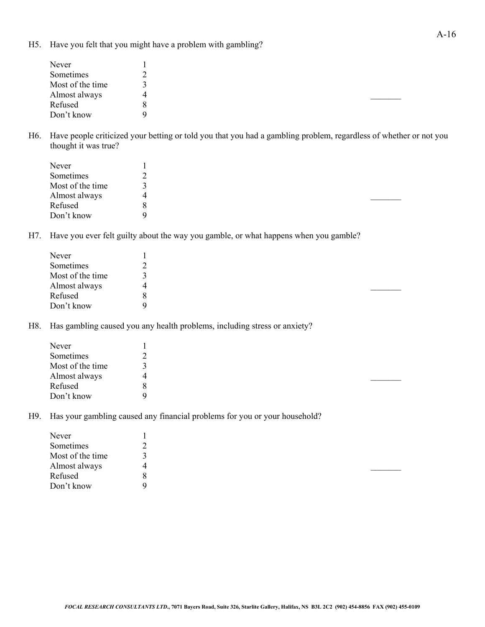H5. Have you felt that you might have a problem with gambling?

| Never            |   |
|------------------|---|
| Sometimes        |   |
| Most of the time |   |
| Almost always    |   |
| Refused          | 8 |
| Don't know       | Q |
|                  |   |

H6. Have people criticized your betting or told you that you had a gambling problem, regardless of whether or not you thought it was true?

| Never            |   |  |  |  |
|------------------|---|--|--|--|
| Sometimes        |   |  |  |  |
| Most of the time |   |  |  |  |
| Almost always    | 4 |  |  |  |
| Refused          | 8 |  |  |  |
| Don't know       | Q |  |  |  |

H7. Have you ever felt guilty about the way you gamble, or what happens when you gamble?

| Never            |   |  |  |  |
|------------------|---|--|--|--|
| Sometimes        |   |  |  |  |
| Most of the time |   |  |  |  |
| Almost always    |   |  |  |  |
| Refused          | 8 |  |  |  |
| Don't know       | Q |  |  |  |

H8. Has gambling caused you any health problems, including stress or anxiety?

| 4 |  |  |
|---|--|--|
| 8 |  |  |
| Q |  |  |
|   |  |  |

H9. Has your gambling caused any financial problems for you or your household?

| 4 |
|---|
| 8 |
| a |
|   |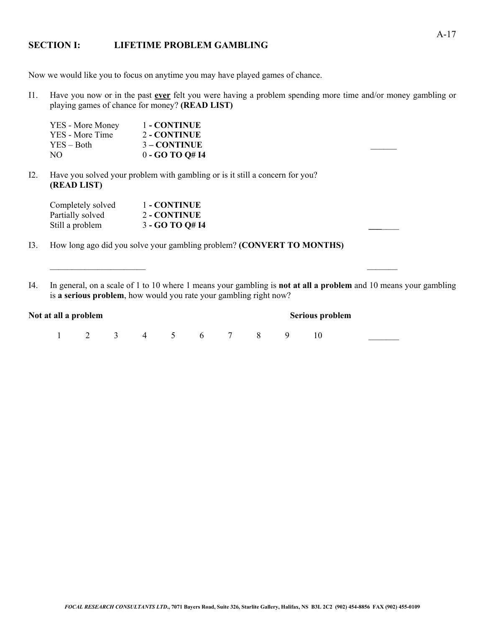#### **SECTION I: LIFETIME PROBLEM GAMBLING**

Now we would like you to focus on anytime you may have played games of chance.

I1. Have you now or in the past **ever** felt you were having a problem spending more time and/or money gambling or playing games of chance for money? **(READ LIST)**

| YES - More Money | 1 - CONTINUE   |  |
|------------------|----------------|--|
| YES - More Time  | 2 - CONTINUE   |  |
| $YES - Both$     | $3 - CONTINUE$ |  |
| NO.              | $0 - GOTOQ#I4$ |  |

I2. Have you solved your problem with gambling or is it still a concern for you? **(READ LIST)**

| Completely solved | 1 - CONTINUE    |  |
|-------------------|-----------------|--|
| Partially solved  | 2 - CONTINUE    |  |
| Still a problem   | 3 - GO TO Q# I4 |  |

I3. How long ago did you solve your gambling problem? **(CONVERT TO MONTHS)**

| Not at all a problem |  |               |  |  |  |  | Serious problem |  |
|----------------------|--|---------------|--|--|--|--|-----------------|--|
|                      |  | 2 3 4 5 6 7 8 |  |  |  |  |                 |  |

I4. In general, on a scale of 1 to 10 where 1 means your gambling is **not at all a problem** and 10 means your gambling is **a serious problem**, how would you rate your gambling right now?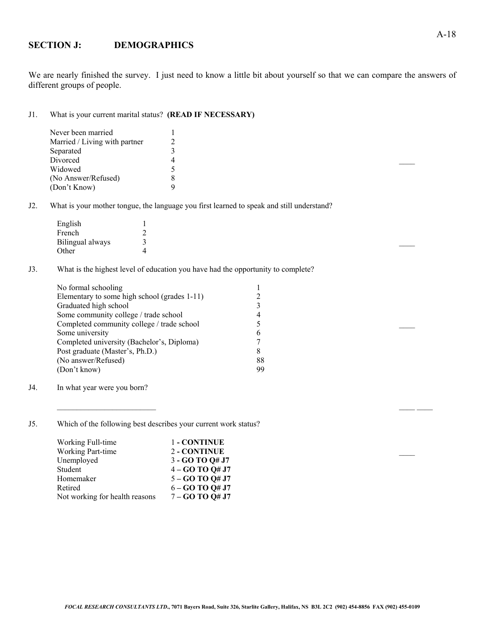### **SECTION J: DEMOGRAPHICS**

We are nearly finished the survey. I just need to know a little bit about yourself so that we can compare the answers of different groups of people.

#### J1. What is your current marital status? **(READ IF NECESSARY)**

| Never been married            |  |
|-------------------------------|--|
| Married / Living with partner |  |
| Separated                     |  |
| Divorced                      |  |
| Widowed                       |  |
| (No Answer/Refused)           |  |
| (Don't Know)                  |  |

J2. What is your mother tongue, the language you first learned to speak and still understand?

| English          |  |  |  |  |
|------------------|--|--|--|--|
| French           |  |  |  |  |
| Bilingual always |  |  |  |  |
| Other            |  |  |  |  |

J3. What is the highest level of education you have had the opportunity to complete?

| No formal schooling                          |    |  |
|----------------------------------------------|----|--|
| Elementary to some high school (grades 1-11) |    |  |
| Graduated high school                        |    |  |
| Some community college / trade school        | 4  |  |
| Completed community college / trade school   |    |  |
| Some university                              | 6  |  |
| Completed university (Bachelor's, Diploma)   |    |  |
| Post graduate (Master's, Ph.D.)              | 8  |  |
| (No answer/Refused)                          | 88 |  |
| (Don't know)                                 | 99 |  |
|                                              |    |  |

J4. In what year were you born?

J5. Which of the following best describes your current work status?

| Working Full-time              | 1 - CONTINUE        |  |
|--------------------------------|---------------------|--|
| Working Part-time              | 2 - CONTINUE        |  |
| Unemployed                     | $3 - GOTOQ#J7$      |  |
| Student                        | $4 - GOTOQ#J7$      |  |
| Homemaker                      | $5 - GO$ TO $Q#$ J7 |  |
| Retired                        | $6 - GOTOQ#J7$      |  |
| Not working for health reasons | $7 - GO$ TO Q# J7   |  |

 $\_$  , and the contribution of  $\mathcal{L}$  , and  $\mathcal{L}$  , and  $\mathcal{L}$  , and  $\mathcal{L}$  , and  $\mathcal{L}$  , and  $\mathcal{L}$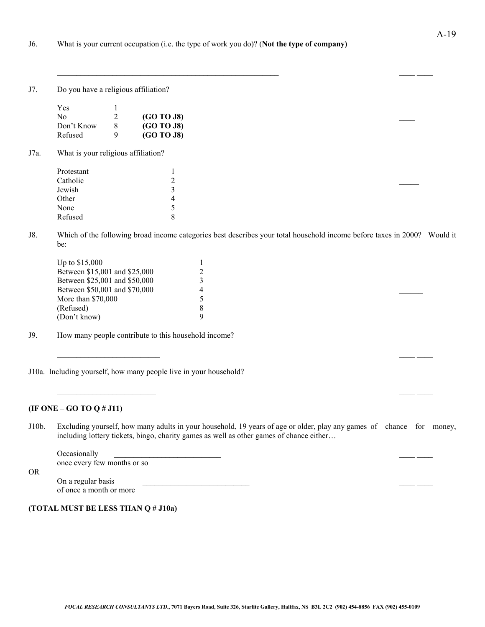J7. Do you have a religious affiliation?

| Yes        |               |            |  |  |
|------------|---------------|------------|--|--|
| No         | $\mathcal{L}$ | (GO TO J8) |  |  |
| Don't Know |               | (GO TO J8) |  |  |
| Refused    |               | (GO~TO~J8) |  |  |

J7a. What is your religious affiliation?

| ∍<br>∼               |
|----------------------|
| $\ddot{\phantom{1}}$ |
| 4                    |
| ╮                    |
| 8                    |
|                      |

J8. Which of the following broad income categories best describes your total household income before taxes in 2000? Would it be:

| Up to \$15,000                |  |  |  |
|-------------------------------|--|--|--|
| Between \$15,001 and \$25,000 |  |  |  |
| Between \$25,001 and \$50,000 |  |  |  |
| Between \$50,001 and \$70,000 |  |  |  |
| More than \$70,000            |  |  |  |
| (Refused)                     |  |  |  |
| (Don't know)                  |  |  |  |
|                               |  |  |  |

- J9. How many people contribute to this household income?
- J10a. Including yourself, how many people live in your household?

#### **(IF ONE – GO TO Q # J11)**

OR

J10b. Excluding yourself, how many adults in your household, 19 years of age or older, play any games of chance for money, including lottery tickets, bingo, charity games as well as other games of chance either…

 $\_$  , and the set of the set of the set of the set of the set of the set of the set of the set of the set of the set of the set of the set of the set of the set of the set of the set of the set of the set of the set of th

 $\_$  , and the contribution of the contribution of  $\mathcal{L}$  , and  $\mathcal{L}$  , and  $\mathcal{L}$  , and  $\mathcal{L}$  , and  $\mathcal{L}$ 

Occasionally once every few months or so

On a regular basis of once a month or more

**(TOTAL MUST BE LESS THAN Q # J10a)**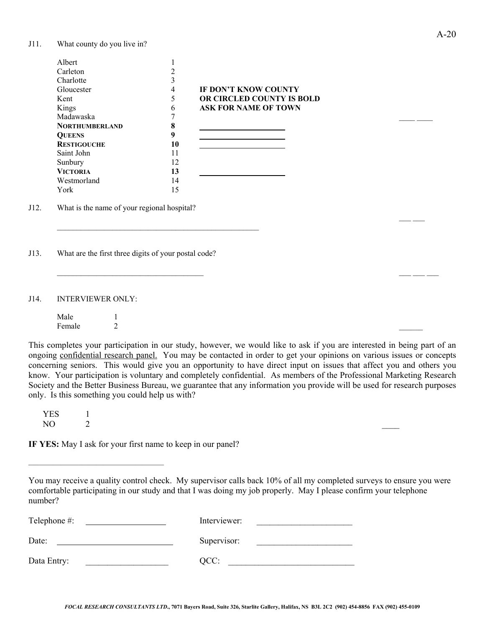J11. What county do you live in?

| Albert                |    |                             |
|-----------------------|----|-----------------------------|
| Carleton              |    |                             |
| Charlotte             |    |                             |
| Gloucester            | 4  | <b>IF DON'T KNOW COUNTY</b> |
| Kent                  | 5  | OR CIRCLED COUNTY IS BOLD   |
| Kings                 | 6  | <b>ASK FOR NAME OF TOWN</b> |
| Madawaska             |    |                             |
| <b>NORTHUMBERLAND</b> | 8  |                             |
| <b>OUEENS</b>         |    |                             |
| <b>RESTIGOUCHE</b>    | 10 |                             |
| Saint John            | 11 |                             |
| Sunbury               | 12 |                             |
| <b>VICTORIA</b>       | 13 |                             |
| Westmorland           | 14 |                             |
| York                  | 15 |                             |

J12. What is the name of your regional hospital?

J13. What are the first three digits of your postal code?

 $\mathcal{L}_\text{max}$  and the contract of the contract of the contract of the contract of the contract of the contract of the contract of the contract of the contract of the contract of the contract of the contract of the contrac

J14. INTERVIEWER ONLY:

Male 1<br>Female 2 Female  $2$ 

This completes your participation in our study, however, we would like to ask if you are interested in being part of an ongoing confidential research panel. You may be contacted in order to get your opinions on various issues or concepts concerning seniors. This would give you an opportunity to have direct input on issues that affect you and others you know. Your participation is voluntary and completely confidential. As members of the Professional Marketing Research Society and the Better Business Bureau, we guarantee that any information you provide will be used for research purposes only. Is this something you could help us with?

 $\overline{\phantom{a}}$  , and the contribution of the contribution of  $\overline{\phantom{a}}$  , and the contribution of  $\overline{\phantom{a}}$ 

 $YES$  1<br>NO 2  $NO$   $2$ 

**IF YES:** May I ask for your first name to keep in our panel?

| Telephone #: | Interviewer: |
|--------------|--------------|
| Date:        | Supervisor:  |
| Data Entry:  | QCC:         |

 $\mathcal{L}=\mathcal{L}^{\mathcal{L}}$  , we have the set of  $\mathcal{L}=\mathcal{L}^{\mathcal{L}}$ 

You may receive a quality control check. My supervisor calls back 10% of all my completed surveys to ensure you were comfortable participating in our study and that I was doing my job properly. May I please confirm your telephone number?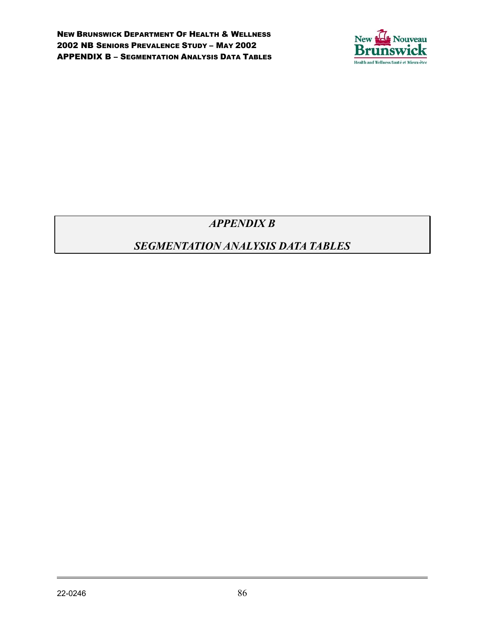

# *APPENDIX B*

# *SEGMENTATION ANALYSIS DATA TABLES*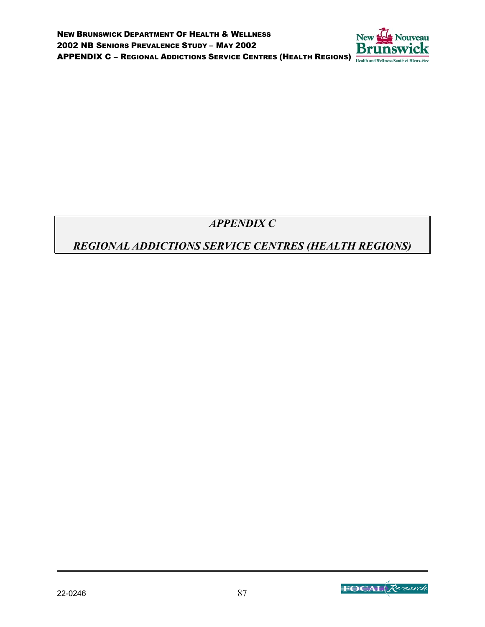

*APPENDIX C*

# *REGIONAL ADDICTIONS SERVICE CENTRES (HEALTH REGIONS)*

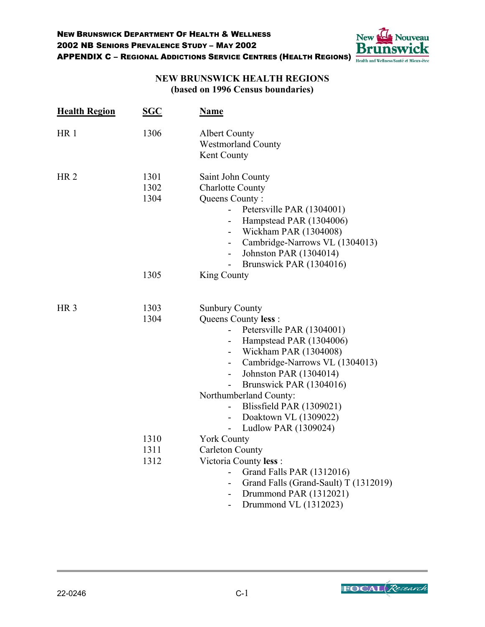

## **NEW BRUNSWICK HEALTH REGIONS (based on 1996 Census boundaries)**

| <b>Health Region</b> | <b>SGC</b>           | <b>Name</b>                                                                                                                                                                                                                                                                                                                                                                                                                                                                                                    |
|----------------------|----------------------|----------------------------------------------------------------------------------------------------------------------------------------------------------------------------------------------------------------------------------------------------------------------------------------------------------------------------------------------------------------------------------------------------------------------------------------------------------------------------------------------------------------|
| HR <sub>1</sub>      | 1306                 | <b>Albert County</b><br><b>Westmorland County</b><br>Kent County                                                                                                                                                                                                                                                                                                                                                                                                                                               |
| HR <sub>2</sub>      | 1301<br>1302<br>1304 | Saint John County<br><b>Charlotte County</b><br>Queens County:<br>Petersville PAR (1304001)<br>$\overline{\phantom{0}}$<br>Hampstead PAR (1304006)<br>$\overline{\phantom{0}}$<br>Wickham PAR (1304008)<br>$\overline{\phantom{0}}$<br>Cambridge-Narrows VL (1304013)<br>$\overline{\phantom{0}}$<br>Johnston PAR (1304014)<br>$\overline{\phantom{0}}$<br>Brunswick PAR (1304016)                                                                                                                             |
|                      | 1305                 | King County                                                                                                                                                                                                                                                                                                                                                                                                                                                                                                    |
| HR <sub>3</sub>      | 1303<br>1304         | <b>Sunbury County</b><br>Queens County less :<br>Petersville PAR (1304001)<br>Hampstead PAR (1304006)<br>$\overline{\phantom{0}}$<br>Wickham PAR (1304008)<br>$\overline{\phantom{0}}$<br>Cambridge-Narrows VL (1304013)<br>$\sim$<br>Johnston PAR (1304014)<br>$\overline{\phantom{0}}$<br>Brunswick PAR (1304016)<br>$\overline{\phantom{0}}$<br>Northumberland County:<br>Blissfield PAR (1309021)<br>$\overline{\phantom{a}}$<br>Doaktown VL (1309022)<br>Ludlow PAR (1309024)<br>$\overline{\phantom{0}}$ |
|                      | 1310<br>1311<br>1312 | <b>York County</b><br><b>Carleton County</b><br>Victoria County less:<br>Grand Falls PAR (1312016)<br>Grand Falls (Grand-Sault) T (1312019)<br>$\overline{\phantom{0}}$<br>Drummond PAR (1312021)<br>Drummond VL (1312023)<br>Ξ.                                                                                                                                                                                                                                                                               |